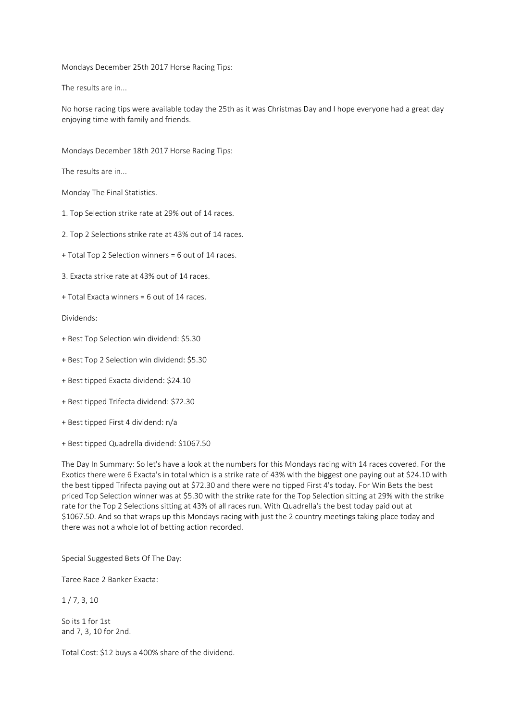Mondays December 25th 2017 Horse Racing Tips:

The results are in...

No horse racing tips were available today the 25th as it was Christmas Day and I hope everyone had a great day enjoying time with family and friends.

Mondays December 18th 2017 Horse Racing Tips:

The results are in...

Monday The Final Statistics.

1. Top Selection strike rate at 29% out of 14 races.

2. Top 2 Selections strike rate at 43% out of 14 races.

+ Total Top 2 Selection winners = 6 out of 14 races.

3. Exacta strike rate at 43% out of 14 races.

+ Total Exacta winners = 6 out of 14 races.

Dividends:

- + Best Top Selection win dividend: \$5.30
- + Best Top 2 Selection win dividend: \$5.30
- + Best tipped Exacta dividend: \$24.10
- + Best tipped Trifecta dividend: \$72.30
- + Best tipped First 4 dividend: n/a
- + Best tipped Quadrella dividend: \$1067.50

The Day In Summary: So let's have a look at the numbers for this Mondays racing with 14 races covered. For the Exotics there were 6 Exacta's in total which is a strike rate of 43% with the biggest one paying out at \$24.10 with the best tipped Trifecta paying out at \$72.30 and there were no tipped First 4's today. For Win Bets the best priced Top Selection winner was at \$5.30 with the strike rate for the Top Selection sitting at 29% with the strike rate for the Top 2 Selections sitting at 43% of all races run. With Quadrella's the best today paid out at \$1067.50. And so that wraps up this Mondays racing with just the 2 country meetings taking place today and there was not a whole lot of betting action recorded.

Special Suggested Bets Of The Day:

Taree Race 2 Banker Exacta:

1 / 7, 3, 10

So its 1 for 1st and 7, 3, 10 for 2nd.

Total Cost: \$12 buys a 400% share of the dividend.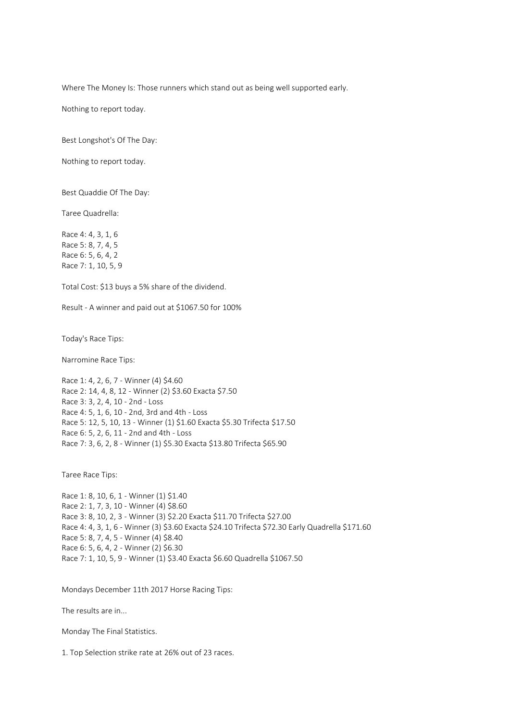Where The Money Is: Those runners which stand out as being well supported early.

Nothing to report today.

Best Longshot's Of The Day:

Nothing to report today.

Best Quaddie Of The Day:

Taree Quadrella:

Race 4: 4, 3, 1, 6 Race 5: 8, 7, 4, 5 Race 6: 5, 6, 4, 2 Race 7: 1, 10, 5, 9

Total Cost: \$13 buys a 5% share of the dividend.

Result - A winner and paid out at \$1067.50 for 100%

Today's Race Tips:

Narromine Race Tips:

Race 1: 4, 2, 6, 7 - Winner (4) \$4.60 Race 2: 14, 4, 8, 12 - Winner (2) \$3.60 Exacta \$7.50 Race 3: 3, 2, 4, 10 - 2nd - Loss Race 4: 5, 1, 6, 10 - 2nd, 3rd and 4th - Loss Race 5: 12, 5, 10, 13 - Winner (1) \$1.60 Exacta \$5.30 Trifecta \$17.50 Race 6: 5, 2, 6, 11 - 2nd and 4th - Loss Race 7: 3, 6, 2, 8 - Winner (1) \$5.30 Exacta \$13.80 Trifecta \$65.90

Taree Race Tips:

Race 1: 8, 10, 6, 1 - Winner (1) \$1.40 Race 2: 1, 7, 3, 10 - Winner (4) \$8.60 Race 3: 8, 10, 2, 3 - Winner (3) \$2.20 Exacta \$11.70 Trifecta \$27.00 Race 4: 4, 3, 1, 6 - Winner (3) \$3.60 Exacta \$24.10 Trifecta \$72.30 Early Quadrella \$171.60 Race 5: 8, 7, 4, 5 - Winner (4) \$8.40 Race 6: 5, 6, 4, 2 - Winner (2) \$6.30 Race 7: 1, 10, 5, 9 - Winner (1) \$3.40 Exacta \$6.60 Quadrella \$1067.50

Mondays December 11th 2017 Horse Racing Tips:

The results are in...

Monday The Final Statistics.

1. Top Selection strike rate at 26% out of 23 races.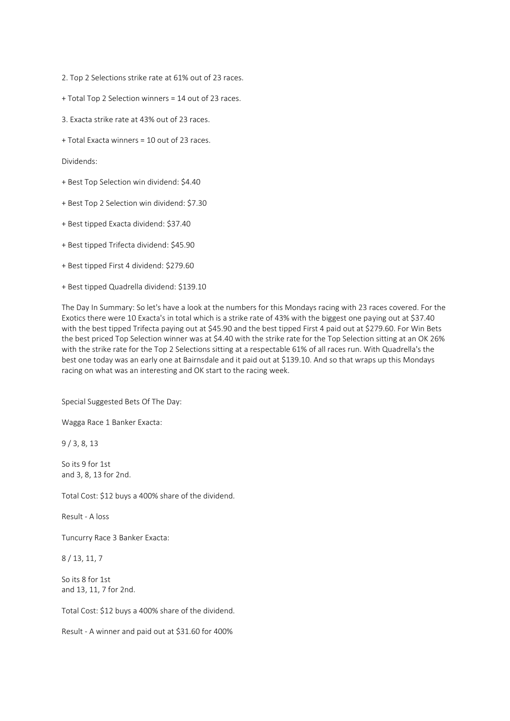2. Top 2 Selections strike rate at 61% out of 23 races.

+ Total Top 2 Selection winners = 14 out of 23 races.

3. Exacta strike rate at 43% out of 23 races.

+ Total Exacta winners = 10 out of 23 races.

Dividends:

+ Best Top Selection win dividend: \$4.40

+ Best Top 2 Selection win dividend: \$7.30

+ Best tipped Exacta dividend: \$37.40

+ Best tipped Trifecta dividend: \$45.90

+ Best tipped First 4 dividend: \$279.60

+ Best tipped Quadrella dividend: \$139.10

The Day In Summary: So let's have a look at the numbers for this Mondays racing with 23 races covered. For the Exotics there were 10 Exacta's in total which is a strike rate of 43% with the biggest one paying out at \$37.40 with the best tipped Trifecta paying out at \$45.90 and the best tipped First 4 paid out at \$279.60. For Win Bets the best priced Top Selection winner was at \$4.40 with the strike rate for the Top Selection sitting at an OK 26% with the strike rate for the Top 2 Selections sitting at a respectable 61% of all races run. With Quadrella's the best one today was an early one at Bairnsdale and it paid out at \$139.10. And so that wraps up this Mondays racing on what was an interesting and OK start to the racing week.

Special Suggested Bets Of The Day:

Wagga Race 1 Banker Exacta:

9 / 3, 8, 13

So its 9 for 1st and 3, 8, 13 for 2nd.

Total Cost: \$12 buys a 400% share of the dividend.

Result - A loss

Tuncurry Race 3 Banker Exacta:

8 / 13, 11, 7

So its 8 for 1st and 13, 11, 7 for 2nd.

Total Cost: \$12 buys a 400% share of the dividend.

Result - A winner and paid out at \$31.60 for 400%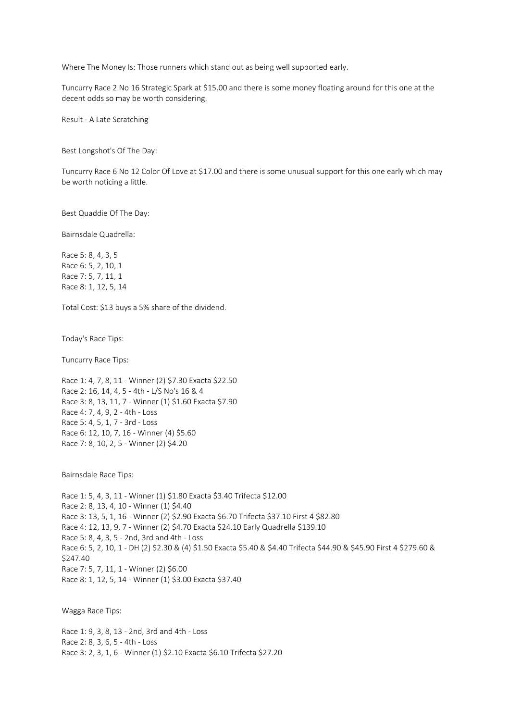Where The Money Is: Those runners which stand out as being well supported early.

Tuncurry Race 2 No 16 Strategic Spark at \$15.00 and there is some money floating around for this one at the decent odds so may be worth considering.

Result - A Late Scratching

Best Longshot's Of The Day:

Tuncurry Race 6 No 12 Color Of Love at \$17.00 and there is some unusual support for this one early which may be worth noticing a little.

Best Quaddie Of The Day:

Bairnsdale Quadrella:

Race 5: 8, 4, 3, 5 Race 6: 5, 2, 10, 1 Race 7: 5, 7, 11, 1 Race 8: 1, 12, 5, 14

Total Cost: \$13 buys a 5% share of the dividend.

Today's Race Tips:

Tuncurry Race Tips:

Race 1: 4, 7, 8, 11 - Winner (2) \$7.30 Exacta \$22.50 Race 2: 16, 14, 4, 5 - 4th - L/S No's 16 & 4 Race 3: 8, 13, 11, 7 - Winner (1) \$1.60 Exacta \$7.90 Race 4: 7, 4, 9, 2 - 4th - Loss Race 5: 4, 5, 1, 7 - 3rd - Loss Race 6: 12, 10, 7, 16 - Winner (4) \$5.60 Race 7: 8, 10, 2, 5 - Winner (2) \$4.20

Bairnsdale Race Tips:

Race 1: 5, 4, 3, 11 - Winner (1) \$1.80 Exacta \$3.40 Trifecta \$12.00 Race 2: 8, 13, 4, 10 - Winner (1) \$4.40 Race 3: 13, 5, 1, 16 - Winner (2) \$2.90 Exacta \$6.70 Trifecta \$37.10 First 4 \$82.80 Race 4: 12, 13, 9, 7 - Winner (2) \$4.70 Exacta \$24.10 Early Quadrella \$139.10 Race 5: 8, 4, 3, 5 - 2nd, 3rd and 4th - Loss Race 6: 5, 2, 10, 1 - DH (2) \$2.30 & (4) \$1.50 Exacta \$5.40 & \$4.40 Trifecta \$44.90 & \$45.90 First 4 \$279.60 & \$247.40 Race 7: 5, 7, 11, 1 - Winner (2) \$6.00 Race 8: 1, 12, 5, 14 - Winner (1) \$3.00 Exacta \$37.40

Wagga Race Tips:

Race 1: 9, 3, 8, 13 - 2nd, 3rd and 4th - Loss Race 2: 8, 3, 6, 5 - 4th - Loss Race 3: 2, 3, 1, 6 - Winner (1) \$2.10 Exacta \$6.10 Trifecta \$27.20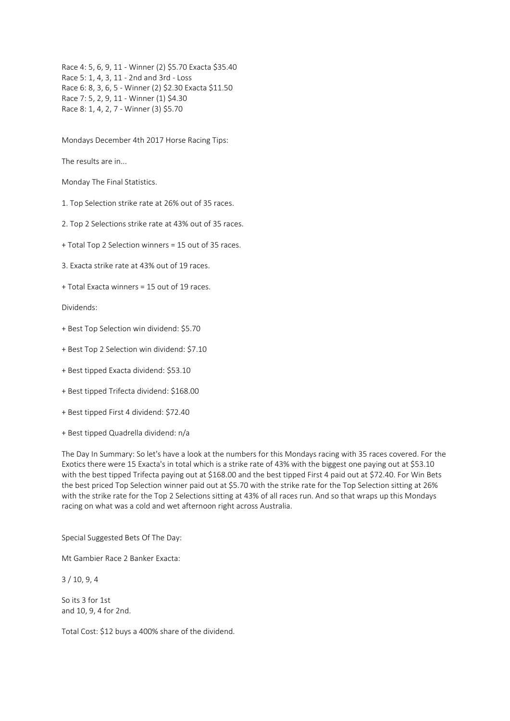Race 4: 5, 6, 9, 11 - Winner (2) \$5.70 Exacta \$35.40 Race 5: 1, 4, 3, 11 - 2nd and 3rd - Loss Race 6: 8, 3, 6, 5 - Winner (2) \$2.30 Exacta \$11.50 Race 7: 5, 2, 9, 11 - Winner (1) \$4.30 Race 8: 1, 4, 2, 7 - Winner (3) \$5.70

Mondays December 4th 2017 Horse Racing Tips:

The results are in...

Monday The Final Statistics.

1. Top Selection strike rate at 26% out of 35 races.

2. Top 2 Selections strike rate at 43% out of 35 races.

+ Total Top 2 Selection winners = 15 out of 35 races.

3. Exacta strike rate at 43% out of 19 races.

+ Total Exacta winners = 15 out of 19 races.

Dividends:

- + Best Top Selection win dividend: \$5.70
- + Best Top 2 Selection win dividend: \$7.10
- + Best tipped Exacta dividend: \$53.10
- + Best tipped Trifecta dividend: \$168.00
- + Best tipped First 4 dividend: \$72.40
- + Best tipped Quadrella dividend: n/a

The Day In Summary: So let's have a look at the numbers for this Mondays racing with 35 races covered. For the Exotics there were 15 Exacta's in total which is a strike rate of 43% with the biggest one paying out at \$53.10 with the best tipped Trifecta paying out at \$168.00 and the best tipped First 4 paid out at \$72.40. For Win Bets the best priced Top Selection winner paid out at \$5.70 with the strike rate for the Top Selection sitting at 26% with the strike rate for the Top 2 Selections sitting at 43% of all races run. And so that wraps up this Mondays racing on what was a cold and wet afternoon right across Australia.

Special Suggested Bets Of The Day:

Mt Gambier Race 2 Banker Exacta:

3 / 10, 9, 4

So its 3 for 1st and 10, 9, 4 for 2nd.

Total Cost: \$12 buys a 400% share of the dividend.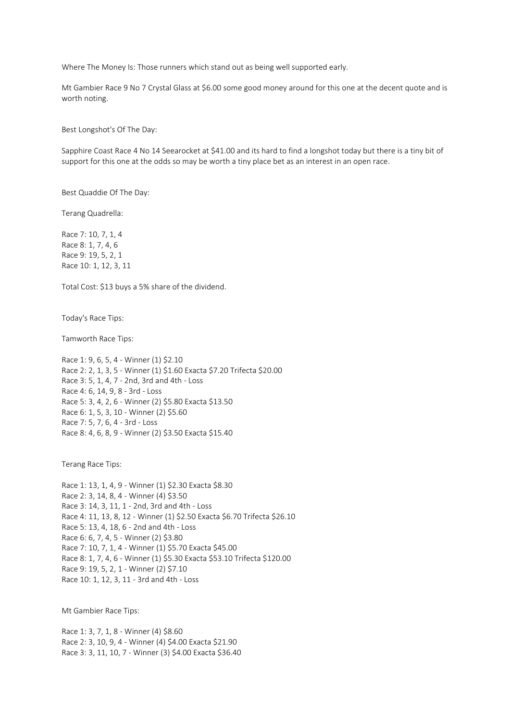Where The Money Is: Those runners which stand out as being well supported early.

Mt Gambier Race 9 No 7 Crystal Glass at \$6.00 some good money around for this one at the decent quote and is worth noting.

Best Longshot's Of The Day:

Sapphire Coast Race 4 No 14 Seearocket at \$41.00 and its hard to find a longshot today but there is a tiny bit of support for this one at the odds so may be worth a tiny place bet as an interest in an open race.

Best Quaddie Of The Day:

Terang Quadrella:

Race 7: 10, 7, 1, 4 Race 8: 1, 7, 4, 6 Race 9: 19, 5, 2, 1 Race 10: 1, 12, 3, 11

Total Cost: \$13 buys a 5% share of the dividend.

Today's Race Tips:

Tamworth Race Tips:

Race 1: 9, 6, 5, 4 - Winner (1) \$2.10 Race 2: 2, 1, 3, 5 - Winner (1) \$1.60 Exacta \$7.20 Trifecta \$20.00 Race 3: 5, 1, 4, 7 - 2nd, 3rd and 4th - Loss Race 4: 6, 14, 9, 8 - 3rd - Loss Race 5: 3, 4, 2, 6 - Winner (2) \$5.80 Exacta \$13.50 Race 6: 1, 5, 3, 10 - Winner (2) \$5.60 Race 7: 5, 7, 6, 4 - 3rd - Loss Race 8: 4, 6, 8, 9 - Winner (2) \$3.50 Exacta \$15.40

Terang Race Tips:

Race 1: 13, 1, 4, 9 - Winner (1) \$2.30 Exacta \$8.30 Race 2: 3, 14, 8, 4 - Winner (4) \$3.50 Race 3: 14, 3, 11, 1 - 2nd, 3rd and 4th - Loss Race 4: 11, 13, 8, 12 - Winner (1) \$2.50 Exacta \$6.70 Trifecta \$26.10 Race 5: 13, 4, 18, 6 - 2nd and 4th - Loss Race 6: 6, 7, 4, 5 - Winner (2) \$3.80 Race 7: 10, 7, 1, 4 - Winner (1) \$5.70 Exacta \$45.00 Race 8: 1, 7, 4, 6 - Winner (1) \$5.30 Exacta \$53.10 Trifecta \$120.00 Race 9: 19, 5, 2, 1 - Winner (2) \$7.10 Race 10: 1, 12, 3, 11 - 3rd and 4th - Loss

Mt Gambier Race Tips:

Race 1: 3, 7, 1, 8 - Winner (4) \$8.60 Race 2: 3, 10, 9, 4 - Winner (4) \$4.00 Exacta \$21.90 Race 3: 3, 11, 10, 7 - Winner (3) \$4.00 Exacta \$36.40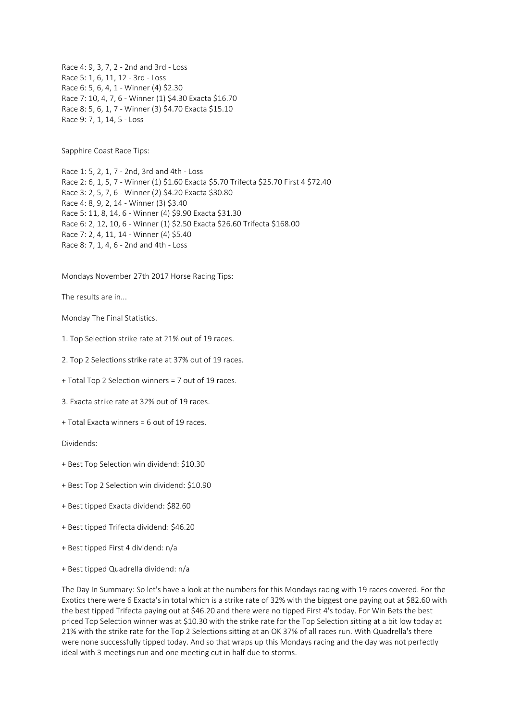Race 4: 9, 3, 7, 2 - 2nd and 3rd - Loss Race 5: 1, 6, 11, 12 - 3rd - Loss Race 6: 5, 6, 4, 1 - Winner (4) \$2.30 Race 7: 10, 4, 7, 6 - Winner (1) \$4.30 Exacta \$16.70 Race 8: 5, 6, 1, 7 - Winner (3) \$4.70 Exacta \$15.10 Race 9: 7, 1, 14, 5 - Loss

Sapphire Coast Race Tips:

Race 1: 5, 2, 1, 7 - 2nd, 3rd and 4th - Loss Race 2: 6, 1, 5, 7 - Winner (1) \$1.60 Exacta \$5.70 Trifecta \$25.70 First 4 \$72.40 Race 3: 2, 5, 7, 6 - Winner (2) \$4.20 Exacta \$30.80 Race 4: 8, 9, 2, 14 - Winner (3) \$3.40 Race 5: 11, 8, 14, 6 - Winner (4) \$9.90 Exacta \$31.30 Race 6: 2, 12, 10, 6 - Winner (1) \$2.50 Exacta \$26.60 Trifecta \$168.00 Race 7: 2, 4, 11, 14 - Winner (4) \$5.40 Race 8: 7, 1, 4, 6 - 2nd and 4th - Loss

Mondays November 27th 2017 Horse Racing Tips:

The results are in...

Monday The Final Statistics.

1. Top Selection strike rate at 21% out of 19 races.

2. Top 2 Selections strike rate at 37% out of 19 races.

+ Total Top 2 Selection winners = 7 out of 19 races.

3. Exacta strike rate at 32% out of 19 races.

+ Total Exacta winners = 6 out of 19 races.

Dividends:

- + Best Top Selection win dividend: \$10.30
- + Best Top 2 Selection win dividend: \$10.90
- + Best tipped Exacta dividend: \$82.60
- + Best tipped Trifecta dividend: \$46.20
- + Best tipped First 4 dividend: n/a
- + Best tipped Quadrella dividend: n/a

The Day In Summary: So let's have a look at the numbers for this Mondays racing with 19 races covered. For the Exotics there were 6 Exacta's in total which is a strike rate of 32% with the biggest one paying out at \$82.60 with the best tipped Trifecta paying out at \$46.20 and there were no tipped First 4's today. For Win Bets the best priced Top Selection winner was at \$10.30 with the strike rate for the Top Selection sitting at a bit low today at 21% with the strike rate for the Top 2 Selections sitting at an OK 37% of all races run. With Quadrella's there were none successfully tipped today. And so that wraps up this Mondays racing and the day was not perfectly ideal with 3 meetings run and one meeting cut in half due to storms.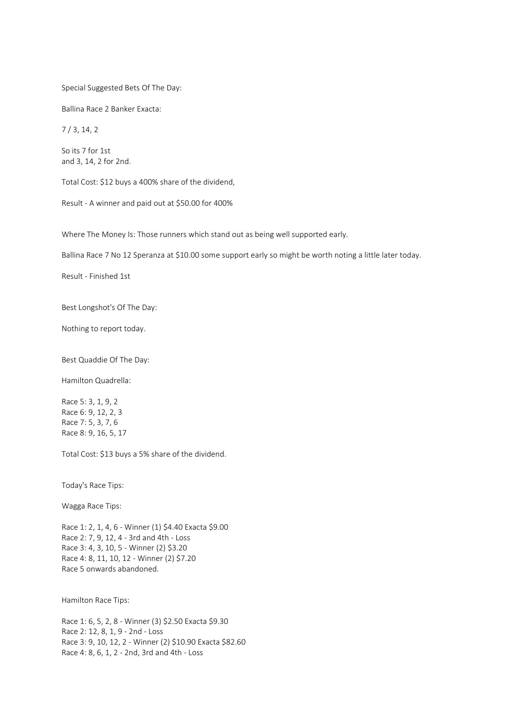Special Suggested Bets Of The Day:

Ballina Race 2 Banker Exacta:

7 / 3, 14, 2

So its 7 for 1st and 3, 14, 2 for 2nd.

Total Cost: \$12 buys a 400% share of the dividend,

Result - A winner and paid out at \$50.00 for 400%

Where The Money Is: Those runners which stand out as being well supported early.

Ballina Race 7 No 12 Speranza at \$10.00 some support early so might be worth noting a little later today.

Result - Finished 1st

Best Longshot's Of The Day:

Nothing to report today.

Best Quaddie Of The Day:

Hamilton Quadrella:

Race 5: 3, 1, 9, 2 Race 6: 9, 12, 2, 3 Race 7: 5, 3, 7, 6 Race 8: 9, 16, 5, 17

Total Cost: \$13 buys a 5% share of the dividend.

Today's Race Tips:

Wagga Race Tips:

Race 1: 2, 1, 4, 6 - Winner (1) \$4.40 Exacta \$9.00 Race 2: 7, 9, 12, 4 - 3rd and 4th - Loss Race 3: 4, 3, 10, 5 - Winner (2) \$3.20 Race 4: 8, 11, 10, 12 - Winner (2) \$7.20 Race 5 onwards abandoned.

Hamilton Race Tips:

Race 1: 6, 5, 2, 8 - Winner (3) \$2.50 Exacta \$9.30 Race 2: 12, 8, 1, 9 - 2nd - Loss Race 3: 9, 10, 12, 2 - Winner (2) \$10.90 Exacta \$82.60 Race 4: 8, 6, 1, 2 - 2nd, 3rd and 4th - Loss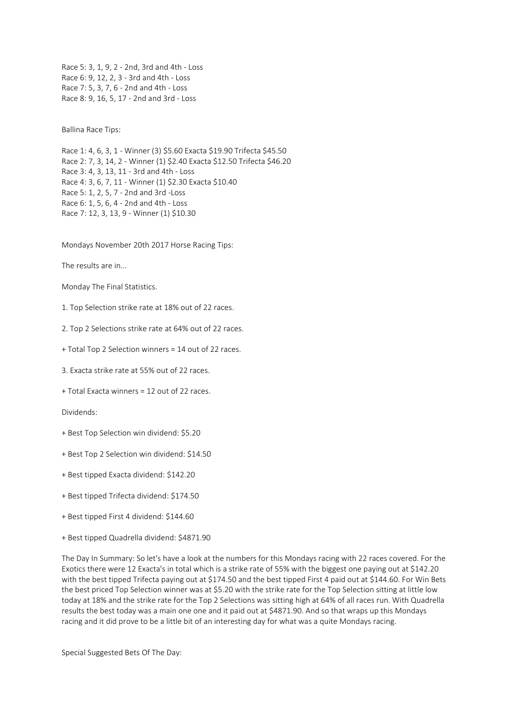Race 5: 3, 1, 9, 2 - 2nd, 3rd and 4th - Loss Race 6: 9, 12, 2, 3 - 3rd and 4th - Loss Race 7: 5, 3, 7, 6 - 2nd and 4th - Loss Race 8: 9, 16, 5, 17 - 2nd and 3rd - Loss

Ballina Race Tips:

Race 1: 4, 6, 3, 1 - Winner (3) \$5.60 Exacta \$19.90 Trifecta \$45.50 Race 2: 7, 3, 14, 2 - Winner (1) \$2.40 Exacta \$12.50 Trifecta \$46.20 Race 3: 4, 3, 13, 11 - 3rd and 4th - Loss Race 4: 3, 6, 7, 11 - Winner (1) \$2.30 Exacta \$10.40 Race 5: 1, 2, 5, 7 - 2nd and 3rd -Loss Race 6: 1, 5, 6, 4 - 2nd and 4th - Loss Race 7: 12, 3, 13, 9 - Winner (1) \$10.30

Mondays November 20th 2017 Horse Racing Tips:

The results are in...

Monday The Final Statistics.

1. Top Selection strike rate at 18% out of 22 races.

2. Top 2 Selections strike rate at 64% out of 22 races.

+ Total Top 2 Selection winners = 14 out of 22 races.

3. Exacta strike rate at 55% out of 22 races.

+ Total Exacta winners = 12 out of 22 races.

Dividends:

- + Best Top Selection win dividend: \$5.20
- + Best Top 2 Selection win dividend: \$14.50
- + Best tipped Exacta dividend: \$142.20
- + Best tipped Trifecta dividend: \$174.50
- + Best tipped First 4 dividend: \$144.60
- + Best tipped Quadrella dividend: \$4871.90

The Day In Summary: So let's have a look at the numbers for this Mondays racing with 22 races covered. For the Exotics there were 12 Exacta's in total which is a strike rate of 55% with the biggest one paying out at \$142.20 with the best tipped Trifecta paying out at \$174.50 and the best tipped First 4 paid out at \$144.60. For Win Bets the best priced Top Selection winner was at \$5.20 with the strike rate for the Top Selection sitting at little low today at 18% and the strike rate for the Top 2 Selections was sitting high at 64% of all races run. With Quadrella results the best today was a main one one and it paid out at \$4871.90. And so that wraps up this Mondays racing and it did prove to be a little bit of an interesting day for what was a quite Mondays racing.

Special Suggested Bets Of The Day: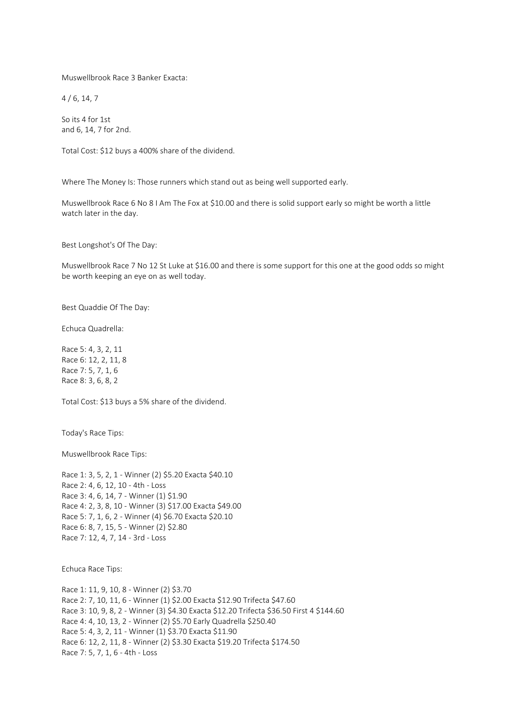Muswellbrook Race 3 Banker Exacta:

4 / 6, 14, 7

So its 4 for 1st and 6, 14, 7 for 2nd.

Total Cost: \$12 buys a 400% share of the dividend.

Where The Money Is: Those runners which stand out as being well supported early.

Muswellbrook Race 6 No 8 I Am The Fox at \$10.00 and there is solid support early so might be worth a little watch later in the day.

Best Longshot's Of The Day:

Muswellbrook Race 7 No 12 St Luke at \$16.00 and there is some support for this one at the good odds so might be worth keeping an eye on as well today.

Best Quaddie Of The Day:

Echuca Quadrella:

Race 5: 4, 3, 2, 11 Race 6: 12, 2, 11, 8 Race 7: 5, 7, 1, 6 Race 8: 3, 6, 8, 2

Total Cost: \$13 buys a 5% share of the dividend.

Today's Race Tips:

Muswellbrook Race Tips:

Race 1: 3, 5, 2, 1 - Winner (2) \$5.20 Exacta \$40.10 Race 2: 4, 6, 12, 10 - 4th - Loss Race 3: 4, 6, 14, 7 - Winner (1) \$1.90 Race 4: 2, 3, 8, 10 - Winner (3) \$17.00 Exacta \$49.00 Race 5: 7, 1, 6, 2 - Winner (4) \$6.70 Exacta \$20.10 Race 6: 8, 7, 15, 5 - Winner (2) \$2.80 Race 7: 12, 4, 7, 14 - 3rd - Loss

Echuca Race Tips:

Race 1: 11, 9, 10, 8 - Winner (2) \$3.70 Race 2: 7, 10, 11, 6 - Winner (1) \$2.00 Exacta \$12.90 Trifecta \$47.60 Race 3: 10, 9, 8, 2 - Winner (3) \$4.30 Exacta \$12.20 Trifecta \$36.50 First 4 \$144.60 Race 4: 4, 10, 13, 2 - Winner (2) \$5.70 Early Quadrella \$250.40 Race 5: 4, 3, 2, 11 - Winner (1) \$3.70 Exacta \$11.90 Race 6: 12, 2, 11, 8 - Winner (2) \$3.30 Exacta \$19.20 Trifecta \$174.50 Race 7: 5, 7, 1, 6 - 4th - Loss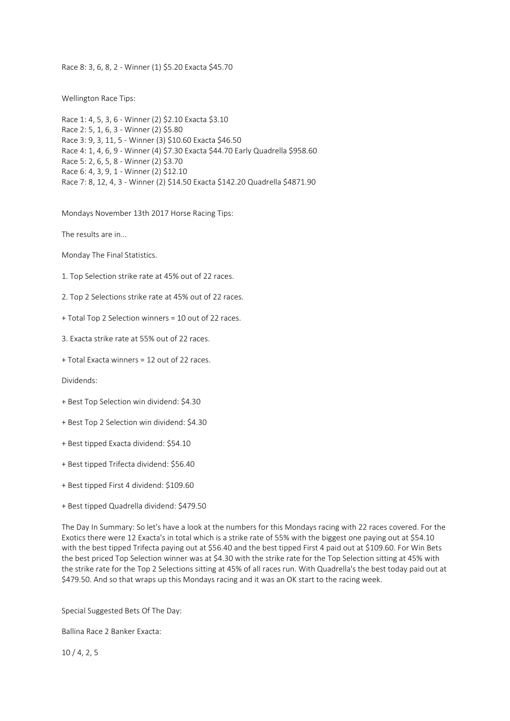Race 8: 3, 6, 8, 2 - Winner (1) \$5.20 Exacta \$45.70

Wellington Race Tips:

Race 1: 4, 5, 3, 6 - Winner (2) \$2.10 Exacta \$3.10 Race 2: 5, 1, 6, 3 - Winner (2) \$5.80 Race 3: 9, 3, 11, 5 - Winner (3) \$10.60 Exacta \$46.50 Race 4: 1, 4, 6, 9 - Winner (4) \$7.30 Exacta \$44.70 Early Quadrella \$958.60 Race 5: 2, 6, 5, 8 - Winner (2) \$3.70 Race 6: 4, 3, 9, 1 - Winner (2) \$12.10 Race 7: 8, 12, 4, 3 - Winner (2) \$14.50 Exacta \$142.20 Quadrella \$4871.90

Mondays November 13th 2017 Horse Racing Tips:

The results are in...

Monday The Final Statistics.

1. Top Selection strike rate at 45% out of 22 races.

2. Top 2 Selections strike rate at 45% out of 22 races.

+ Total Top 2 Selection winners = 10 out of 22 races.

3. Exacta strike rate at 55% out of 22 races.

+ Total Exacta winners = 12 out of 22 races.

Dividends:

+ Best Top Selection win dividend: \$4.30

+ Best Top 2 Selection win dividend: \$4.30

+ Best tipped Exacta dividend: \$54.10

+ Best tipped Trifecta dividend: \$56.40

+ Best tipped First 4 dividend: \$109.60

+ Best tipped Quadrella dividend: \$479.50

The Day In Summary: So let's have a look at the numbers for this Mondays racing with 22 races covered. For the Exotics there were 12 Exacta's in total which is a strike rate of 55% with the biggest one paying out at \$54.10 with the best tipped Trifecta paying out at \$56.40 and the best tipped First 4 paid out at \$109.60. For Win Bets the best priced Top Selection winner was at \$4.30 with the strike rate for the Top Selection sitting at 45% with the strike rate for the Top 2 Selections sitting at 45% of all races run. With Quadrella's the best today paid out at \$479.50. And so that wraps up this Mondays racing and it was an OK start to the racing week.

Special Suggested Bets Of The Day:

Ballina Race 2 Banker Exacta:

10 / 4, 2, 5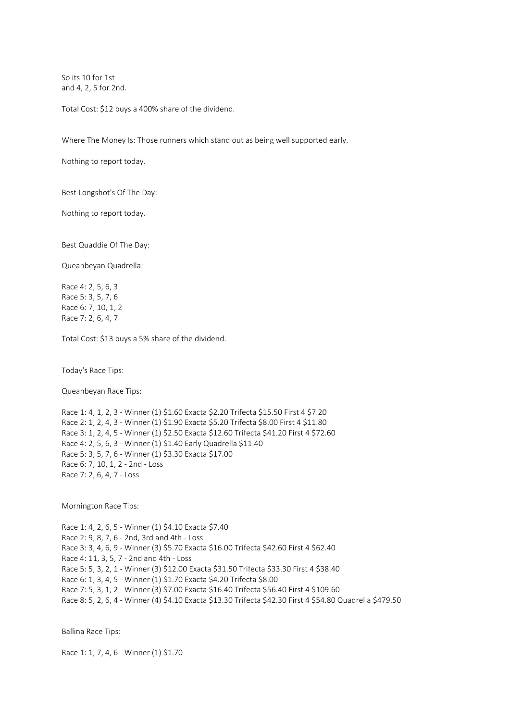So its 10 for 1st and 4, 2, 5 for 2nd.

Total Cost: \$12 buys a 400% share of the dividend.

Where The Money Is: Those runners which stand out as being well supported early.

Nothing to report today.

Best Longshot's Of The Day:

Nothing to report today.

Best Quaddie Of The Day:

Queanbeyan Quadrella:

Race 4: 2, 5, 6, 3 Race 5: 3, 5, 7, 6 Race 6: 7, 10, 1, 2 Race 7: 2, 6, 4, 7

Total Cost: \$13 buys a 5% share of the dividend.

Today's Race Tips:

Queanbeyan Race Tips:

Race 1: 4, 1, 2, 3 - Winner (1) \$1.60 Exacta \$2.20 Trifecta \$15.50 First 4 \$7.20 Race 2: 1, 2, 4, 3 - Winner (1) \$1.90 Exacta \$5.20 Trifecta \$8.00 First 4 \$11.80 Race 3: 1, 2, 4, 5 - Winner (1) \$2.50 Exacta \$12.60 Trifecta \$41.20 First 4 \$72.60 Race 4: 2, 5, 6, 3 - Winner (1) \$1.40 Early Quadrella \$11.40 Race 5: 3, 5, 7, 6 - Winner (1) \$3.30 Exacta \$17.00 Race 6: 7, 10, 1, 2 - 2nd - Loss Race 7: 2, 6, 4, 7 - Loss

Mornington Race Tips:

Race 1: 4, 2, 6, 5 - Winner (1) \$4.10 Exacta \$7.40 Race 2: 9, 8, 7, 6 - 2nd, 3rd and 4th - Loss Race 3: 3, 4, 6, 9 - Winner (3) \$5.70 Exacta \$16.00 Trifecta \$42.60 First 4 \$62.40 Race 4: 11, 3, 5, 7 - 2nd and 4th - Loss Race 5: 5, 3, 2, 1 - Winner (3) \$12.00 Exacta \$31.50 Trifecta \$33.30 First 4 \$38.40 Race 6: 1, 3, 4, 5 - Winner (1) \$1.70 Exacta \$4.20 Trifecta \$8.00 Race 7: 5, 3, 1, 2 - Winner (3) \$7.00 Exacta \$16.40 Trifecta \$56.40 First 4 \$109.60 Race 8: 5, 2, 6, 4 - Winner (4) \$4.10 Exacta \$13.30 Trifecta \$42.30 First 4 \$54.80 Quadrella \$479.50

Ballina Race Tips:

Race 1: 1, 7, 4, 6 - Winner (1) \$1.70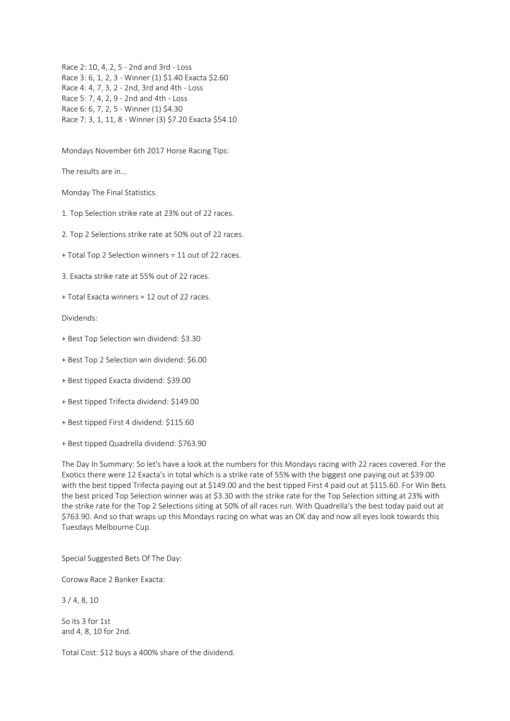Race 2: 10, 4, 2, 5 - 2nd and 3rd - Loss Race 3: 6, 1, 2, 3 - Winner (1) \$1.40 Exacta \$2.60 Race 4: 4, 7, 3, 2 - 2nd, 3rd and 4th - Loss Race 5: 7, 4, 2, 9 - 2nd and 4th - Loss Race 6: 6, 7, 2, 5 - Winner (1) \$4.30 Race 7: 3, 1, 11, 8 - Winner (3) \$7.20 Exacta \$54.10

Mondays November 6th 2017 Horse Racing Tips:

The results are in...

Monday The Final Statistics.

1. Top Selection strike rate at 23% out of 22 races.

2. Top 2 Selections strike rate at 50% out of 22 races.

+ Total Top 2 Selection winners = 11 out of 22 races.

3. Exacta strike rate at 55% out of 22 races.

+ Total Exacta winners = 12 out of 22 races.

Dividends:

- + Best Top Selection win dividend: \$3.30
- + Best Top 2 Selection win dividend: \$6.00
- + Best tipped Exacta dividend: \$39.00
- + Best tipped Trifecta dividend: \$149.00
- + Best tipped First 4 dividend: \$115.60
- + Best tipped Quadrella dividend: \$763.90

The Day In Summary: So let's have a look at the numbers for this Mondays racing with 22 races covered. For the Exotics there were 12 Exacta's in total which is a strike rate of 55% with the biggest one paying out at \$39.00 with the best tipped Trifecta paying out at \$149.00 and the best tipped First 4 paid out at \$115.60. For Win Bets the best priced Top Selection winner was at \$3.30 with the strike rate for the Top Selection sitting at 23% with the strike rate for the Top 2 Selections siting at 50% of all races run. With Quadrella's the best today paid out at \$763.90. And so that wraps up this Mondays racing on what was an OK day and now all eyes look towards this Tuesdays Melbourne Cup.

Special Suggested Bets Of The Day:

Corowa Race 2 Banker Exacta:

3 / 4, 8, 10

So its 3 for 1st and 4, 8, 10 for 2nd.

Total Cost: \$12 buys a 400% share of the dividend.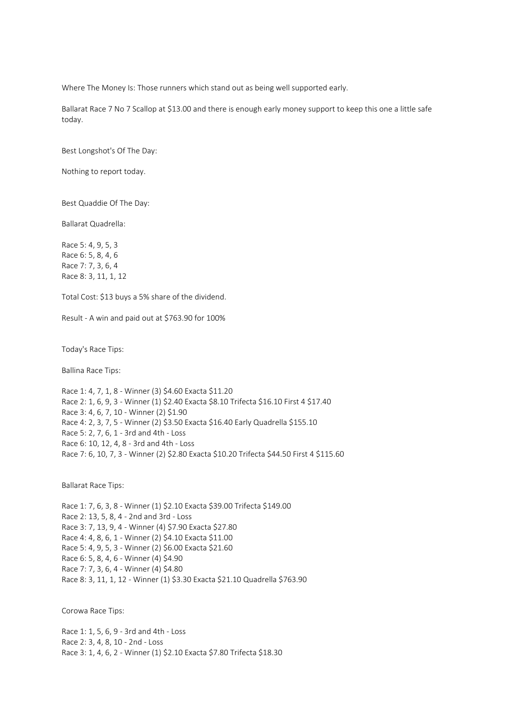Where The Money Is: Those runners which stand out as being well supported early.

Ballarat Race 7 No 7 Scallop at \$13.00 and there is enough early money support to keep this one a little safe today.

Best Longshot's Of The Day:

Nothing to report today.

Best Quaddie Of The Day:

Ballarat Quadrella:

Race 5: 4, 9, 5, 3 Race 6: 5, 8, 4, 6 Race 7: 7, 3, 6, 4 Race 8: 3, 11, 1, 12

Total Cost: \$13 buys a 5% share of the dividend.

Result - A win and paid out at \$763.90 for 100%

Today's Race Tips:

Ballina Race Tips:

Race 1: 4, 7, 1, 8 - Winner (3) \$4.60 Exacta \$11.20 Race 2: 1, 6, 9, 3 - Winner (1) \$2.40 Exacta \$8.10 Trifecta \$16.10 First 4 \$17.40 Race 3: 4, 6, 7, 10 - Winner (2) \$1.90 Race 4: 2, 3, 7, 5 - Winner (2) \$3.50 Exacta \$16.40 Early Quadrella \$155.10 Race 5: 2, 7, 6, 1 - 3rd and 4th - Loss Race 6: 10, 12, 4, 8 - 3rd and 4th - Loss Race 7: 6, 10, 7, 3 - Winner (2) \$2.80 Exacta \$10.20 Trifecta \$44.50 First 4 \$115.60

Ballarat Race Tips:

Race 1: 7, 6, 3, 8 - Winner (1) \$2.10 Exacta \$39.00 Trifecta \$149.00 Race 2: 13, 5, 8, 4 - 2nd and 3rd - Loss Race 3: 7, 13, 9, 4 - Winner (4) \$7.90 Exacta \$27.80 Race 4: 4, 8, 6, 1 - Winner (2) \$4.10 Exacta \$11.00 Race 5: 4, 9, 5, 3 - Winner (2) \$6.00 Exacta \$21.60 Race 6: 5, 8, 4, 6 - Winner (4) \$4.90 Race 7: 7, 3, 6, 4 - Winner (4) \$4.80 Race 8: 3, 11, 1, 12 - Winner (1) \$3.30 Exacta \$21.10 Quadrella \$763.90

Corowa Race Tips:

Race 1: 1, 5, 6, 9 - 3rd and 4th - Loss Race 2: 3, 4, 8, 10 - 2nd - Loss Race 3: 1, 4, 6, 2 - Winner (1) \$2.10 Exacta \$7.80 Trifecta \$18.30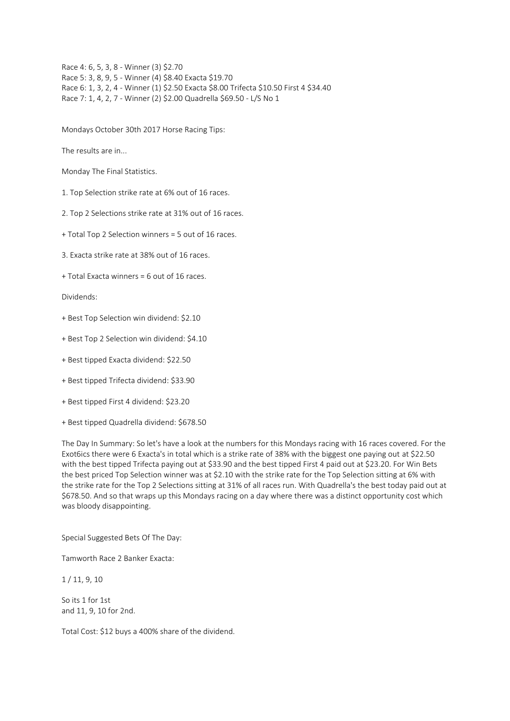Race 4: 6, 5, 3, 8 - Winner (3) \$2.70 Race 5: 3, 8, 9, 5 - Winner (4) \$8.40 Exacta \$19.70 Race 6: 1, 3, 2, 4 - Winner (1) \$2.50 Exacta \$8.00 Trifecta \$10.50 First 4 \$34.40 Race 7: 1, 4, 2, 7 - Winner (2) \$2.00 Quadrella \$69.50 - L/S No 1

Mondays October 30th 2017 Horse Racing Tips:

The results are in...

Monday The Final Statistics.

1. Top Selection strike rate at 6% out of 16 races.

2. Top 2 Selections strike rate at 31% out of 16 races.

+ Total Top 2 Selection winners = 5 out of 16 races.

3. Exacta strike rate at 38% out of 16 races.

+ Total Exacta winners = 6 out of 16 races.

Dividends:

- + Best Top Selection win dividend: \$2.10
- + Best Top 2 Selection win dividend: \$4.10
- + Best tipped Exacta dividend: \$22.50
- + Best tipped Trifecta dividend: \$33.90
- + Best tipped First 4 dividend: \$23.20
- + Best tipped Quadrella dividend: \$678.50

The Day In Summary: So let's have a look at the numbers for this Mondays racing with 16 races covered. For the Exot6ics there were 6 Exacta's in total which is a strike rate of 38% with the biggest one paying out at \$22.50 with the best tipped Trifecta paying out at \$33.90 and the best tipped First 4 paid out at \$23.20. For Win Bets the best priced Top Selection winner was at \$2.10 with the strike rate for the Top Selection sitting at 6% with the strike rate for the Top 2 Selections sitting at 31% of all races run. With Quadrella's the best today paid out at \$678.50. And so that wraps up this Mondays racing on a day where there was a distinct opportunity cost which was bloody disappointing.

Special Suggested Bets Of The Day:

Tamworth Race 2 Banker Exacta:

1 / 11, 9, 10

So its 1 for 1st and 11, 9, 10 for 2nd.

Total Cost: \$12 buys a 400% share of the dividend.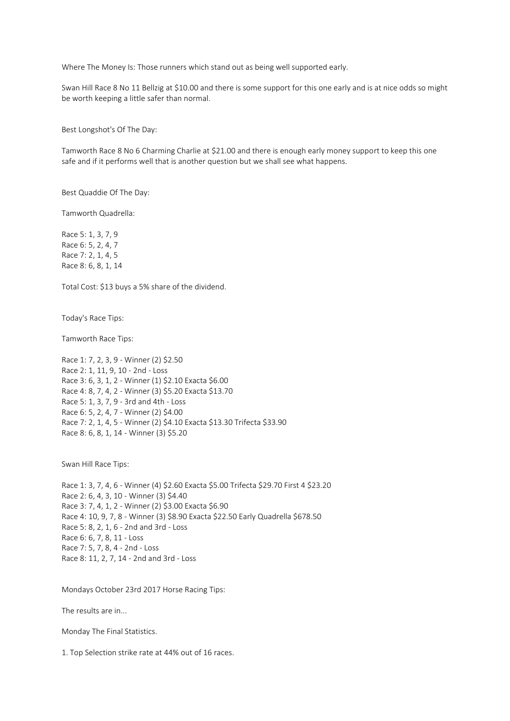Where The Money Is: Those runners which stand out as being well supported early.

Swan Hill Race 8 No 11 Bellzig at \$10.00 and there is some support for this one early and is at nice odds so might be worth keeping a little safer than normal.

Best Longshot's Of The Day:

Tamworth Race 8 No 6 Charming Charlie at \$21.00 and there is enough early money support to keep this one safe and if it performs well that is another question but we shall see what happens.

Best Quaddie Of The Day:

Tamworth Quadrella:

Race 5: 1, 3, 7, 9 Race 6: 5, 2, 4, 7 Race 7: 2, 1, 4, 5 Race 8: 6, 8, 1, 14

Total Cost: \$13 buys a 5% share of the dividend.

Today's Race Tips:

Tamworth Race Tips:

Race 1: 7, 2, 3, 9 - Winner (2) \$2.50 Race 2: 1, 11, 9, 10 - 2nd - Loss Race 3: 6, 3, 1, 2 - Winner (1) \$2.10 Exacta \$6.00 Race 4: 8, 7, 4, 2 - Winner (3) \$5.20 Exacta \$13.70 Race 5: 1, 3, 7, 9 - 3rd and 4th - Loss Race 6: 5, 2, 4, 7 - Winner (2) \$4.00 Race 7: 2, 1, 4, 5 - Winner (2) \$4.10 Exacta \$13.30 Trifecta \$33.90 Race 8: 6, 8, 1, 14 - Winner (3) \$5.20

Swan Hill Race Tips:

Race 1: 3, 7, 4, 6 - Winner (4) \$2.60 Exacta \$5.00 Trifecta \$29.70 First 4 \$23.20 Race 2: 6, 4, 3, 10 - Winner (3) \$4.40 Race 3: 7, 4, 1, 2 - Winner (2) \$3.00 Exacta \$6.90 Race 4: 10, 9, 7, 8 - Winner (3) \$8.90 Exacta \$22.50 Early Quadrella \$678.50 Race 5: 8, 2, 1, 6 - 2nd and 3rd - Loss Race 6: 6, 7, 8, 11 - Loss Race 7: 5, 7, 8, 4 - 2nd - Loss Race 8: 11, 2, 7, 14 - 2nd and 3rd - Loss

Mondays October 23rd 2017 Horse Racing Tips:

The results are in...

Monday The Final Statistics.

1. Top Selection strike rate at 44% out of 16 races.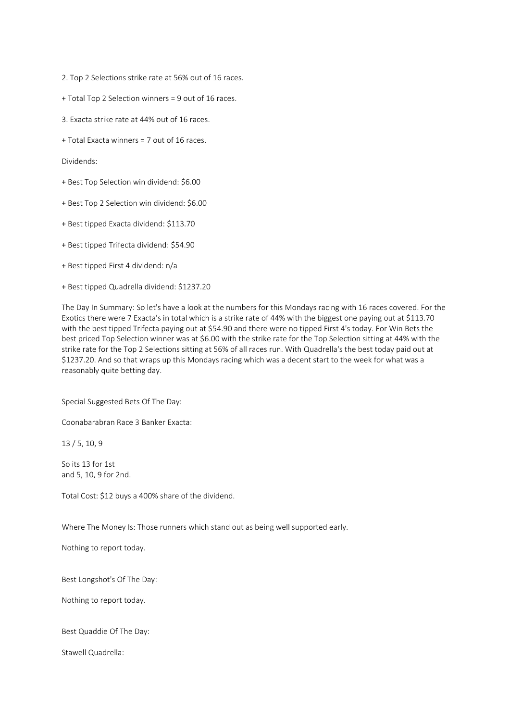2. Top 2 Selections strike rate at 56% out of 16 races.

- + Total Top 2 Selection winners = 9 out of 16 races.
- 3. Exacta strike rate at 44% out of 16 races.
- + Total Exacta winners = 7 out of 16 races.

Dividends:

- + Best Top Selection win dividend: \$6.00
- + Best Top 2 Selection win dividend: \$6.00
- + Best tipped Exacta dividend: \$113.70
- + Best tipped Trifecta dividend: \$54.90
- + Best tipped First 4 dividend: n/a
- + Best tipped Quadrella dividend: \$1237.20

The Day In Summary: So let's have a look at the numbers for this Mondays racing with 16 races covered. For the Exotics there were 7 Exacta's in total which is a strike rate of 44% with the biggest one paying out at \$113.70 with the best tipped Trifecta paying out at \$54.90 and there were no tipped First 4's today. For Win Bets the best priced Top Selection winner was at \$6.00 with the strike rate for the Top Selection sitting at 44% with the strike rate for the Top 2 Selections sitting at 56% of all races run. With Quadrella's the best today paid out at \$1237.20. And so that wraps up this Mondays racing which was a decent start to the week for what was a reasonably quite betting day.

Special Suggested Bets Of The Day:

Coonabarabran Race 3 Banker Exacta:

13 / 5, 10, 9

So its 13 for 1st and 5, 10, 9 for 2nd.

Total Cost: \$12 buys a 400% share of the dividend.

Where The Money Is: Those runners which stand out as being well supported early.

Nothing to report today.

Best Longshot's Of The Day:

Nothing to report today.

Best Quaddie Of The Day:

Stawell Quadrella: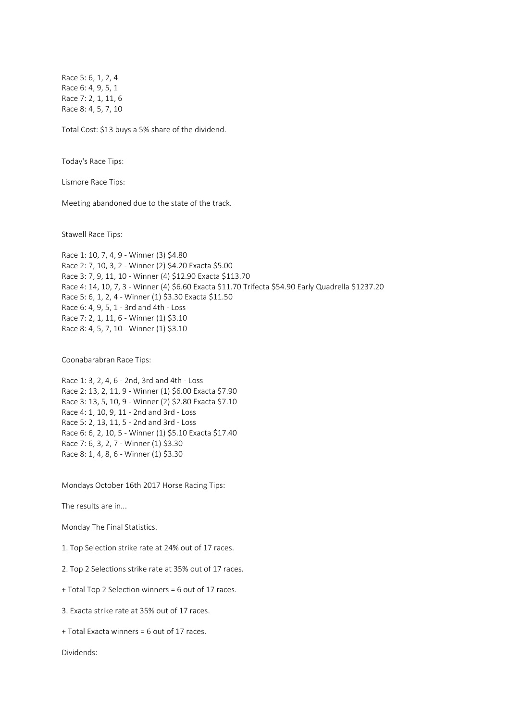Race 5: 6, 1, 2, 4 Race 6: 4, 9, 5, 1 Race 7: 2, 1, 11, 6 Race 8: 4, 5, 7, 10

Total Cost: \$13 buys a 5% share of the dividend.

Today's Race Tips:

Lismore Race Tips:

Meeting abandoned due to the state of the track.

Stawell Race Tips:

Race 1: 10, 7, 4, 9 - Winner (3) \$4.80 Race 2: 7, 10, 3, 2 - Winner (2) \$4.20 Exacta \$5.00 Race 3: 7, 9, 11, 10 - Winner (4) \$12.90 Exacta \$113.70 Race 4: 14, 10, 7, 3 - Winner (4) \$6.60 Exacta \$11.70 Trifecta \$54.90 Early Quadrella \$1237.20 Race 5: 6, 1, 2, 4 - Winner (1) \$3.30 Exacta \$11.50 Race 6: 4, 9, 5, 1 - 3rd and 4th - Loss Race 7: 2, 1, 11, 6 - Winner (1) \$3.10 Race 8: 4, 5, 7, 10 - Winner (1) \$3.10

Coonabarabran Race Tips:

Race 1: 3, 2, 4, 6 - 2nd, 3rd and 4th - Loss Race 2: 13, 2, 11, 9 - Winner (1) \$6.00 Exacta \$7.90 Race 3: 13, 5, 10, 9 - Winner (2) \$2.80 Exacta \$7.10 Race 4: 1, 10, 9, 11 - 2nd and 3rd - Loss Race 5: 2, 13, 11, 5 - 2nd and 3rd - Loss Race 6: 6, 2, 10, 5 - Winner (1) \$5.10 Exacta \$17.40 Race 7: 6, 3, 2, 7 - Winner (1) \$3.30 Race 8: 1, 4, 8, 6 - Winner (1) \$3.30

Mondays October 16th 2017 Horse Racing Tips:

The results are in...

Monday The Final Statistics.

1. Top Selection strike rate at 24% out of 17 races.

2. Top 2 Selections strike rate at 35% out of 17 races.

+ Total Top 2 Selection winners = 6 out of 17 races.

3. Exacta strike rate at 35% out of 17 races.

+ Total Exacta winners = 6 out of 17 races.

Dividends: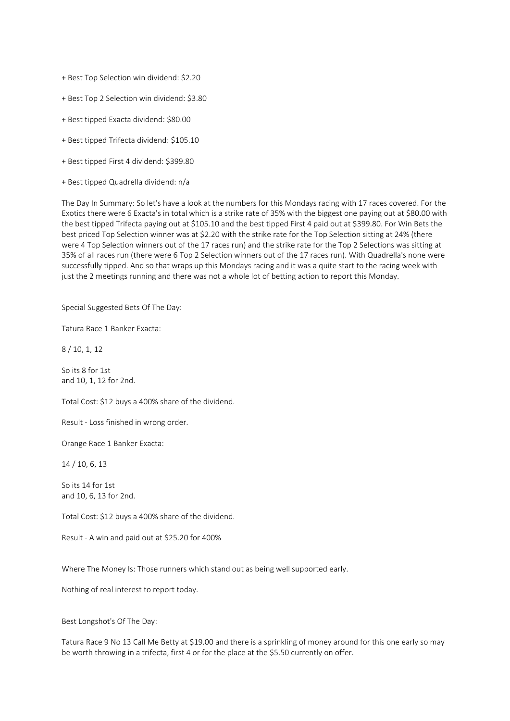+ Best Top Selection win dividend: \$2.20

+ Best Top 2 Selection win dividend: \$3.80

- + Best tipped Exacta dividend: \$80.00
- + Best tipped Trifecta dividend: \$105.10
- + Best tipped First 4 dividend: \$399.80
- + Best tipped Quadrella dividend: n/a

The Day In Summary: So let's have a look at the numbers for this Mondays racing with 17 races covered. For the Exotics there were 6 Exacta's in total which is a strike rate of 35% with the biggest one paying out at \$80.00 with the best tipped Trifecta paying out at \$105.10 and the best tipped First 4 paid out at \$399.80. For Win Bets the best priced Top Selection winner was at \$2.20 with the strike rate for the Top Selection sitting at 24% (there were 4 Top Selection winners out of the 17 races run) and the strike rate for the Top 2 Selections was sitting at 35% of all races run (there were 6 Top 2 Selection winners out of the 17 races run). With Quadrella's none were successfully tipped. And so that wraps up this Mondays racing and it was a quite start to the racing week with just the 2 meetings running and there was not a whole lot of betting action to report this Monday.

Special Suggested Bets Of The Day:

Tatura Race 1 Banker Exacta:

8 / 10, 1, 12

So its 8 for 1st and 10, 1, 12 for 2nd.

Total Cost: \$12 buys a 400% share of the dividend.

Result - Loss finished in wrong order.

Orange Race 1 Banker Exacta:

14 / 10, 6, 13

So its 14 for 1st and 10, 6, 13 for 2nd.

Total Cost: \$12 buys a 400% share of the dividend.

Result - A win and paid out at \$25.20 for 400%

Where The Money Is: Those runners which stand out as being well supported early.

Nothing of real interest to report today.

Best Longshot's Of The Day:

Tatura Race 9 No 13 Call Me Betty at \$19.00 and there is a sprinkling of money around for this one early so may be worth throwing in a trifecta, first 4 or for the place at the \$5.50 currently on offer.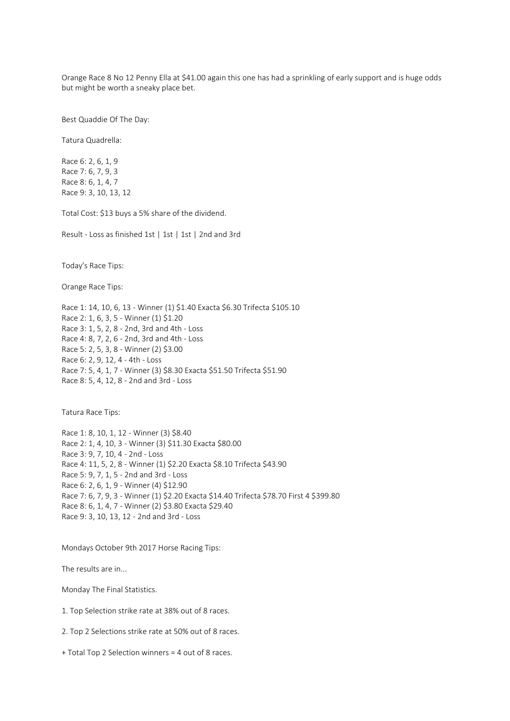Orange Race 8 No 12 Penny Ella at \$41.00 again this one has had a sprinkling of early support and is huge odds but might be worth a sneaky place bet.

Best Quaddie Of The Day:

Tatura Quadrella:

Race 6: 2, 6, 1, 9 Race 7: 6, 7, 9, 3 Race 8: 6, 1, 4, 7 Race 9: 3, 10, 13, 12

Total Cost: \$13 buys a 5% share of the dividend.

Result - Loss as finished 1st | 1st | 1st | 2nd and 3rd

Today's Race Tips:

Orange Race Tips:

Race 1: 14, 10, 6, 13 - Winner (1) \$1.40 Exacta \$6.30 Trifecta \$105.10 Race 2: 1, 6, 3, 5 - Winner (1) \$1.20 Race 3: 1, 5, 2, 8 - 2nd, 3rd and 4th - Loss Race 4: 8, 7, 2, 6 - 2nd, 3rd and 4th - Loss Race 5: 2, 5, 3, 8 - Winner (2) \$3.00 Race 6: 2, 9, 12, 4 - 4th - Loss Race 7: 5, 4, 1, 7 - Winner (3) \$8.30 Exacta \$51.50 Trifecta \$51.90 Race 8: 5, 4, 12, 8 - 2nd and 3rd - Loss

Tatura Race Tips:

Race 1: 8, 10, 1, 12 - Winner (3) \$8.40 Race 2: 1, 4, 10, 3 - Winner (3) \$11.30 Exacta \$80.00 Race 3: 9, 7, 10, 4 - 2nd - Loss Race 4: 11, 5, 2, 8 - Winner (1) \$2.20 Exacta \$8.10 Trifecta \$43.90 Race 5: 9, 7, 1, 5 - 2nd and 3rd - Loss Race 6: 2, 6, 1, 9 - Winner (4) \$12.90 Race 7: 6, 7, 9, 3 - Winner (1) \$2.20 Exacta \$14.40 Trifecta \$78.70 First 4 \$399.80 Race 8: 6, 1, 4, 7 - Winner (2) \$3.80 Exacta \$29.40 Race 9: 3, 10, 13, 12 - 2nd and 3rd - Loss

Mondays October 9th 2017 Horse Racing Tips:

The results are in...

Monday The Final Statistics.

1. Top Selection strike rate at 38% out of 8 races.

2. Top 2 Selections strike rate at 50% out of 8 races.

+ Total Top 2 Selection winners = 4 out of 8 races.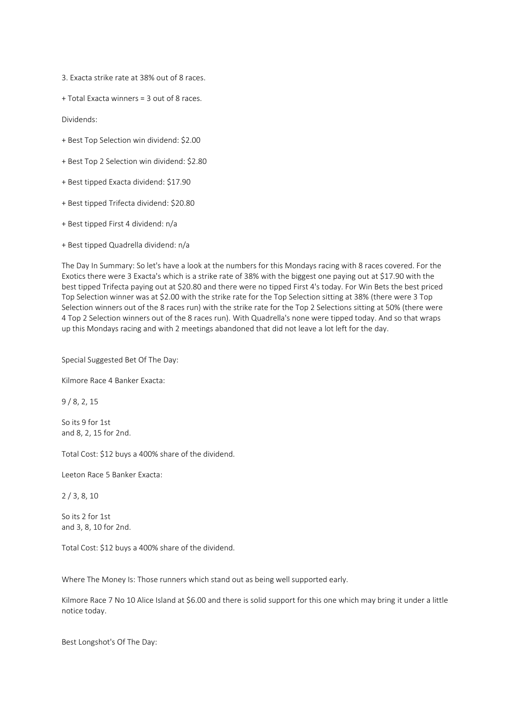3. Exacta strike rate at 38% out of 8 races.

+ Total Exacta winners = 3 out of 8 races.

Dividends:

- + Best Top Selection win dividend: \$2.00
- + Best Top 2 Selection win dividend: \$2.80
- + Best tipped Exacta dividend: \$17.90
- + Best tipped Trifecta dividend: \$20.80
- + Best tipped First 4 dividend: n/a
- + Best tipped Quadrella dividend: n/a

The Day In Summary: So let's have a look at the numbers for this Mondays racing with 8 races covered. For the Exotics there were 3 Exacta's which is a strike rate of 38% with the biggest one paying out at \$17.90 with the best tipped Trifecta paying out at \$20.80 and there were no tipped First 4's today. For Win Bets the best priced Top Selection winner was at \$2.00 with the strike rate for the Top Selection sitting at 38% (there were 3 Top Selection winners out of the 8 races run) with the strike rate for the Top 2 Selections sitting at 50% (there were 4 Top 2 Selection winners out of the 8 races run). With Quadrella's none were tipped today. And so that wraps up this Mondays racing and with 2 meetings abandoned that did not leave a lot left for the day.

Special Suggested Bet Of The Day:

Kilmore Race 4 Banker Exacta:

9 / 8, 2, 15

So its 9 for 1st and 8, 2, 15 for 2nd.

Total Cost: \$12 buys a 400% share of the dividend.

Leeton Race 5 Banker Exacta:

2 / 3, 8, 10

So its 2 for 1st and 3, 8, 10 for 2nd.

Total Cost: \$12 buys a 400% share of the dividend.

Where The Money Is: Those runners which stand out as being well supported early.

Kilmore Race 7 No 10 Alice Island at \$6.00 and there is solid support for this one which may bring it under a little notice today.

Best Longshot's Of The Day: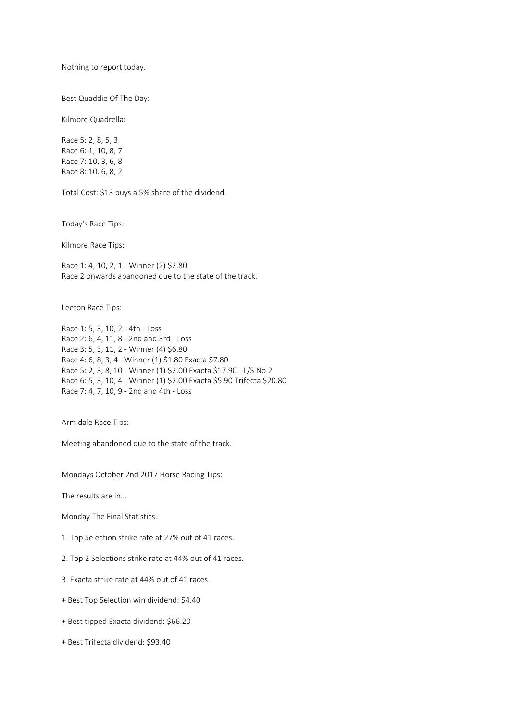Nothing to report today.

Best Quaddie Of The Day:

Kilmore Quadrella:

Race 5: 2, 8, 5, 3 Race 6: 1, 10, 8, 7 Race 7: 10, 3, 6, 8 Race 8: 10, 6, 8, 2

Total Cost: \$13 buys a 5% share of the dividend.

Today's Race Tips:

Kilmore Race Tips:

Race 1: 4, 10, 2, 1 - Winner (2) \$2.80 Race 2 onwards abandoned due to the state of the track.

Leeton Race Tips:

Race 1: 5, 3, 10, 2 - 4th - Loss Race 2: 6, 4, 11, 8 - 2nd and 3rd - Loss Race 3: 5, 3, 11, 2 - Winner (4) \$6.80 Race 4: 6, 8, 3, 4 - Winner (1) \$1.80 Exacta \$7.80 Race 5: 2, 3, 8, 10 - Winner (1) \$2.00 Exacta \$17.90 - L/S No 2 Race 6: 5, 3, 10, 4 - Winner (1) \$2.00 Exacta \$5.90 Trifecta \$20.80 Race 7: 4, 7, 10, 9 - 2nd and 4th - Loss

Armidale Race Tips:

Meeting abandoned due to the state of the track.

Mondays October 2nd 2017 Horse Racing Tips:

The results are in...

Monday The Final Statistics.

1. Top Selection strike rate at 27% out of 41 races.

2. Top 2 Selections strike rate at 44% out of 41 races.

3. Exacta strike rate at 44% out of 41 races.

+ Best Top Selection win dividend: \$4.40

+ Best tipped Exacta dividend: \$66.20

+ Best Trifecta dividend: \$93.40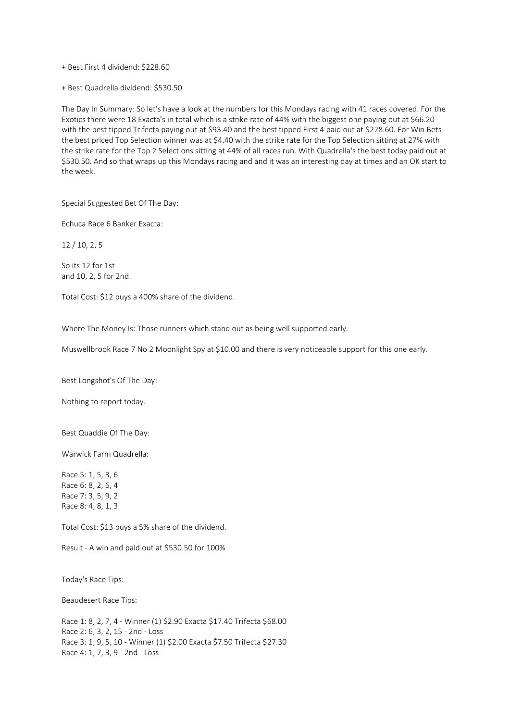+ Best First 4 dividend: \$228.60

+ Best Quadrella dividend: \$530.50

The Day In Summary: So let's have a look at the numbers for this Mondays racing with 41 races covered. For the Exotics there were 18 Exacta's in total which is a strike rate of 44% with the biggest one paying out at \$66.20 with the best tipped Trifecta paying out at \$93.40 and the best tipped First 4 paid out at \$228.60. For Win Bets the best priced Top Selection winner was at \$4.40 with the strike rate for the Top Selection sitting at 27% with the strike rate for the Top 2 Selections sitting at 44% of all races run. With Quadrella's the best today paid out at \$530.50. And so that wraps up this Mondays racing and and it was an interesting day at times and an OK start to the week.

Special Suggested Bet Of The Day:

Echuca Race 6 Banker Exacta:

12 / 10, 2, 5

So its 12 for 1st and 10, 2, 5 for 2nd.

Total Cost: \$12 buys a 400% share of the dividend.

Where The Money Is: Those runners which stand out as being well supported early.

Muswellbrook Race 7 No 2 Moonlight Spy at \$10.00 and there is very noticeable support for this one early.

Best Longshot's Of The Day:

Nothing to report today.

Best Quaddie Of The Day:

Warwick Farm Quadrella:

Race 5: 1, 5, 3, 6 Race 6: 8, 2, 6, 4 Race 7: 3, 5, 9, 2 Race 8: 4, 8, 1, 3

Total Cost: \$13 buys a 5% share of the dividend.

Result - A win and paid out at \$530.50 for 100%

Today's Race Tips:

Beaudesert Race Tips:

Race 1: 8, 2, 7, 4 - Winner (1) \$2.90 Exacta \$17.40 Trifecta \$68.00 Race 2: 6, 3, 2, 15 - 2nd - Loss Race 3: 1, 9, 5, 10 - Winner (1) \$2.00 Exacta \$7.50 Trifecta \$27.30 Race 4: 1, 7, 3, 9 - 2nd - Loss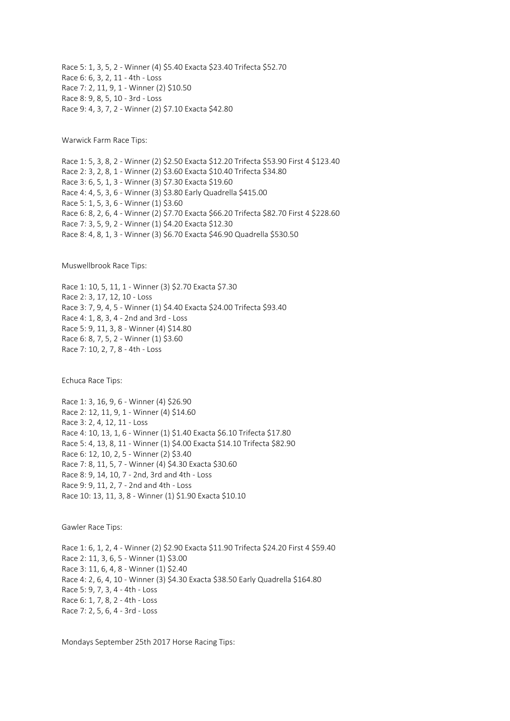Race 5: 1, 3, 5, 2 - Winner (4) \$5.40 Exacta \$23.40 Trifecta \$52.70 Race 6: 6, 3, 2, 11 - 4th - Loss Race 7: 2, 11, 9, 1 - Winner (2) \$10.50 Race 8: 9, 8, 5, 10 - 3rd - Loss Race 9: 4, 3, 7, 2 - Winner (2) \$7.10 Exacta \$42.80

Warwick Farm Race Tips:

Race 1: 5, 3, 8, 2 - Winner (2) \$2.50 Exacta \$12.20 Trifecta \$53.90 First 4 \$123.40 Race 2: 3, 2, 8, 1 - Winner (2) \$3.60 Exacta \$10.40 Trifecta \$34.80 Race 3: 6, 5, 1, 3 - Winner (3) \$7.30 Exacta \$19.60 Race 4: 4, 5, 3, 6 - Winner (3) \$3.80 Early Quadrella \$415.00 Race 5: 1, 5, 3, 6 - Winner (1) \$3.60 Race 6: 8, 2, 6, 4 - Winner (2) \$7.70 Exacta \$66.20 Trifecta \$82.70 First 4 \$228.60 Race 7: 3, 5, 9, 2 - Winner (1) \$4.20 Exacta \$12.30 Race 8: 4, 8, 1, 3 - Winner (3) \$6.70 Exacta \$46.90 Quadrella \$530.50

Muswellbrook Race Tips:

Race 1: 10, 5, 11, 1 - Winner (3) \$2.70 Exacta \$7.30 Race 2: 3, 17, 12, 10 - Loss Race 3: 7, 9, 4, 5 - Winner (1) \$4.40 Exacta \$24.00 Trifecta \$93.40 Race 4: 1, 8, 3, 4 - 2nd and 3rd - Loss Race 5: 9, 11, 3, 8 - Winner (4) \$14.80 Race 6: 8, 7, 5, 2 - Winner (1) \$3.60 Race 7: 10, 2, 7, 8 - 4th - Loss

Echuca Race Tips:

Race 1: 3, 16, 9, 6 - Winner (4) \$26.90 Race 2: 12, 11, 9, 1 - Winner (4) \$14.60 Race 3: 2, 4, 12, 11 - Loss Race 4: 10, 13, 1, 6 - Winner (1) \$1.40 Exacta \$6.10 Trifecta \$17.80 Race 5: 4, 13, 8, 11 - Winner (1) \$4.00 Exacta \$14.10 Trifecta \$82.90 Race 6: 12, 10, 2, 5 - Winner (2) \$3.40 Race 7: 8, 11, 5, 7 - Winner (4) \$4.30 Exacta \$30.60 Race 8: 9, 14, 10, 7 - 2nd, 3rd and 4th - Loss Race 9: 9, 11, 2, 7 - 2nd and 4th - Loss Race 10: 13, 11, 3, 8 - Winner (1) \$1.90 Exacta \$10.10

Gawler Race Tips:

Race 1: 6, 1, 2, 4 - Winner (2) \$2.90 Exacta \$11.90 Trifecta \$24.20 First 4 \$59.40 Race 2: 11, 3, 6, 5 - Winner (1) \$3.00 Race 3: 11, 6, 4, 8 - Winner (1) \$2.40 Race 4: 2, 6, 4, 10 - Winner (3) \$4.30 Exacta \$38.50 Early Quadrella \$164.80 Race 5: 9, 7, 3, 4 - 4th - Loss Race 6: 1, 7, 8, 2 - 4th - Loss Race 7: 2, 5, 6, 4 - 3rd - Loss

Mondays September 25th 2017 Horse Racing Tips: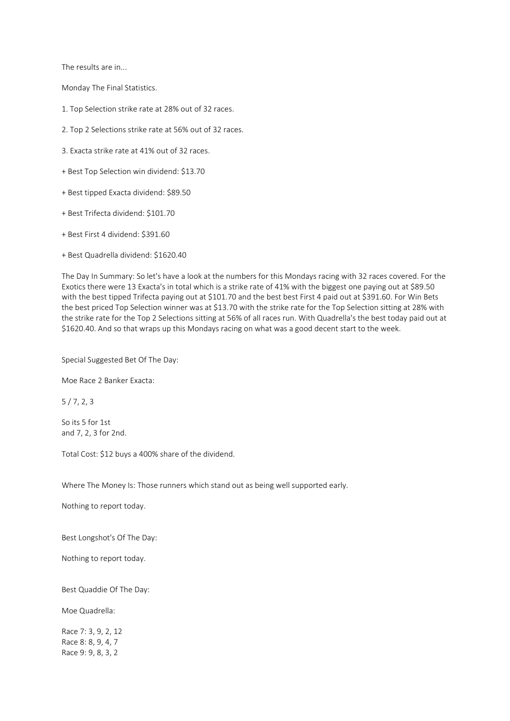The results are in...

Monday The Final Statistics.

- 1. Top Selection strike rate at 28% out of 32 races.
- 2. Top 2 Selections strike rate at 56% out of 32 races.
- 3. Exacta strike rate at 41% out of 32 races.
- + Best Top Selection win dividend: \$13.70
- + Best tipped Exacta dividend: \$89.50
- + Best Trifecta dividend: \$101.70
- + Best First 4 dividend: \$391.60
- + Best Quadrella dividend: \$1620.40

The Day In Summary: So let's have a look at the numbers for this Mondays racing with 32 races covered. For the Exotics there were 13 Exacta's in total which is a strike rate of 41% with the biggest one paying out at \$89.50 with the best tipped Trifecta paying out at \$101.70 and the best best First 4 paid out at \$391.60. For Win Bets the best priced Top Selection winner was at \$13.70 with the strike rate for the Top Selection sitting at 28% with the strike rate for the Top 2 Selections sitting at 56% of all races run. With Quadrella's the best today paid out at \$1620.40. And so that wraps up this Mondays racing on what was a good decent start to the week.

Special Suggested Bet Of The Day:

Moe Race 2 Banker Exacta:

5 / 7, 2, 3

So its 5 for 1st and 7, 2, 3 for 2nd.

Total Cost: \$12 buys a 400% share of the dividend.

Where The Money Is: Those runners which stand out as being well supported early.

Nothing to report today.

Best Longshot's Of The Day:

Nothing to report today.

Best Quaddie Of The Day:

Moe Quadrella:

Race 7: 3, 9, 2, 12 Race 8: 8, 9, 4, 7 Race 9: 9, 8, 3, 2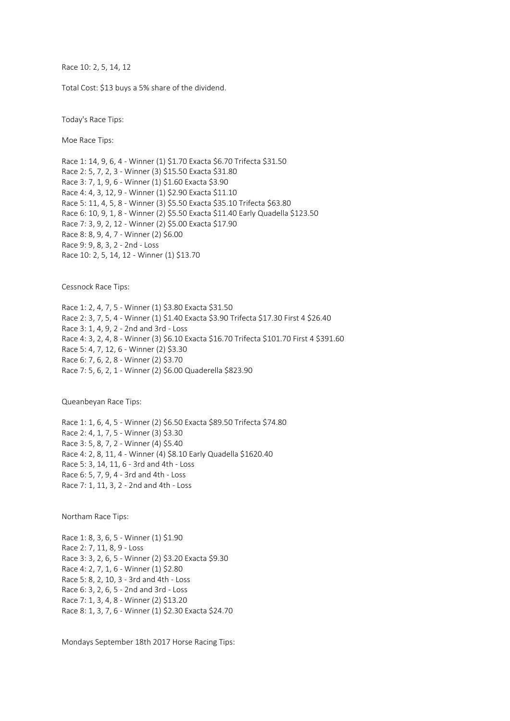Race 10: 2, 5, 14, 12

Total Cost: \$13 buys a 5% share of the dividend.

Today's Race Tips:

Moe Race Tips:

Race 1: 14, 9, 6, 4 - Winner (1) \$1.70 Exacta \$6.70 Trifecta \$31.50 Race 2: 5, 7, 2, 3 - Winner (3) \$15.50 Exacta \$31.80 Race 3: 7, 1, 9, 6 - Winner (1) \$1.60 Exacta \$3.90 Race 4: 4, 3, 12, 9 - Winner (1) \$2.90 Exacta \$11.10 Race 5: 11, 4, 5, 8 - Winner (3) \$5.50 Exacta \$35.10 Trifecta \$63.80 Race 6: 10, 9, 1, 8 - Winner (2) \$5.50 Exacta \$11.40 Early Quadella \$123.50 Race 7: 3, 9, 2, 12 - Winner (2) \$5.00 Exacta \$17.90 Race 8: 8, 9, 4, 7 - Winner (2) \$6.00 Race 9: 9, 8, 3, 2 - 2nd - Loss Race 10: 2, 5, 14, 12 - Winner (1) \$13.70

Cessnock Race Tips:

Race 1: 2, 4, 7, 5 - Winner (1) \$3.80 Exacta \$31.50 Race 2: 3, 7, 5, 4 - Winner (1) \$1.40 Exacta \$3.90 Trifecta \$17.30 First 4 \$26.40 Race 3: 1, 4, 9, 2 - 2nd and 3rd - Loss Race 4: 3, 2, 4, 8 - Winner (3) \$6.10 Exacta \$16.70 Trifecta \$101.70 First 4 \$391.60 Race 5: 4, 7, 12, 6 - Winner (2) \$3.30 Race 6: 7, 6, 2, 8 - Winner (2) \$3.70 Race 7: 5, 6, 2, 1 - Winner (2) \$6.00 Quaderella \$823.90

Queanbeyan Race Tips:

Race 1: 1, 6, 4, 5 - Winner (2) \$6.50 Exacta \$89.50 Trifecta \$74.80 Race 2: 4, 1, 7, 5 - Winner (3) \$3.30 Race 3: 5, 8, 7, 2 - Winner (4) \$5.40 Race 4: 2, 8, 11, 4 - Winner (4) \$8.10 Early Quadella \$1620.40 Race 5: 3, 14, 11, 6 - 3rd and 4th - Loss Race 6: 5, 7, 9, 4 - 3rd and 4th - Loss Race 7: 1, 11, 3, 2 - 2nd and 4th - Loss

Northam Race Tips:

Race 1: 8, 3, 6, 5 - Winner (1) \$1.90 Race 2: 7, 11, 8, 9 - Loss Race 3: 3, 2, 6, 5 - Winner (2) \$3.20 Exacta \$9.30 Race 4: 2, 7, 1, 6 - Winner (1) \$2.80 Race 5: 8, 2, 10, 3 - 3rd and 4th - Loss Race 6: 3, 2, 6, 5 - 2nd and 3rd - Loss Race 7: 1, 3, 4, 8 - Winner (2) \$13.20 Race 8: 1, 3, 7, 6 - Winner (1) \$2.30 Exacta \$24.70

Mondays September 18th 2017 Horse Racing Tips: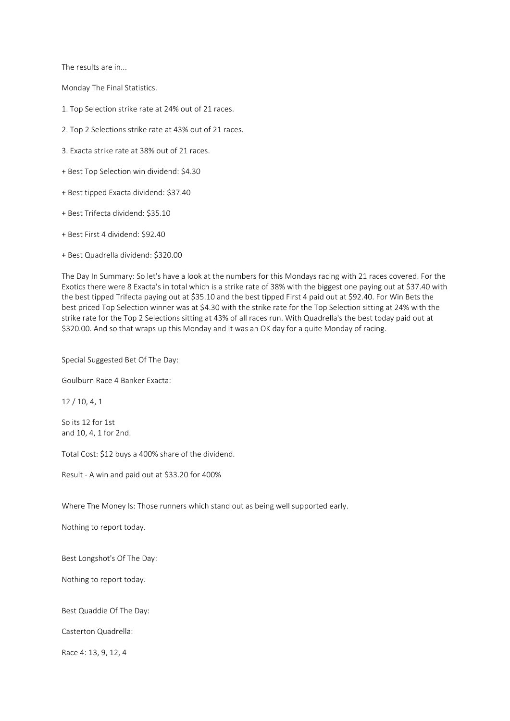The results are in...

Monday The Final Statistics.

- 1. Top Selection strike rate at 24% out of 21 races.
- 2. Top 2 Selections strike rate at 43% out of 21 races.
- 3. Exacta strike rate at 38% out of 21 races.
- + Best Top Selection win dividend: \$4.30
- + Best tipped Exacta dividend: \$37.40
- + Best Trifecta dividend: \$35.10
- + Best First 4 dividend: \$92.40
- + Best Quadrella dividend: \$320.00

The Day In Summary: So let's have a look at the numbers for this Mondays racing with 21 races covered. For the Exotics there were 8 Exacta's in total which is a strike rate of 38% with the biggest one paying out at \$37.40 with the best tipped Trifecta paying out at \$35.10 and the best tipped First 4 paid out at \$92.40. For Win Bets the best priced Top Selection winner was at \$4.30 with the strike rate for the Top Selection sitting at 24% with the strike rate for the Top 2 Selections sitting at 43% of all races run. With Quadrella's the best today paid out at \$320.00. And so that wraps up this Monday and it was an OK day for a quite Monday of racing.

Special Suggested Bet Of The Day:

Goulburn Race 4 Banker Exacta:

12 / 10, 4, 1

So its 12 for 1st and 10, 4, 1 for 2nd.

Total Cost: \$12 buys a 400% share of the dividend.

Result - A win and paid out at \$33.20 for 400%

Where The Money Is: Those runners which stand out as being well supported early.

Nothing to report today.

Best Longshot's Of The Day:

Nothing to report today.

Best Quaddie Of The Day:

Casterton Quadrella:

Race 4: 13, 9, 12, 4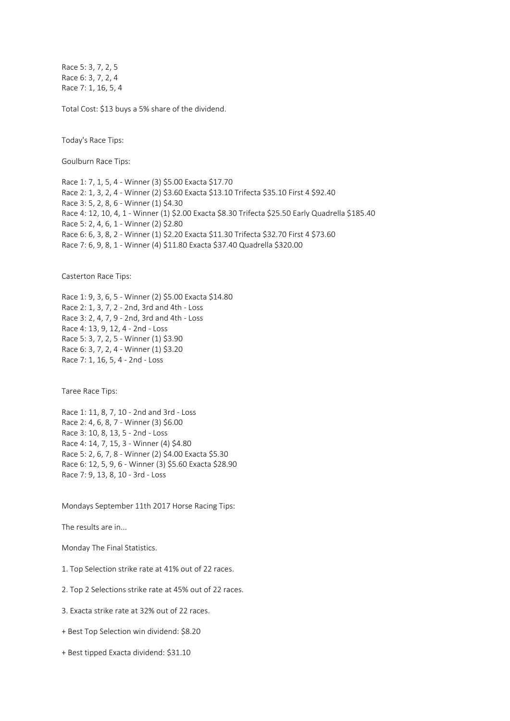Race 5: 3, 7, 2, 5 Race 6: 3, 7, 2, 4 Race 7: 1, 16, 5, 4

Total Cost: \$13 buys a 5% share of the dividend.

Today's Race Tips:

Goulburn Race Tips:

Race 1: 7, 1, 5, 4 - Winner (3) \$5.00 Exacta \$17.70 Race 2: 1, 3, 2, 4 - Winner (2) \$3.60 Exacta \$13.10 Trifecta \$35.10 First 4 \$92.40 Race 3: 5, 2, 8, 6 - Winner (1) \$4.30 Race 4: 12, 10, 4, 1 - Winner (1) \$2.00 Exacta \$8.30 Trifecta \$25.50 Early Quadrella \$185.40 Race 5: 2, 4, 6, 1 - Winner (2) \$2.80 Race 6: 6, 3, 8, 2 - Winner (1) \$2.20 Exacta \$11.30 Trifecta \$32.70 First 4 \$73.60 Race 7: 6, 9, 8, 1 - Winner (4) \$11.80 Exacta \$37.40 Quadrella \$320.00

Casterton Race Tips:

Race 1: 9, 3, 6, 5 - Winner (2) \$5.00 Exacta \$14.80 Race 2: 1, 3, 7, 2 - 2nd, 3rd and 4th - Loss Race 3: 2, 4, 7, 9 - 2nd, 3rd and 4th - Loss Race 4: 13, 9, 12, 4 - 2nd - Loss Race 5: 3, 7, 2, 5 - Winner (1) \$3.90 Race 6: 3, 7, 2, 4 - Winner (1) \$3.20 Race 7: 1, 16, 5, 4 - 2nd - Loss

Taree Race Tips:

Race 1: 11, 8, 7, 10 - 2nd and 3rd - Loss Race 2: 4, 6, 8, 7 - Winner (3) \$6.00 Race 3: 10, 8, 13, 5 - 2nd - Loss Race 4: 14, 7, 15, 3 - Winner (4) \$4.80 Race 5: 2, 6, 7, 8 - Winner (2) \$4.00 Exacta \$5.30 Race 6: 12, 5, 9, 6 - Winner (3) \$5.60 Exacta \$28.90 Race 7: 9, 13, 8, 10 - 3rd - Loss

Mondays September 11th 2017 Horse Racing Tips:

The results are in...

Monday The Final Statistics.

1. Top Selection strike rate at 41% out of 22 races.

2. Top 2 Selections strike rate at 45% out of 22 races.

3. Exacta strike rate at 32% out of 22 races.

+ Best Top Selection win dividend: \$8.20

+ Best tipped Exacta dividend: \$31.10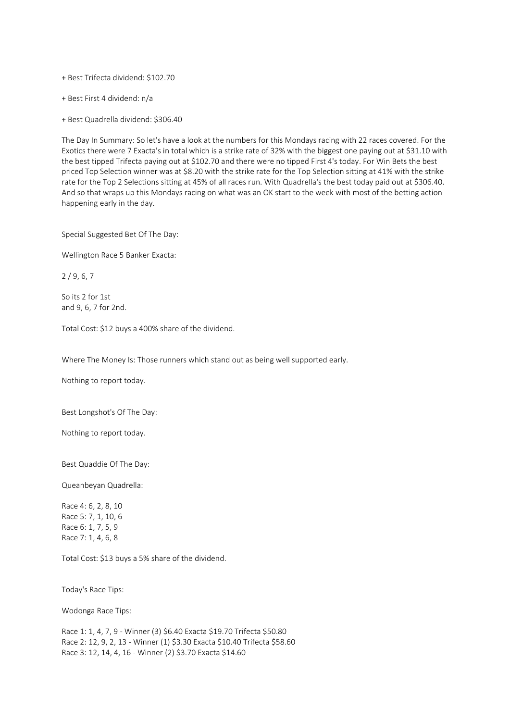+ Best Trifecta dividend: \$102.70

+ Best First 4 dividend: n/a

+ Best Quadrella dividend: \$306.40

The Day In Summary: So let's have a look at the numbers for this Mondays racing with 22 races covered. For the Exotics there were 7 Exacta's in total which is a strike rate of 32% with the biggest one paying out at \$31.10 with the best tipped Trifecta paying out at \$102.70 and there were no tipped First 4's today. For Win Bets the best priced Top Selection winner was at \$8.20 with the strike rate for the Top Selection sitting at 41% with the strike rate for the Top 2 Selections sitting at 45% of all races run. With Quadrella's the best today paid out at \$306.40. And so that wraps up this Mondays racing on what was an OK start to the week with most of the betting action happening early in the day.

Special Suggested Bet Of The Day:

Wellington Race 5 Banker Exacta:

2 / 9, 6, 7

So its 2 for 1st and 9, 6, 7 for 2nd.

Total Cost: \$12 buys a 400% share of the dividend.

Where The Money Is: Those runners which stand out as being well supported early.

Nothing to report today.

Best Longshot's Of The Day:

Nothing to report today.

Best Quaddie Of The Day:

Queanbeyan Quadrella:

Race 4: 6, 2, 8, 10 Race 5: 7, 1, 10, 6 Race 6: 1, 7, 5, 9 Race 7: 1, 4, 6, 8

Total Cost: \$13 buys a 5% share of the dividend.

Today's Race Tips:

Wodonga Race Tips:

Race 1: 1, 4, 7, 9 - Winner (3) \$6.40 Exacta \$19.70 Trifecta \$50.80 Race 2: 12, 9, 2, 13 - Winner (1) \$3.30 Exacta \$10.40 Trifecta \$58.60 Race 3: 12, 14, 4, 16 - Winner (2) \$3.70 Exacta \$14.60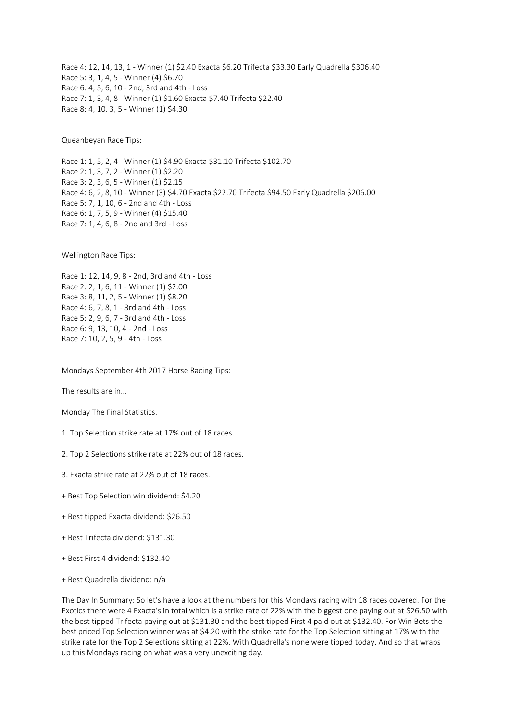Race 4: 12, 14, 13, 1 - Winner (1) \$2.40 Exacta \$6.20 Trifecta \$33.30 Early Quadrella \$306.40 Race 5: 3, 1, 4, 5 - Winner (4) \$6.70 Race 6: 4, 5, 6, 10 - 2nd, 3rd and 4th - Loss Race 7: 1, 3, 4, 8 - Winner (1) \$1.60 Exacta \$7.40 Trifecta \$22.40 Race 8: 4, 10, 3, 5 - Winner (1) \$4.30

Queanbeyan Race Tips:

Race 1: 1, 5, 2, 4 - Winner (1) \$4.90 Exacta \$31.10 Trifecta \$102.70 Race 2: 1, 3, 7, 2 - Winner (1) \$2.20 Race 3: 2, 3, 6, 5 - Winner (1) \$2.15 Race 4: 6, 2, 8, 10 - Winner (3) \$4.70 Exacta \$22.70 Trifecta \$94.50 Early Quadrella \$206.00 Race 5: 7, 1, 10, 6 - 2nd and 4th - Loss Race 6: 1, 7, 5, 9 - Winner (4) \$15.40 Race 7: 1, 4, 6, 8 - 2nd and 3rd - Loss

Wellington Race Tips:

Race 1: 12, 14, 9, 8 - 2nd, 3rd and 4th - Loss Race 2: 2, 1, 6, 11 - Winner (1) \$2.00 Race 3: 8, 11, 2, 5 - Winner (1) \$8.20 Race 4: 6, 7, 8, 1 - 3rd and 4th - Loss Race 5: 2, 9, 6, 7 - 3rd and 4th - Loss Race 6: 9, 13, 10, 4 - 2nd - Loss Race 7: 10, 2, 5, 9 - 4th - Loss

Mondays September 4th 2017 Horse Racing Tips:

The results are in...

Monday The Final Statistics.

1. Top Selection strike rate at 17% out of 18 races.

2. Top 2 Selections strike rate at 22% out of 18 races.

3. Exacta strike rate at 22% out of 18 races.

- + Best Top Selection win dividend: \$4.20
- + Best tipped Exacta dividend: \$26.50
- + Best Trifecta dividend: \$131.30
- + Best First 4 dividend: \$132.40
- + Best Quadrella dividend: n/a

The Day In Summary: So let's have a look at the numbers for this Mondays racing with 18 races covered. For the Exotics there were 4 Exacta's in total which is a strike rate of 22% with the biggest one paying out at \$26.50 with the best tipped Trifecta paying out at \$131.30 and the best tipped First 4 paid out at \$132.40. For Win Bets the best priced Top Selection winner was at \$4.20 with the strike rate for the Top Selection sitting at 17% with the strike rate for the Top 2 Selections sitting at 22%. With Quadrella's none were tipped today. And so that wraps up this Mondays racing on what was a very unexciting day.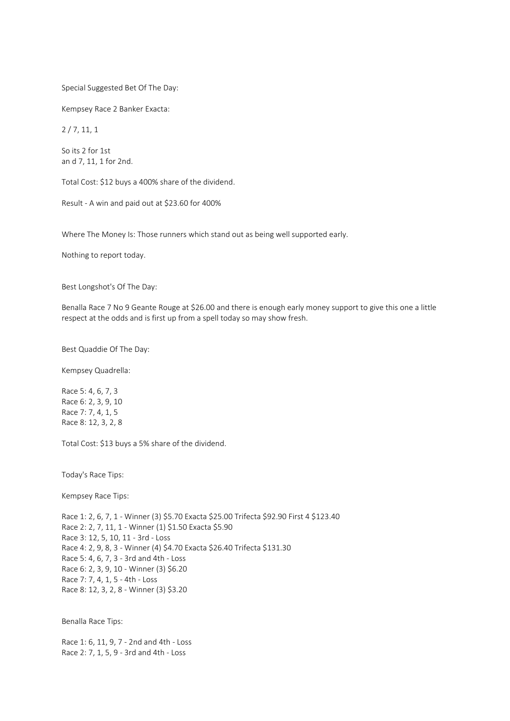Special Suggested Bet Of The Day:

Kempsey Race 2 Banker Exacta:

2 / 7, 11, 1

So its 2 for 1st an d 7, 11, 1 for 2nd.

Total Cost: \$12 buys a 400% share of the dividend.

Result - A win and paid out at \$23.60 for 400%

Where The Money Is: Those runners which stand out as being well supported early.

Nothing to report today.

Best Longshot's Of The Day:

Benalla Race 7 No 9 Geante Rouge at \$26.00 and there is enough early money support to give this one a little respect at the odds and is first up from a spell today so may show fresh.

Best Quaddie Of The Day:

Kempsey Quadrella:

Race 5: 4, 6, 7, 3 Race 6: 2, 3, 9, 10 Race 7: 7, 4, 1, 5 Race 8: 12, 3, 2, 8

Total Cost: \$13 buys a 5% share of the dividend.

Today's Race Tips:

Kempsey Race Tips:

Race 1: 2, 6, 7, 1 - Winner (3) \$5.70 Exacta \$25.00 Trifecta \$92.90 First 4 \$123.40 Race 2: 2, 7, 11, 1 - Winner (1) \$1.50 Exacta \$5.90 Race 3: 12, 5, 10, 11 - 3rd - Loss Race 4: 2, 9, 8, 3 - Winner (4) \$4.70 Exacta \$26.40 Trifecta \$131.30 Race 5: 4, 6, 7, 3 - 3rd and 4th - Loss Race 6: 2, 3, 9, 10 - Winner (3) \$6.20 Race 7: 7, 4, 1, 5 - 4th - Loss Race 8: 12, 3, 2, 8 - Winner (3) \$3.20

Benalla Race Tips:

Race 1: 6, 11, 9, 7 - 2nd and 4th - Loss Race 2: 7, 1, 5, 9 - 3rd and 4th - Loss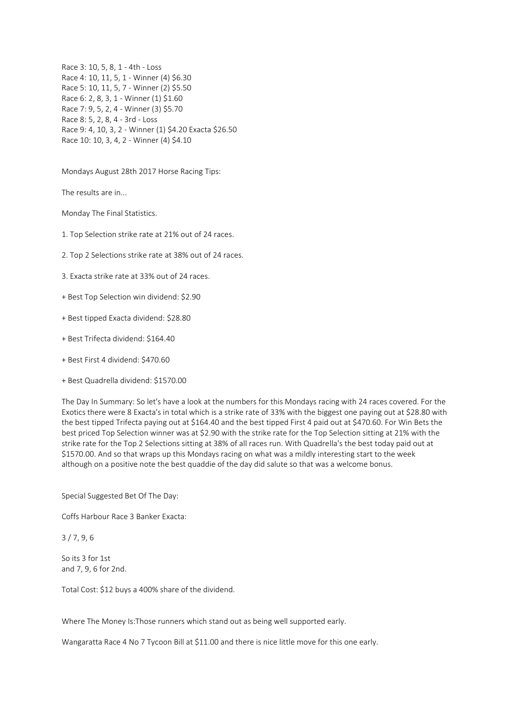Race 3: 10, 5, 8, 1 - 4th - Loss Race 4: 10, 11, 5, 1 - Winner (4) \$6.30 Race 5: 10, 11, 5, 7 - Winner (2) \$5.50 Race 6: 2, 8, 3, 1 - Winner (1) \$1.60 Race 7: 9, 5, 2, 4 - Winner (3) \$5.70 Race 8: 5, 2, 8, 4 - 3rd - Loss Race 9: 4, 10, 3, 2 - Winner (1) \$4.20 Exacta \$26.50 Race 10: 10, 3, 4, 2 - Winner (4) \$4.10

Mondays August 28th 2017 Horse Racing Tips:

The results are in...

Monday The Final Statistics.

1. Top Selection strike rate at 21% out of 24 races.

2. Top 2 Selections strike rate at 38% out of 24 races.

3. Exacta strike rate at 33% out of 24 races.

+ Best Top Selection win dividend: \$2.90

+ Best tipped Exacta dividend: \$28.80

+ Best Trifecta dividend: \$164.40

+ Best First 4 dividend: \$470.60

+ Best Quadrella dividend: \$1570.00

The Day In Summary: So let's have a look at the numbers for this Mondays racing with 24 races covered. For the Exotics there were 8 Exacta's in total which is a strike rate of 33% with the biggest one paying out at \$28.80 with the best tipped Trifecta paying out at \$164.40 and the best tipped First 4 paid out at \$470.60. For Win Bets the best priced Top Selection winner was at \$2.90 with the strike rate for the Top Selection sitting at 21% with the strike rate for the Top 2 Selections sitting at 38% of all races run. With Quadrella's the best today paid out at \$1570.00. And so that wraps up this Mondays racing on what was a mildly interesting start to the week although on a positive note the best quaddie of the day did salute so that was a welcome bonus.

Special Suggested Bet Of The Day:

Coffs Harbour Race 3 Banker Exacta:

3 / 7, 9, 6

So its 3 for 1st and 7, 9, 6 for 2nd.

Total Cost: \$12 buys a 400% share of the dividend.

Where The Money Is:Those runners which stand out as being well supported early.

Wangaratta Race 4 No 7 Tycoon Bill at \$11.00 and there is nice little move for this one early.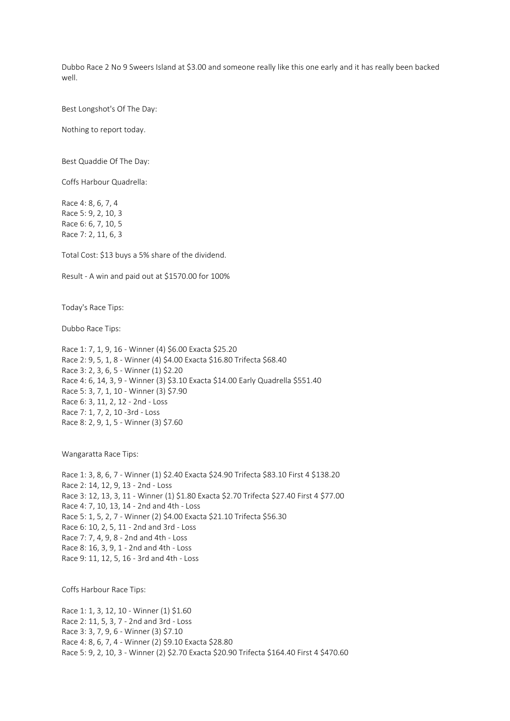Dubbo Race 2 No 9 Sweers Island at \$3.00 and someone really like this one early and it has really been backed well.

Best Longshot's Of The Day:

Nothing to report today.

Best Quaddie Of The Day:

Coffs Harbour Quadrella:

Race 4: 8, 6, 7, 4 Race 5: 9, 2, 10, 3 Race 6: 6, 7, 10, 5 Race 7: 2, 11, 6, 3

Total Cost: \$13 buys a 5% share of the dividend.

Result - A win and paid out at \$1570.00 for 100%

Today's Race Tips:

Dubbo Race Tips:

Race 1: 7, 1, 9, 16 - Winner (4) \$6.00 Exacta \$25.20 Race 2: 9, 5, 1, 8 - Winner (4) \$4.00 Exacta \$16.80 Trifecta \$68.40 Race 3: 2, 3, 6, 5 - Winner (1) \$2.20 Race 4: 6, 14, 3, 9 - Winner (3) \$3.10 Exacta \$14.00 Early Quadrella \$551.40 Race 5: 3, 7, 1, 10 - Winner (3) \$7.90 Race 6: 3, 11, 2, 12 - 2nd - Loss Race 7: 1, 7, 2, 10 -3rd - Loss Race 8: 2, 9, 1, 5 - Winner (3) \$7.60

Wangaratta Race Tips:

Race 1: 3, 8, 6, 7 - Winner (1) \$2.40 Exacta \$24.90 Trifecta \$83.10 First 4 \$138.20 Race 2: 14, 12, 9, 13 - 2nd - Loss Race 3: 12, 13, 3, 11 - Winner (1) \$1.80 Exacta \$2.70 Trifecta \$27.40 First 4 \$77.00 Race 4: 7, 10, 13, 14 - 2nd and 4th - Loss Race 5: 1, 5, 2, 7 - Winner (2) \$4.00 Exacta \$21.10 Trifecta \$56.30 Race 6: 10, 2, 5, 11 - 2nd and 3rd - Loss Race 7: 7, 4, 9, 8 - 2nd and 4th - Loss Race 8: 16, 3, 9, 1 - 2nd and 4th - Loss Race 9: 11, 12, 5, 16 - 3rd and 4th - Loss

Coffs Harbour Race Tips:

Race 1: 1, 3, 12, 10 - Winner (1) \$1.60 Race 2: 11, 5, 3, 7 - 2nd and 3rd - Loss Race 3: 3, 7, 9, 6 - Winner (3) \$7.10 Race 4: 8, 6, 7, 4 - Winner (2) \$9.10 Exacta \$28.80 Race 5: 9, 2, 10, 3 - Winner (2) \$2.70 Exacta \$20.90 Trifecta \$164.40 First 4 \$470.60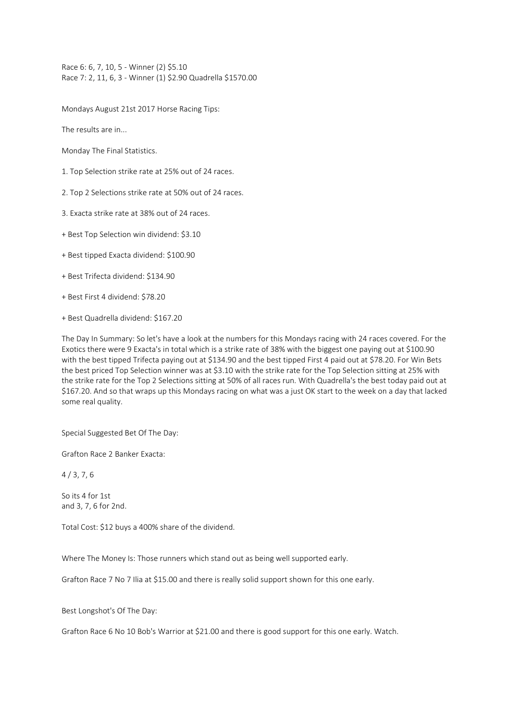Race 6: 6, 7, 10, 5 - Winner (2) \$5.10 Race 7: 2, 11, 6, 3 - Winner (1) \$2.90 Quadrella \$1570.00

Mondays August 21st 2017 Horse Racing Tips:

The results are in...

Monday The Final Statistics.

- 1. Top Selection strike rate at 25% out of 24 races.
- 2. Top 2 Selections strike rate at 50% out of 24 races.
- 3. Exacta strike rate at 38% out of 24 races.
- + Best Top Selection win dividend: \$3.10
- + Best tipped Exacta dividend: \$100.90
- + Best Trifecta dividend: \$134.90
- + Best First 4 dividend: \$78.20
- + Best Quadrella dividend: \$167.20

The Day In Summary: So let's have a look at the numbers for this Mondays racing with 24 races covered. For the Exotics there were 9 Exacta's in total which is a strike rate of 38% with the biggest one paying out at \$100.90 with the best tipped Trifecta paying out at \$134.90 and the best tipped First 4 paid out at \$78.20. For Win Bets the best priced Top Selection winner was at \$3.10 with the strike rate for the Top Selection sitting at 25% with the strike rate for the Top 2 Selections sitting at 50% of all races run. With Quadrella's the best today paid out at \$167.20. And so that wraps up this Mondays racing on what was a just OK start to the week on a day that lacked some real quality.

Special Suggested Bet Of The Day:

Grafton Race 2 Banker Exacta:

4 / 3, 7, 6

So its 4 for 1st and 3, 7, 6 for 2nd.

Total Cost: \$12 buys a 400% share of the dividend.

Where The Money Is: Those runners which stand out as being well supported early.

Grafton Race 7 No 7 Ilia at \$15.00 and there is really solid support shown for this one early.

Best Longshot's Of The Day:

Grafton Race 6 No 10 Bob's Warrior at \$21.00 and there is good support for this one early. Watch.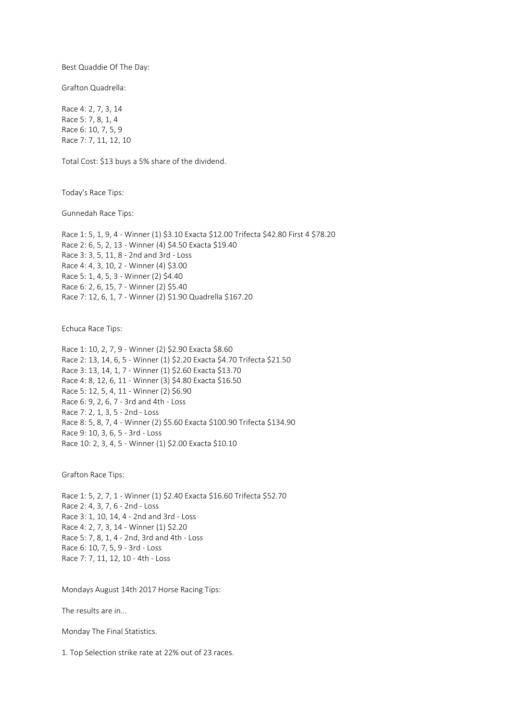Best Quaddie Of The Day:

Grafton Quadrella:

Race 4: 2, 7, 3, 14 Race 5: 7, 8, 1, 4 Race 6: 10, 7, 5, 9 Race 7: 7, 11, 12, 10

Total Cost: \$13 buys a 5% share of the dividend.

Today's Race Tips:

Gunnedah Race Tips:

Race 1: 5, 1, 9, 4 - Winner (1) \$3.10 Exacta \$12.00 Trifecta \$42.80 First 4 \$78.20 Race 2: 6, 5, 2, 13 - Winner (4) \$4.50 Exacta \$19.40 Race 3: 3, 5, 11, 8 - 2nd and 3rd - Loss Race 4: 4, 3, 10, 2 - Winner (4) \$3.00 Race 5: 1, 4, 5, 3 - Winner (2) \$4.40 Race 6: 2, 6, 15, 7 - Winner (2) \$5.40 Race 7: 12, 6, 1, 7 - Winner (2) \$1.90 Quadrella \$167.20

Echuca Race Tips:

Race 1: 10, 2, 7, 9 - Winner (2) \$2.90 Exacta \$8.60 Race 2: 13, 14, 6, 5 - Winner (1) \$2.20 Exacta \$4.70 Trifecta \$21.50 Race 3: 13, 14, 1, 7 - Winner (1) \$2.60 Exacta \$13.70 Race 4: 8, 12, 6, 11 - Winner (3) \$4.80 Exacta \$16.50 Race 5: 12, 5, 4, 11 - Winner (2) \$6.90 Race 6: 9, 2, 6, 7 - 3rd and 4th - Loss Race 7: 2, 1, 3, 5 - 2nd - Loss Race 8: 5, 8, 7, 4 - Winner (2) \$5.60 Exacta \$100.90 Trifecta \$134.90 Race 9: 10, 3, 6, 5 - 3rd - Loss Race 10: 2, 3, 4, 5 - Winner (1) \$2.00 Exacta \$10.10

Grafton Race Tips:

Race 1: 5, 2, 7, 1 - Winner (1) \$2.40 Exacta \$16.60 Trifecta \$52.70 Race 2: 4, 3, 7, 6 - 2nd - Loss Race 3: 1, 10, 14, 4 - 2nd and 3rd - Loss Race 4: 2, 7, 3, 14 - Winner (1) \$2.20 Race 5: 7, 8, 1, 4 - 2nd, 3rd and 4th - Loss Race 6: 10, 7, 5, 9 - 3rd - Loss Race 7: 7, 11, 12, 10 - 4th - Loss

Mondays August 14th 2017 Horse Racing Tips:

The results are in...

Monday The Final Statistics.

1. Top Selection strike rate at 22% out of 23 races.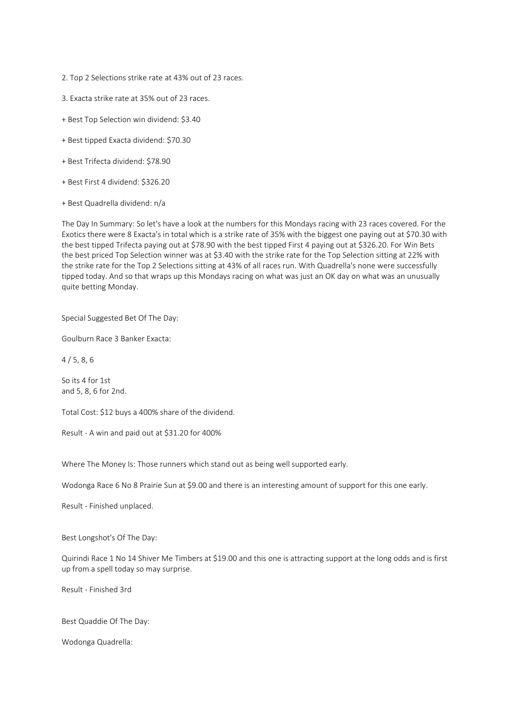- 2. Top 2 Selections strike rate at 43% out of 23 races.
- 3. Exacta strike rate at 35% out of 23 races.
- + Best Top Selection win dividend: \$3.40
- + Best tipped Exacta dividend: \$70.30
- + Best Trifecta dividend: \$78.90
- + Best First 4 dividend: \$326.20
- + Best Quadrella dividend: n/a

The Day In Summary: So let's have a look at the numbers for this Mondays racing with 23 races covered. For the Exotics there were 8 Exacta's in total which is a strike rate of 35% with the biggest one paying out at \$70.30 with the best tipped Trifecta paying out at \$78.90 with the best tipped First 4 paying out at \$326.20. For Win Bets the best priced Top Selection winner was at \$3.40 with the strike rate for the Top Selection sitting at 22% with the strike rate for the Top 2 Selections sitting at 43% of all races run. With Quadrella's none were successfully tipped today. And so that wraps up this Mondays racing on what was just an OK day on what was an unusually quite betting Monday.

Special Suggested Bet Of The Day:

Goulburn Race 3 Banker Exacta:

4 / 5, 8, 6

So its 4 for 1st and 5, 8, 6 for 2nd.

Total Cost: \$12 buys a 400% share of the dividend.

Result - A win and paid out at \$31.20 for 400%

Where The Money Is: Those runners which stand out as being well supported early.

Wodonga Race 6 No 8 Prairie Sun at \$9.00 and there is an interesting amount of support for this one early.

Result - Finished unplaced.

Best Longshot's Of The Day:

Quirindi Race 1 No 14 Shiver Me Timbers at \$19.00 and this one is attracting support at the long odds and is first up from a spell today so may surprise.

Result - Finished 3rd

Best Quaddie Of The Day:

Wodonga Quadrella: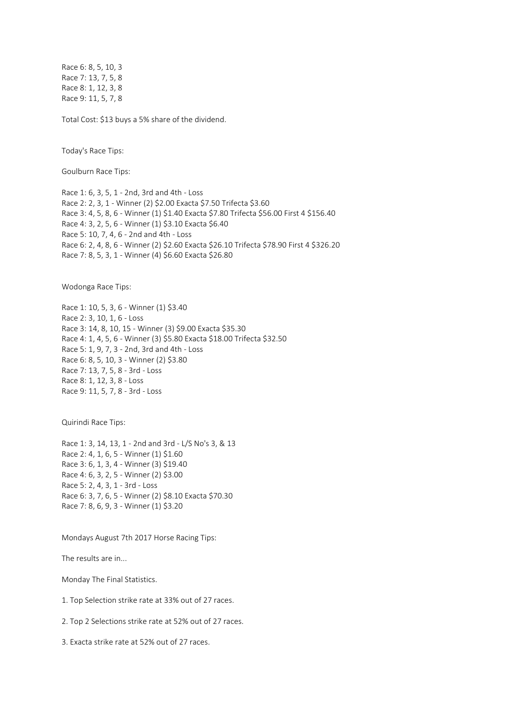Race 6: 8, 5, 10, 3 Race 7: 13, 7, 5, 8 Race 8: 1, 12, 3, 8 Race 9: 11, 5, 7, 8

Total Cost: \$13 buys a 5% share of the dividend.

Today's Race Tips:

Goulburn Race Tips:

Race 1: 6, 3, 5, 1 - 2nd, 3rd and 4th - Loss Race 2: 2, 3, 1 - Winner (2) \$2.00 Exacta \$7.50 Trifecta \$3.60 Race 3: 4, 5, 8, 6 - Winner (1) \$1.40 Exacta \$7.80 Trifecta \$56.00 First 4 \$156.40 Race 4: 3, 2, 5, 6 - Winner (1) \$3.10 Exacta \$6.40 Race 5: 10, 7, 4, 6 - 2nd and 4th - Loss Race 6: 2, 4, 8, 6 - Winner (2) \$2.60 Exacta \$26.10 Trifecta \$78.90 First 4 \$326.20 Race 7: 8, 5, 3, 1 - Winner (4) \$6.60 Exacta \$26.80

Wodonga Race Tips:

Race 1: 10, 5, 3, 6 - Winner (1) \$3.40 Race 2: 3, 10, 1, 6 - Loss Race 3: 14, 8, 10, 15 - Winner (3) \$9.00 Exacta \$35.30 Race 4: 1, 4, 5, 6 - Winner (3) \$5.80 Exacta \$18.00 Trifecta \$32.50 Race 5: 1, 9, 7, 3 - 2nd, 3rd and 4th - Loss Race 6: 8, 5, 10, 3 - Winner (2) \$3.80 Race 7: 13, 7, 5, 8 - 3rd - Loss Race 8: 1, 12, 3, 8 - Loss Race 9: 11, 5, 7, 8 - 3rd - Loss

Quirindi Race Tips:

Race 1: 3, 14, 13, 1 - 2nd and 3rd - L/S No's 3, & 13 Race 2: 4, 1, 6, 5 - Winner (1) \$1.60 Race 3: 6, 1, 3, 4 - Winner (3) \$19.40 Race 4: 6, 3, 2, 5 - Winner (2) \$3.00 Race 5: 2, 4, 3, 1 - 3rd - Loss Race 6: 3, 7, 6, 5 - Winner (2) \$8.10 Exacta \$70.30 Race 7: 8, 6, 9, 3 - Winner (1) \$3.20

Mondays August 7th 2017 Horse Racing Tips:

The results are in...

Monday The Final Statistics.

1. Top Selection strike rate at 33% out of 27 races.

2. Top 2 Selections strike rate at 52% out of 27 races.

3. Exacta strike rate at 52% out of 27 races.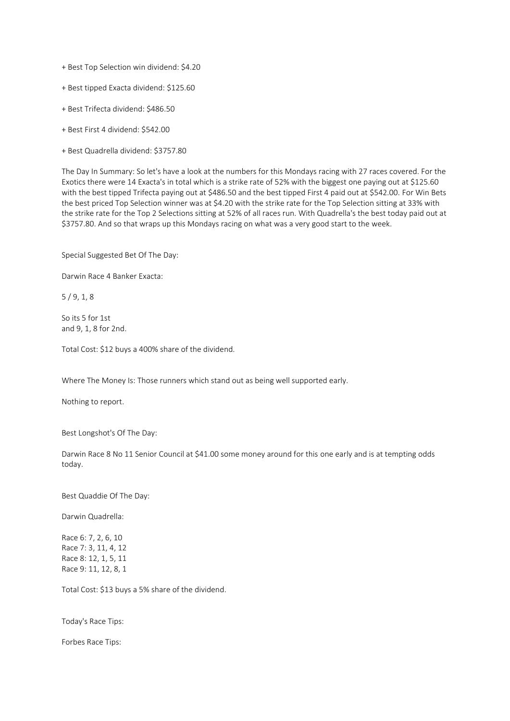+ Best Top Selection win dividend: \$4.20

- + Best tipped Exacta dividend: \$125.60
- + Best Trifecta dividend: \$486.50
- + Best First 4 dividend: \$542.00
- + Best Quadrella dividend: \$3757.80

The Day In Summary: So let's have a look at the numbers for this Mondays racing with 27 races covered. For the Exotics there were 14 Exacta's in total which is a strike rate of 52% with the biggest one paying out at \$125.60 with the best tipped Trifecta paying out at \$486.50 and the best tipped First 4 paid out at \$542.00. For Win Bets the best priced Top Selection winner was at \$4.20 with the strike rate for the Top Selection sitting at 33% with the strike rate for the Top 2 Selections sitting at 52% of all races run. With Quadrella's the best today paid out at \$3757.80. And so that wraps up this Mondays racing on what was a very good start to the week.

Special Suggested Bet Of The Day:

Darwin Race 4 Banker Exacta:

5 / 9, 1, 8

So its 5 for 1st and 9, 1, 8 for 2nd.

Total Cost: \$12 buys a 400% share of the dividend.

Where The Money Is: Those runners which stand out as being well supported early.

Nothing to report.

Best Longshot's Of The Day:

Darwin Race 8 No 11 Senior Council at \$41.00 some money around for this one early and is at tempting odds today.

Best Quaddie Of The Day:

Darwin Quadrella:

Race 6: 7, 2, 6, 10 Race 7: 3, 11, 4, 12 Race 8: 12, 1, 5, 11 Race 9: 11, 12, 8, 1

Total Cost: \$13 buys a 5% share of the dividend.

Today's Race Tips:

Forbes Race Tips: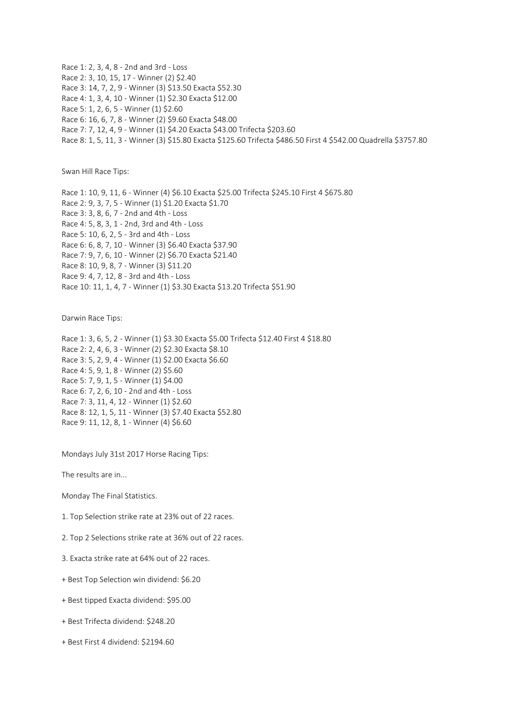Race 1: 2, 3, 4, 8 - 2nd and 3rd - Loss Race 2: 3, 10, 15, 17 - Winner (2) \$2.40 Race 3: 14, 7, 2, 9 - Winner (3) \$13.50 Exacta \$52.30 Race 4: 1, 3, 4, 10 - Winner (1) \$2.30 Exacta \$12.00 Race 5: 1, 2, 6, 5 - Winner (1) \$2.60 Race 6: 16, 6, 7, 8 - Winner (2) \$9.60 Exacta \$48.00 Race 7: 7, 12, 4, 9 - Winner (1) \$4.20 Exacta \$43.00 Trifecta \$203.60 Race 8: 1, 5, 11, 3 - Winner (3) \$15.80 Exacta \$125.60 Trifecta \$486.50 First 4 \$542.00 Quadrella \$3757.80

Swan Hill Race Tips:

Race 1: 10, 9, 11, 6 - Winner (4) \$6.10 Exacta \$25.00 Trifecta \$245.10 First 4 \$675.80 Race 2: 9, 3, 7, 5 - Winner (1) \$1.20 Exacta \$1.70 Race 3: 3, 8, 6, 7 - 2nd and 4th - Loss Race 4: 5, 8, 3, 1 - 2nd, 3rd and 4th - Loss Race 5: 10, 6, 2, 5 - 3rd and 4th - Loss Race 6: 6, 8, 7, 10 - Winner (3) \$6.40 Exacta \$37.90 Race 7: 9, 7, 6, 10 - Winner (2) \$6.70 Exacta \$21.40 Race 8: 10, 9, 8, 7 - Winner (3) \$11.20 Race 9: 4, 7, 12, 8 - 3rd and 4th - Loss Race 10: 11, 1, 4, 7 - Winner (1) \$3.30 Exacta \$13.20 Trifecta \$51.90

Darwin Race Tips:

Race 1: 3, 6, 5, 2 - Winner (1) \$3.30 Exacta \$5.00 Trifecta \$12.40 First 4 \$18.80 Race 2: 2, 4, 6, 3 - Winner (2) \$2.30 Exacta \$8.10 Race 3: 5, 2, 9, 4 - Winner (1) \$2.00 Exacta \$6.60 Race 4: 5, 9, 1, 8 - Winner (2) \$5.60 Race 5: 7, 9, 1, 5 - Winner (1) \$4.00 Race 6: 7, 2, 6, 10 - 2nd and 4th - Loss Race 7: 3, 11, 4, 12 - Winner (1) \$2.60 Race 8: 12, 1, 5, 11 - Winner (3) \$7.40 Exacta \$52.80 Race 9: 11, 12, 8, 1 - Winner (4) \$6.60

Mondays July 31st 2017 Horse Racing Tips:

The results are in...

Monday The Final Statistics.

1. Top Selection strike rate at 23% out of 22 races.

2. Top 2 Selections strike rate at 36% out of 22 races.

3. Exacta strike rate at 64% out of 22 races.

+ Best Top Selection win dividend: \$6.20

- + Best tipped Exacta dividend: \$95.00
- + Best Trifecta dividend: \$248.20
- + Best First 4 dividend: \$2194.60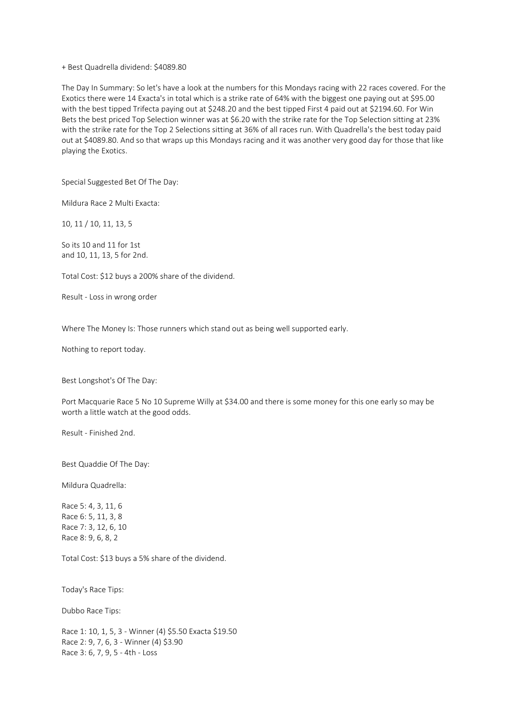## + Best Quadrella dividend: \$4089.80

The Day In Summary: So let's have a look at the numbers for this Mondays racing with 22 races covered. For the Exotics there were 14 Exacta's in total which is a strike rate of 64% with the biggest one paying out at \$95.00 with the best tipped Trifecta paying out at \$248.20 and the best tipped First 4 paid out at \$2194.60. For Win Bets the best priced Top Selection winner was at \$6.20 with the strike rate for the Top Selection sitting at 23% with the strike rate for the Top 2 Selections sitting at 36% of all races run. With Quadrella's the best today paid out at \$4089.80. And so that wraps up this Mondays racing and it was another very good day for those that like playing the Exotics.

Special Suggested Bet Of The Day:

Mildura Race 2 Multi Exacta:

10, 11 / 10, 11, 13, 5

So its 10 and 11 for 1st and 10, 11, 13, 5 for 2nd.

Total Cost: \$12 buys a 200% share of the dividend.

Result - Loss in wrong order

Where The Money Is: Those runners which stand out as being well supported early.

Nothing to report today.

Best Longshot's Of The Day:

Port Macquarie Race 5 No 10 Supreme Willy at \$34.00 and there is some money for this one early so may be worth a little watch at the good odds.

Result - Finished 2nd.

Best Quaddie Of The Day:

Mildura Quadrella:

Race 5: 4, 3, 11, 6 Race 6: 5, 11, 3, 8 Race 7: 3, 12, 6, 10 Race 8: 9, 6, 8, 2

Total Cost: \$13 buys a 5% share of the dividend.

Today's Race Tips:

Dubbo Race Tips:

Race 1: 10, 1, 5, 3 - Winner (4) \$5.50 Exacta \$19.50 Race 2: 9, 7, 6, 3 - Winner (4) \$3.90 Race 3: 6, 7, 9, 5 - 4th - Loss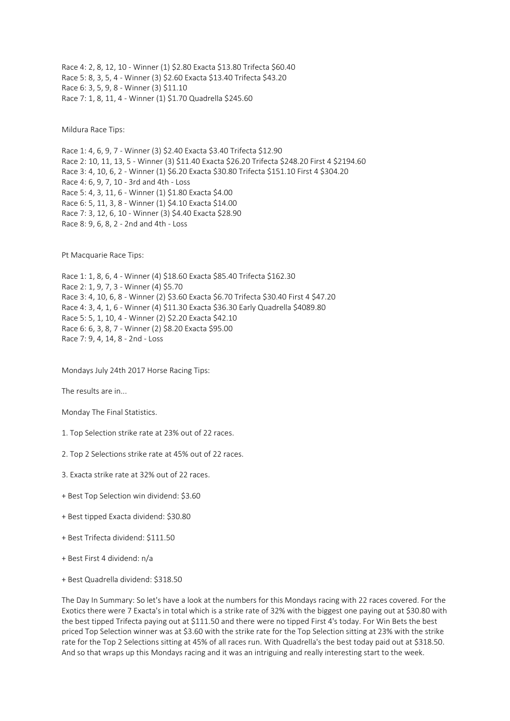Race 4: 2, 8, 12, 10 - Winner (1) \$2.80 Exacta \$13.80 Trifecta \$60.40 Race 5: 8, 3, 5, 4 - Winner (3) \$2.60 Exacta \$13.40 Trifecta \$43.20 Race 6: 3, 5, 9, 8 - Winner (3) \$11.10 Race 7: 1, 8, 11, 4 - Winner (1) \$1.70 Quadrella \$245.60

Mildura Race Tips:

Race 1: 4, 6, 9, 7 - Winner (3) \$2.40 Exacta \$3.40 Trifecta \$12.90 Race 2: 10, 11, 13, 5 - Winner (3) \$11.40 Exacta \$26.20 Trifecta \$248.20 First 4 \$2194.60 Race 3: 4, 10, 6, 2 - Winner (1) \$6.20 Exacta \$30.80 Trifecta \$151.10 First 4 \$304.20 Race 4: 6, 9, 7, 10 - 3rd and 4th - Loss Race 5: 4, 3, 11, 6 - Winner (1) \$1.80 Exacta \$4.00 Race 6: 5, 11, 3, 8 - Winner (1) \$4.10 Exacta \$14.00 Race 7: 3, 12, 6, 10 - Winner (3) \$4.40 Exacta \$28.90 Race 8: 9, 6, 8, 2 - 2nd and 4th - Loss

Pt Macquarie Race Tips:

Race 1: 1, 8, 6, 4 - Winner (4) \$18.60 Exacta \$85.40 Trifecta \$162.30 Race 2: 1, 9, 7, 3 - Winner (4) \$5.70 Race 3: 4, 10, 6, 8 - Winner (2) \$3.60 Exacta \$6.70 Trifecta \$30.40 First 4 \$47.20 Race 4: 3, 4, 1, 6 - Winner (4) \$11.30 Exacta \$36.30 Early Quadrella \$4089.80 Race 5: 5, 1, 10, 4 - Winner (2) \$2.20 Exacta \$42.10 Race 6: 6, 3, 8, 7 - Winner (2) \$8.20 Exacta \$95.00 Race 7: 9, 4, 14, 8 - 2nd - Loss

Mondays July 24th 2017 Horse Racing Tips:

The results are in...

Monday The Final Statistics.

- 1. Top Selection strike rate at 23% out of 22 races.
- 2. Top 2 Selections strike rate at 45% out of 22 races.
- 3. Exacta strike rate at 32% out of 22 races.
- + Best Top Selection win dividend: \$3.60
- + Best tipped Exacta dividend: \$30.80
- + Best Trifecta dividend: \$111.50
- + Best First 4 dividend: n/a
- + Best Quadrella dividend: \$318.50

The Day In Summary: So let's have a look at the numbers for this Mondays racing with 22 races covered. For the Exotics there were 7 Exacta's in total which is a strike rate of 32% with the biggest one paying out at \$30.80 with the best tipped Trifecta paying out at \$111.50 and there were no tipped First 4's today. For Win Bets the best priced Top Selection winner was at \$3.60 with the strike rate for the Top Selection sitting at 23% with the strike rate for the Top 2 Selections sitting at 45% of all races run. With Quadrella's the best today paid out at \$318.50. And so that wraps up this Mondays racing and it was an intriguing and really interesting start to the week.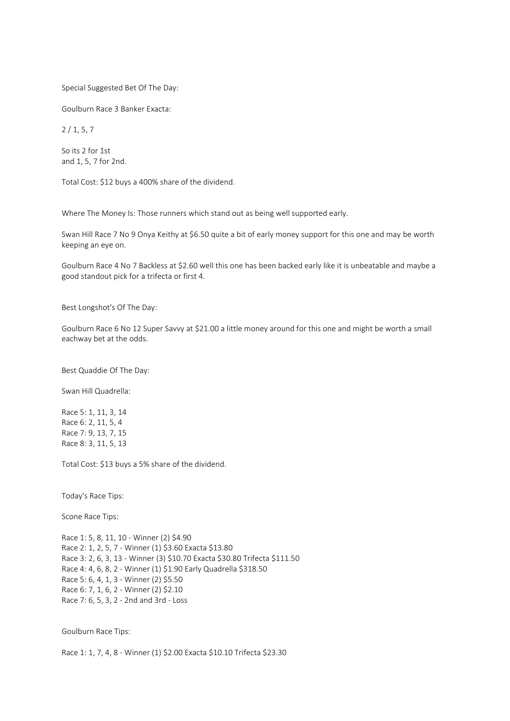Special Suggested Bet Of The Day:

Goulburn Race 3 Banker Exacta:

2 / 1, 5, 7

So its 2 for 1st and 1, 5, 7 for 2nd.

Total Cost: \$12 buys a 400% share of the dividend.

Where The Money Is: Those runners which stand out as being well supported early.

Swan Hill Race 7 No 9 Onya Keithy at \$6.50 quite a bit of early money support for this one and may be worth keeping an eye on.

Goulburn Race 4 No 7 Backless at \$2.60 well this one has been backed early like it is unbeatable and maybe a good standout pick for a trifecta or first 4.

Best Longshot's Of The Day:

Goulburn Race 6 No 12 Super Savvy at \$21.00 a little money around for this one and might be worth a small eachway bet at the odds.

Best Quaddie Of The Day:

Swan Hill Quadrella:

Race 5: 1, 11, 3, 14 Race 6: 2, 11, 5, 4 Race 7: 9, 13, 7, 15 Race 8: 3, 11, 5, 13

Total Cost: \$13 buys a 5% share of the dividend.

Today's Race Tips:

Scone Race Tips:

Race 1: 5, 8, 11, 10 - Winner (2) \$4.90 Race 2: 1, 2, 5, 7 - Winner (1) \$3.60 Exacta \$13.80 Race 3: 2, 6, 3, 13 - Winner (3) \$10.70 Exacta \$30.80 Trifecta \$111.50 Race 4: 4, 6, 8, 2 - Winner (1) \$1.90 Early Quadrella \$318.50 Race 5: 6, 4, 1, 3 - Winner (2) \$5.50 Race 6: 7, 1, 6, 2 - Winner (2) \$2.10 Race 7: 6, 5, 3, 2 - 2nd and 3rd - Loss

Goulburn Race Tips:

Race 1: 1, 7, 4, 8 - Winner (1) \$2.00 Exacta \$10.10 Trifecta \$23.30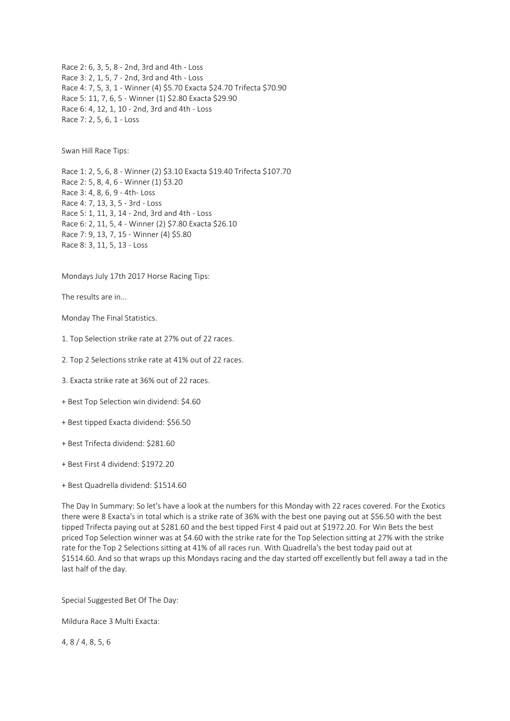Race 2: 6, 3, 5, 8 - 2nd, 3rd and 4th - Loss Race 3: 2, 1, 5, 7 - 2nd, 3rd and 4th - Loss Race 4: 7, 5, 3, 1 - Winner (4) \$5.70 Exacta \$24.70 Trifecta \$70.90 Race 5: 11, 7, 6, 5 - Winner (1) \$2.80 Exacta \$29.90 Race 6: 4, 12, 1, 10 - 2nd, 3rd and 4th - Loss Race 7: 2, 5, 6, 1 - Loss

Swan Hill Race Tips:

Race 1: 2, 5, 6, 8 - Winner (2) \$3.10 Exacta \$19.40 Trifecta \$107.70 Race 2: 5, 8, 4, 6 - Winner (1) \$3.20 Race 3: 4, 8, 6, 9 - 4th- Loss Race 4: 7, 13, 3, 5 - 3rd - Loss Race 5: 1, 11, 3, 14 - 2nd, 3rd and 4th - Loss Race 6: 2, 11, 5, 4 - Winner (2) \$7.80 Exacta \$26.10 Race 7: 9, 13, 7, 15 - Winner (4) \$5.80 Race 8: 3, 11, 5, 13 - Loss

Mondays July 17th 2017 Horse Racing Tips:

The results are in...

Monday The Final Statistics.

1. Top Selection strike rate at 27% out of 22 races.

2. Top 2 Selections strike rate at 41% out of 22 races.

3. Exacta strike rate at 36% out of 22 races.

- + Best Top Selection win dividend: \$4.60
- + Best tipped Exacta dividend: \$56.50
- + Best Trifecta dividend: \$281.60
- + Best First 4 dividend: \$1972.20
- + Best Quadrella dividend: \$1514.60

The Day In Summary: So let's have a look at the numbers for this Monday with 22 races covered. For the Exotics there were 8 Exacta's in total which is a strike rate of 36% with the best one paying out at \$56.50 with the best tipped Trifecta paying out at \$281.60 and the best tipped First 4 paid out at \$1972.20. For Win Bets the best priced Top Selection winner was at \$4.60 with the strike rate for the Top Selection sitting at 27% with the strike rate for the Top 2 Selections sitting at 41% of all races run. With Quadrella's the best today paid out at \$1514.60. And so that wraps up this Mondays racing and the day started off excellently but fell away a tad in the last half of the day.

Special Suggested Bet Of The Day:

Mildura Race 3 Multi Exacta:

4, 8 / 4, 8, 5, 6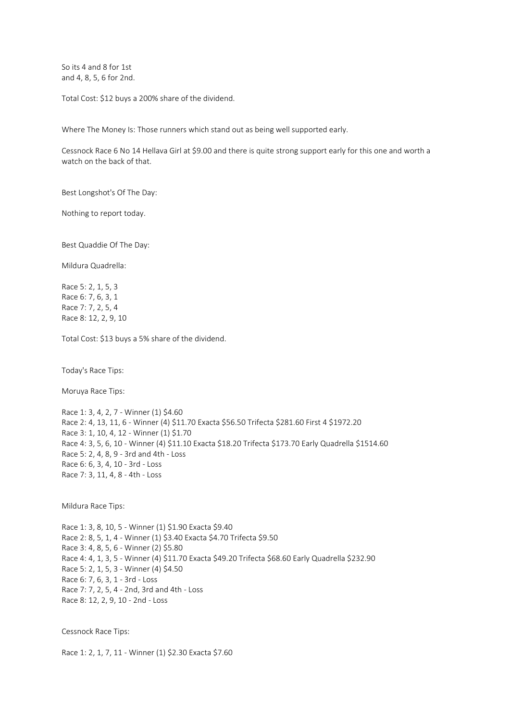So its 4 and 8 for 1st and 4, 8, 5, 6 for 2nd.

Total Cost: \$12 buys a 200% share of the dividend.

Where The Money Is: Those runners which stand out as being well supported early.

Cessnock Race 6 No 14 Hellava Girl at \$9.00 and there is quite strong support early for this one and worth a watch on the back of that.

Best Longshot's Of The Day:

Nothing to report today.

Best Quaddie Of The Day:

Mildura Quadrella:

Race 5: 2, 1, 5, 3 Race 6: 7, 6, 3, 1 Race 7: 7, 2, 5, 4 Race 8: 12, 2, 9, 10

Total Cost: \$13 buys a 5% share of the dividend.

Today's Race Tips:

Moruya Race Tips:

Race 1: 3, 4, 2, 7 - Winner (1) \$4.60 Race 2: 4, 13, 11, 6 - Winner (4) \$11.70 Exacta \$56.50 Trifecta \$281.60 First 4 \$1972.20 Race 3: 1, 10, 4, 12 - Winner (1) \$1.70 Race 4: 3, 5, 6, 10 - Winner (4) \$11.10 Exacta \$18.20 Trifecta \$173.70 Early Quadrella \$1514.60 Race 5: 2, 4, 8, 9 - 3rd and 4th - Loss Race 6: 6, 3, 4, 10 - 3rd - Loss Race 7: 3, 11, 4, 8 - 4th - Loss

Mildura Race Tips:

Race 1: 3, 8, 10, 5 - Winner (1) \$1.90 Exacta \$9.40 Race 2: 8, 5, 1, 4 - Winner (1) \$3.40 Exacta \$4.70 Trifecta \$9.50 Race 3: 4, 8, 5, 6 - Winner (2) \$5.80 Race 4: 4, 1, 3, 5 - Winner (4) \$11.70 Exacta \$49.20 Trifecta \$68.60 Early Quadrella \$232.90 Race 5: 2, 1, 5, 3 - Winner (4) \$4.50 Race 6: 7, 6, 3, 1 - 3rd - Loss Race 7: 7, 2, 5, 4 - 2nd, 3rd and 4th - Loss Race 8: 12, 2, 9, 10 - 2nd - Loss

Cessnock Race Tips:

Race 1: 2, 1, 7, 11 - Winner (1) \$2.30 Exacta \$7.60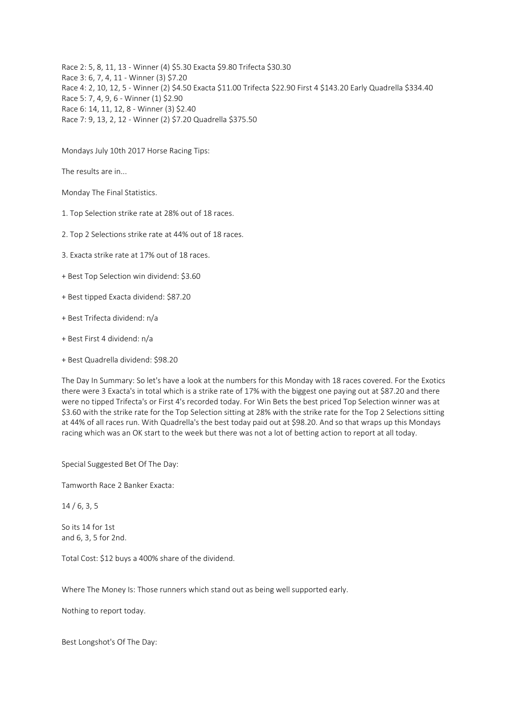Race 2: 5, 8, 11, 13 - Winner (4) \$5.30 Exacta \$9.80 Trifecta \$30.30 Race 3: 6, 7, 4, 11 - Winner (3) \$7.20 Race 4: 2, 10, 12, 5 - Winner (2) \$4.50 Exacta \$11.00 Trifecta \$22.90 First 4 \$143.20 Early Quadrella \$334.40 Race 5: 7, 4, 9, 6 - Winner (1) \$2.90 Race 6: 14, 11, 12, 8 - Winner (3) \$2.40 Race 7: 9, 13, 2, 12 - Winner (2) \$7.20 Quadrella \$375.50

Mondays July 10th 2017 Horse Racing Tips:

The results are in...

Monday The Final Statistics.

1. Top Selection strike rate at 28% out of 18 races.

2. Top 2 Selections strike rate at 44% out of 18 races.

3. Exacta strike rate at 17% out of 18 races.

- + Best Top Selection win dividend: \$3.60
- + Best tipped Exacta dividend: \$87.20
- + Best Trifecta dividend: n/a
- + Best First 4 dividend: n/a
- + Best Quadrella dividend: \$98.20

The Day In Summary: So let's have a look at the numbers for this Monday with 18 races covered. For the Exotics there were 3 Exacta's in total which is a strike rate of 17% with the biggest one paying out at \$87.20 and there were no tipped Trifecta's or First 4's recorded today. For Win Bets the best priced Top Selection winner was at \$3.60 with the strike rate for the Top Selection sitting at 28% with the strike rate for the Top 2 Selections sitting at 44% of all races run. With Quadrella's the best today paid out at \$98.20. And so that wraps up this Mondays racing which was an OK start to the week but there was not a lot of betting action to report at all today.

Special Suggested Bet Of The Day:

Tamworth Race 2 Banker Exacta:

14 / 6, 3, 5

So its 14 for 1st and 6, 3, 5 for 2nd.

Total Cost: \$12 buys a 400% share of the dividend.

Where The Money Is: Those runners which stand out as being well supported early.

Nothing to report today.

Best Longshot's Of The Day: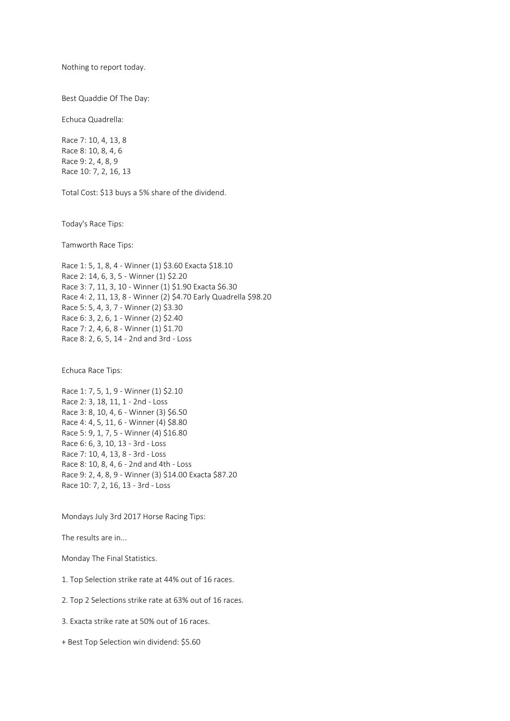Nothing to report today.

Best Quaddie Of The Day:

Echuca Quadrella:

Race 7: 10, 4, 13, 8 Race 8: 10, 8, 4, 6 Race 9: 2, 4, 8, 9 Race 10: 7, 2, 16, 13

Total Cost: \$13 buys a 5% share of the dividend.

Today's Race Tips:

Tamworth Race Tips:

Race 1: 5, 1, 8, 4 - Winner (1) \$3.60 Exacta \$18.10 Race 2: 14, 6, 3, 5 - Winner (1) \$2.20 Race 3: 7, 11, 3, 10 - Winner (1) \$1.90 Exacta \$6.30 Race 4: 2, 11, 13, 8 - Winner (2) \$4.70 Early Quadrella \$98.20 Race 5: 5, 4, 3, 7 - Winner (2) \$3.30 Race 6: 3, 2, 6, 1 - Winner (2) \$2.40 Race 7: 2, 4, 6, 8 - Winner (1) \$1.70 Race 8: 2, 6, 5, 14 - 2nd and 3rd - Loss

Echuca Race Tips:

Race 1: 7, 5, 1, 9 - Winner (1) \$2.10 Race 2: 3, 18, 11, 1 - 2nd - Loss Race 3: 8, 10, 4, 6 - Winner (3) \$6.50 Race 4: 4, 5, 11, 6 - Winner (4) \$8.80 Race 5: 9, 1, 7, 5 - Winner (4) \$16.80 Race 6: 6, 3, 10, 13 - 3rd - Loss Race 7: 10, 4, 13, 8 - 3rd - Loss Race 8: 10, 8, 4, 6 - 2nd and 4th - Loss Race 9: 2, 4, 8, 9 - Winner (3) \$14.00 Exacta \$87.20 Race 10: 7, 2, 16, 13 - 3rd - Loss

Mondays July 3rd 2017 Horse Racing Tips:

The results are in...

Monday The Final Statistics.

1. Top Selection strike rate at 44% out of 16 races.

2. Top 2 Selections strike rate at 63% out of 16 races.

3. Exacta strike rate at 50% out of 16 races.

+ Best Top Selection win dividend: \$5.60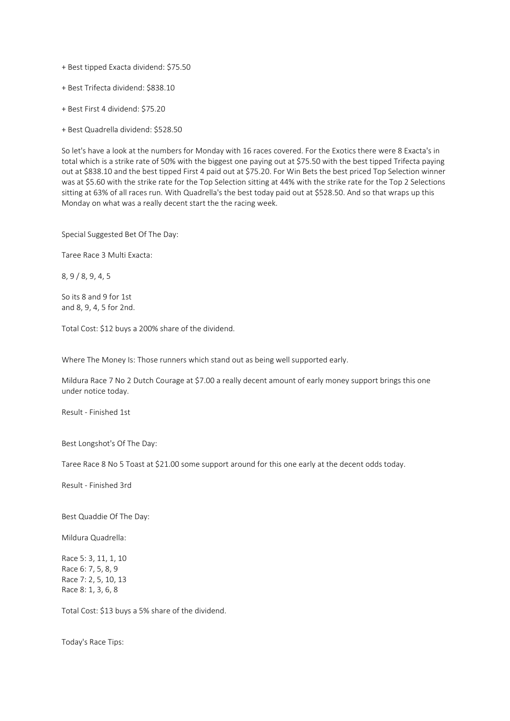+ Best tipped Exacta dividend: \$75.50

- + Best Trifecta dividend: \$838.10
- + Best First 4 dividend: \$75.20
- + Best Quadrella dividend: \$528.50

So let's have a look at the numbers for Monday with 16 races covered. For the Exotics there were 8 Exacta's in total which is a strike rate of 50% with the biggest one paying out at \$75.50 with the best tipped Trifecta paying out at \$838.10 and the best tipped First 4 paid out at \$75.20. For Win Bets the best priced Top Selection winner was at \$5.60 with the strike rate for the Top Selection sitting at 44% with the strike rate for the Top 2 Selections sitting at 63% of all races run. With Quadrella's the best today paid out at \$528.50. And so that wraps up this Monday on what was a really decent start the the racing week.

Special Suggested Bet Of The Day:

Taree Race 3 Multi Exacta:

8, 9 / 8, 9, 4, 5

So its 8 and 9 for 1st and 8, 9, 4, 5 for 2nd.

Total Cost: \$12 buys a 200% share of the dividend.

Where The Money Is: Those runners which stand out as being well supported early.

Mildura Race 7 No 2 Dutch Courage at \$7.00 a really decent amount of early money support brings this one under notice today.

Result - Finished 1st

Best Longshot's Of The Day:

Taree Race 8 No 5 Toast at \$21.00 some support around for this one early at the decent odds today.

Result - Finished 3rd

Best Quaddie Of The Day:

Mildura Quadrella:

Race 5: 3, 11, 1, 10 Race 6: 7, 5, 8, 9 Race 7: 2, 5, 10, 13 Race 8: 1, 3, 6, 8

Total Cost: \$13 buys a 5% share of the dividend.

Today's Race Tips: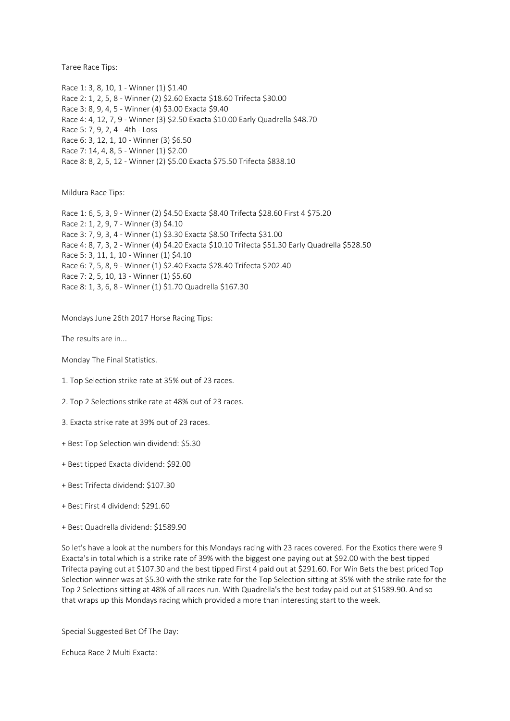Taree Race Tips:

Race 1: 3, 8, 10, 1 - Winner (1) \$1.40 Race 2: 1, 2, 5, 8 - Winner (2) \$2.60 Exacta \$18.60 Trifecta \$30.00 Race 3: 8, 9, 4, 5 - Winner (4) \$3.00 Exacta \$9.40 Race 4: 4, 12, 7, 9 - Winner (3) \$2.50 Exacta \$10.00 Early Quadrella \$48.70 Race 5: 7, 9, 2, 4 - 4th - Loss Race 6: 3, 12, 1, 10 - Winner (3) \$6.50 Race 7: 14, 4, 8, 5 - Winner (1) \$2.00 Race 8: 8, 2, 5, 12 - Winner (2) \$5.00 Exacta \$75.50 Trifecta \$838.10

Mildura Race Tips:

Race 1: 6, 5, 3, 9 - Winner (2) \$4.50 Exacta \$8.40 Trifecta \$28.60 First 4 \$75.20 Race 2: 1, 2, 9, 7 - Winner (3) \$4.10 Race 3: 7, 9, 3, 4 - Winner (1) \$3.30 Exacta \$8.50 Trifecta \$31.00 Race 4: 8, 7, 3, 2 - Winner (4) \$4.20 Exacta \$10.10 Trifecta \$51.30 Early Quadrella \$528.50 Race 5: 3, 11, 1, 10 - Winner (1) \$4.10 Race 6: 7, 5, 8, 9 - Winner (1) \$2.40 Exacta \$28.40 Trifecta \$202.40 Race 7: 2, 5, 10, 13 - Winner (1) \$5.60 Race 8: 1, 3, 6, 8 - Winner (1) \$1.70 Quadrella \$167.30

Mondays June 26th 2017 Horse Racing Tips:

The results are in...

Monday The Final Statistics.

- 1. Top Selection strike rate at 35% out of 23 races.
- 2. Top 2 Selections strike rate at 48% out of 23 races.
- 3. Exacta strike rate at 39% out of 23 races.
- + Best Top Selection win dividend: \$5.30
- + Best tipped Exacta dividend: \$92.00
- + Best Trifecta dividend: \$107.30
- + Best First 4 dividend: \$291.60
- + Best Quadrella dividend: \$1589.90

So let's have a look at the numbers for this Mondays racing with 23 races covered. For the Exotics there were 9 Exacta's in total which is a strike rate of 39% with the biggest one paying out at \$92.00 with the best tipped Trifecta paying out at \$107.30 and the best tipped First 4 paid out at \$291.60. For Win Bets the best priced Top Selection winner was at \$5.30 with the strike rate for the Top Selection sitting at 35% with the strike rate for the Top 2 Selections sitting at 48% of all races run. With Quadrella's the best today paid out at \$1589.90. And so that wraps up this Mondays racing which provided a more than interesting start to the week.

Special Suggested Bet Of The Day:

Echuca Race 2 Multi Exacta: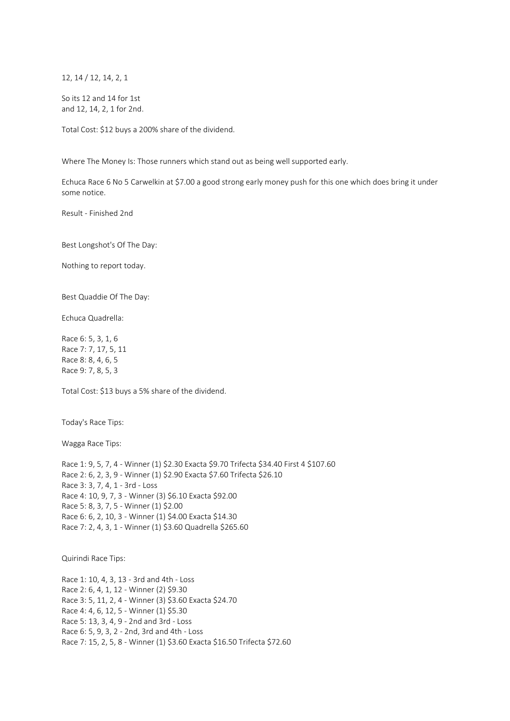12, 14 / 12, 14, 2, 1

So its 12 and 14 for 1st and 12, 14, 2, 1 for 2nd.

Total Cost: \$12 buys a 200% share of the dividend.

Where The Money Is: Those runners which stand out as being well supported early.

Echuca Race 6 No 5 Carwelkin at \$7.00 a good strong early money push for this one which does bring it under some notice.

Result - Finished 2nd

Best Longshot's Of The Day:

Nothing to report today.

Best Quaddie Of The Day:

Echuca Quadrella:

Race 6: 5, 3, 1, 6 Race 7: 7, 17, 5, 11 Race 8: 8, 4, 6, 5 Race 9: 7, 8, 5, 3

Total Cost: \$13 buys a 5% share of the dividend.

Today's Race Tips:

Wagga Race Tips:

Race 1: 9, 5, 7, 4 - Winner (1) \$2.30 Exacta \$9.70 Trifecta \$34.40 First 4 \$107.60 Race 2: 6, 2, 3, 9 - Winner (1) \$2.90 Exacta \$7.60 Trifecta \$26.10 Race 3: 3, 7, 4, 1 - 3rd - Loss Race 4: 10, 9, 7, 3 - Winner (3) \$6.10 Exacta \$92.00 Race 5: 8, 3, 7, 5 - Winner (1) \$2.00 Race 6: 6, 2, 10, 3 - Winner (1) \$4.00 Exacta \$14.30 Race 7: 2, 4, 3, 1 - Winner (1) \$3.60 Quadrella \$265.60

Quirindi Race Tips:

Race 1: 10, 4, 3, 13 - 3rd and 4th - Loss Race 2: 6, 4, 1, 12 - Winner (2) \$9.30 Race 3: 5, 11, 2, 4 - Winner (3) \$3.60 Exacta \$24.70 Race 4: 4, 6, 12, 5 - Winner (1) \$5.30 Race 5: 13, 3, 4, 9 - 2nd and 3rd - Loss Race 6: 5, 9, 3, 2 - 2nd, 3rd and 4th - Loss Race 7: 15, 2, 5, 8 - Winner (1) \$3.60 Exacta \$16.50 Trifecta \$72.60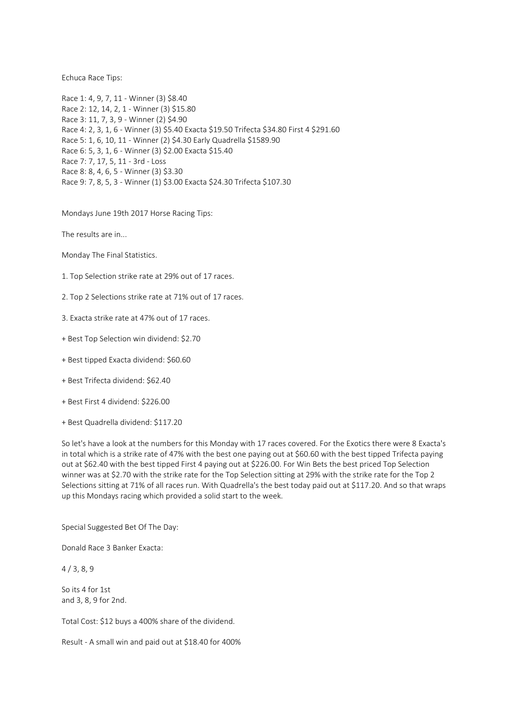Echuca Race Tips:

Race 1: 4, 9, 7, 11 - Winner (3) \$8.40 Race 2: 12, 14, 2, 1 - Winner (3) \$15.80 Race 3: 11, 7, 3, 9 - Winner (2) \$4.90 Race 4: 2, 3, 1, 6 - Winner (3) \$5.40 Exacta \$19.50 Trifecta \$34.80 First 4 \$291.60 Race 5: 1, 6, 10, 11 - Winner (2) \$4.30 Early Quadrella \$1589.90 Race 6: 5, 3, 1, 6 - Winner (3) \$2.00 Exacta \$15.40 Race 7: 7, 17, 5, 11 - 3rd - Loss Race 8: 8, 4, 6, 5 - Winner (3) \$3.30 Race 9: 7, 8, 5, 3 - Winner (1) \$3.00 Exacta \$24.30 Trifecta \$107.30

Mondays June 19th 2017 Horse Racing Tips:

The results are in...

Monday The Final Statistics.

- 1. Top Selection strike rate at 29% out of 17 races.
- 2. Top 2 Selections strike rate at 71% out of 17 races.
- 3. Exacta strike rate at 47% out of 17 races.
- + Best Top Selection win dividend: \$2.70
- + Best tipped Exacta dividend: \$60.60
- + Best Trifecta dividend: \$62.40
- + Best First 4 dividend: \$226.00
- + Best Quadrella dividend: \$117.20

So let's have a look at the numbers for this Monday with 17 races covered. For the Exotics there were 8 Exacta's in total which is a strike rate of 47% with the best one paying out at \$60.60 with the best tipped Trifecta paying out at \$62.40 with the best tipped First 4 paying out at \$226.00. For Win Bets the best priced Top Selection winner was at \$2.70 with the strike rate for the Top Selection sitting at 29% with the strike rate for the Top 2 Selections sitting at 71% of all races run. With Quadrella's the best today paid out at \$117.20. And so that wraps up this Mondays racing which provided a solid start to the week.

Special Suggested Bet Of The Day:

Donald Race 3 Banker Exacta:

 $4 / 3, 8, 9$ 

So its 4 for 1st and 3, 8, 9 for 2nd.

Total Cost: \$12 buys a 400% share of the dividend.

Result - A small win and paid out at \$18.40 for 400%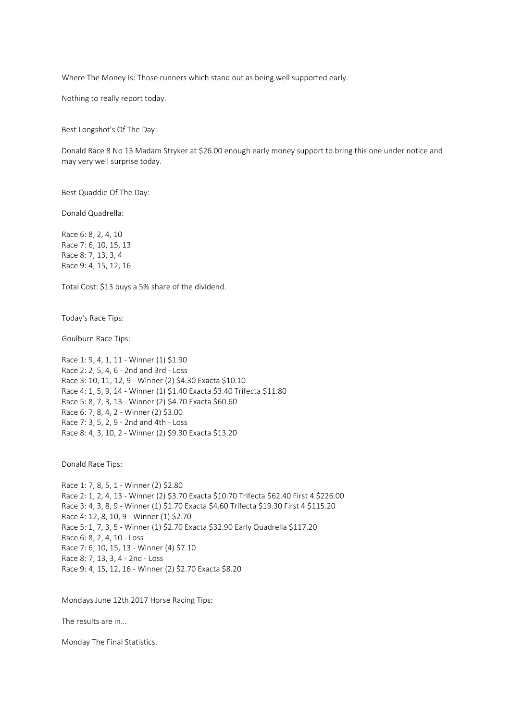Where The Money Is: Those runners which stand out as being well supported early.

Nothing to really report today.

Best Longshot's Of The Day:

Donald Race 8 No 13 Madam Stryker at \$26.00 enough early money support to bring this one under notice and may very well surprise today.

Best Quaddie Of The Day:

Donald Quadrella:

Race 6: 8, 2, 4, 10 Race 7: 6, 10, 15, 13 Race 8: 7, 13, 3, 4 Race 9: 4, 15, 12, 16

Total Cost: \$13 buys a 5% share of the dividend.

Today's Race Tips:

Goulburn Race Tips:

Race 1: 9, 4, 1, 11 - Winner (1) \$1.90 Race 2: 2, 5, 4, 6 - 2nd and 3rd - Loss Race 3: 10, 11, 12, 9 - Winner (2) \$4.30 Exacta \$10.10 Race 4: 1, 5, 9, 14 - Winner (1) \$1.40 Exacta \$3.40 Trifecta \$11.80 Race 5: 8, 7, 3, 13 - Winner (2) \$4.70 Exacta \$60.60 Race 6: 7, 8, 4, 2 - Winner (2) \$3.00 Race 7: 3, 5, 2, 9 - 2nd and 4th - Loss Race 8: 4, 3, 10, 2 - Winner (2) \$9.30 Exacta \$13.20

Donald Race Tips:

Race 1: 7, 8, 5, 1 - Winner (2) \$2.80 Race 2: 1, 2, 4, 13 - Winner (2) \$3.70 Exacta \$10.70 Trifecta \$62.40 First 4 \$226.00 Race 3: 4, 3, 8, 9 - Winner (1) \$1.70 Exacta \$4.60 Trifecta \$19.30 First 4 \$115.20 Race 4: 12, 8, 10, 9 - Winner (1) \$2.70 Race 5: 1, 7, 3, 5 - Winner (1) \$2.70 Exacta \$32.90 Early Quadrella \$117.20 Race 6: 8, 2, 4, 10 - Loss Race 7: 6, 10, 15, 13 - Winner (4) \$7.10 Race 8: 7, 13, 3, 4 - 2nd - Loss Race 9: 4, 15, 12, 16 - Winner (2) \$2.70 Exacta \$8.20

Mondays June 12th 2017 Horse Racing Tips:

The results are in...

Monday The Final Statistics.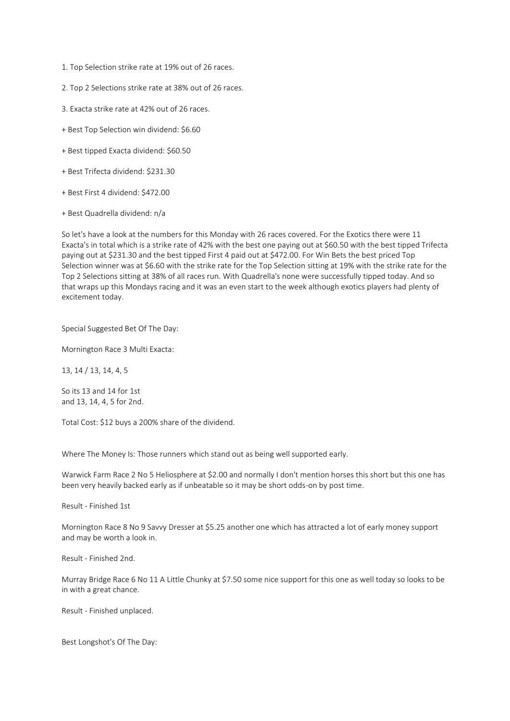- 1. Top Selection strike rate at 19% out of 26 races.
- 2. Top 2 Selections strike rate at 38% out of 26 races.
- 3. Exacta strike rate at 42% out of 26 races.
- + Best Top Selection win dividend: \$6.60
- + Best tipped Exacta dividend: \$60.50
- + Best Trifecta dividend: \$231.30
- + Best First 4 dividend: \$472.00
- + Best Quadrella dividend: n/a

So let's have a look at the numbers for this Monday with 26 races covered. For the Exotics there were 11 Exacta's in total which is a strike rate of 42% with the best one paying out at \$60.50 with the best tipped Trifecta paying out at \$231.30 and the best tipped First 4 paid out at \$472.00. For Win Bets the best priced Top Selection winner was at \$6.60 with the strike rate for the Top Selection sitting at 19% with the strike rate for the Top 2 Selections sitting at 38% of all races run. With Quadrella's none were successfully tipped today. And so that wraps up this Mondays racing and it was an even start to the week although exotics players had plenty of excitement today.

Special Suggested Bet Of The Day:

Mornington Race 3 Multi Exacta:

13, 14 / 13, 14, 4, 5

So its 13 and 14 for 1st and 13, 14, 4, 5 for 2nd.

Total Cost: \$12 buys a 200% share of the dividend.

Where The Money Is: Those runners which stand out as being well supported early.

Warwick Farm Race 2 No 5 Heliosphere at \$2.00 and normally I don't mention horses this short but this one has been very heavily backed early as if unbeatable so it may be short odds-on by post time.

Result - Finished 1st

Mornington Race 8 No 9 Savvy Dresser at \$5.25 another one which has attracted a lot of early money support and may be worth a look in.

Result - Finished 2nd.

Murray Bridge Race 6 No 11 A Little Chunky at \$7.50 some nice support for this one as well today so looks to be in with a great chance.

Result - Finished unplaced.

Best Longshot's Of The Day: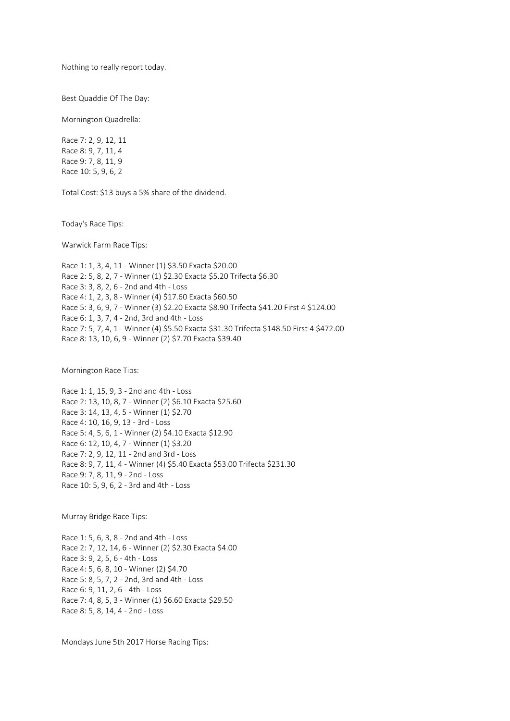Nothing to really report today.

Best Quaddie Of The Day:

Mornington Quadrella:

Race 7: 2, 9, 12, 11 Race 8: 9, 7, 11, 4 Race 9: 7, 8, 11, 9 Race 10: 5, 9, 6, 2

Total Cost: \$13 buys a 5% share of the dividend.

Today's Race Tips:

Warwick Farm Race Tips:

Race 1: 1, 3, 4, 11 - Winner (1) \$3.50 Exacta \$20.00 Race 2: 5, 8, 2, 7 - Winner (1) \$2.30 Exacta \$5.20 Trifecta \$6.30 Race 3: 3, 8, 2, 6 - 2nd and 4th - Loss Race 4: 1, 2, 3, 8 - Winner (4) \$17.60 Exacta \$60.50 Race 5: 3, 6, 9, 7 - Winner (3) \$2.20 Exacta \$8.90 Trifecta \$41.20 First 4 \$124.00 Race 6: 1, 3, 7, 4 - 2nd, 3rd and 4th - Loss Race 7: 5, 7, 4, 1 - Winner (4) \$5.50 Exacta \$31.30 Trifecta \$148.50 First 4 \$472.00 Race 8: 13, 10, 6, 9 - Winner (2) \$7.70 Exacta \$39.40

Mornington Race Tips:

Race 1: 1, 15, 9, 3 - 2nd and 4th - Loss Race 2: 13, 10, 8, 7 - Winner (2) \$6.10 Exacta \$25.60 Race 3: 14, 13, 4, 5 - Winner (1) \$2.70 Race 4: 10, 16, 9, 13 - 3rd - Loss Race 5: 4, 5, 6, 1 - Winner (2) \$4.10 Exacta \$12.90 Race 6: 12, 10, 4, 7 - Winner (1) \$3.20 Race 7: 2, 9, 12, 11 - 2nd and 3rd - Loss Race 8: 9, 7, 11, 4 - Winner (4) \$5.40 Exacta \$53.00 Trifecta \$231.30 Race 9: 7, 8, 11, 9 - 2nd - Loss Race 10: 5, 9, 6, 2 - 3rd and 4th - Loss

Murray Bridge Race Tips:

Race 1: 5, 6, 3, 8 - 2nd and 4th - Loss Race 2: 7, 12, 14, 6 - Winner (2) \$2.30 Exacta \$4.00 Race 3: 9, 2, 5, 6 - 4th - Loss Race 4: 5, 6, 8, 10 - Winner (2) \$4.70 Race 5: 8, 5, 7, 2 - 2nd, 3rd and 4th - Loss Race 6: 9, 11, 2, 6 - 4th - Loss Race 7: 4, 8, 5, 3 - Winner (1) \$6.60 Exacta \$29.50 Race 8: 5, 8, 14, 4 - 2nd - Loss

Mondays June 5th 2017 Horse Racing Tips: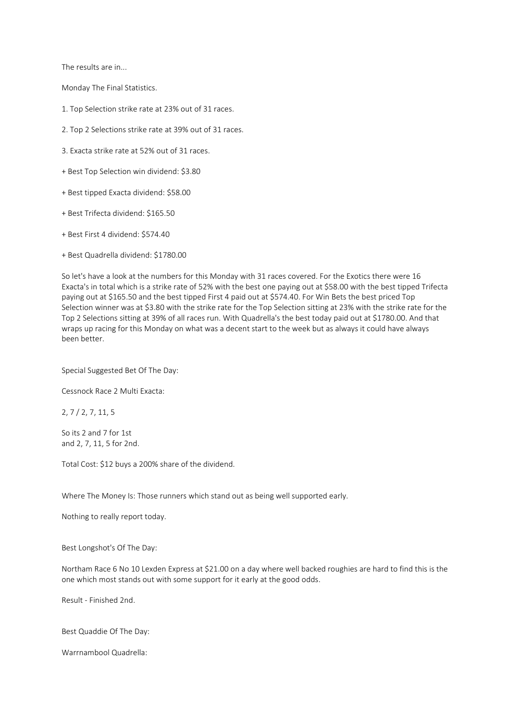The results are in...

Monday The Final Statistics.

- 1. Top Selection strike rate at 23% out of 31 races.
- 2. Top 2 Selections strike rate at 39% out of 31 races.
- 3. Exacta strike rate at 52% out of 31 races.
- + Best Top Selection win dividend: \$3.80
- + Best tipped Exacta dividend: \$58.00
- + Best Trifecta dividend: \$165.50
- + Best First 4 dividend: \$574.40
- + Best Quadrella dividend: \$1780.00

So let's have a look at the numbers for this Monday with 31 races covered. For the Exotics there were 16 Exacta's in total which is a strike rate of 52% with the best one paying out at \$58.00 with the best tipped Trifecta paying out at \$165.50 and the best tipped First 4 paid out at \$574.40. For Win Bets the best priced Top Selection winner was at \$3.80 with the strike rate for the Top Selection sitting at 23% with the strike rate for the Top 2 Selections sitting at 39% of all races run. With Quadrella's the best today paid out at \$1780.00. And that wraps up racing for this Monday on what was a decent start to the week but as always it could have always been better.

Special Suggested Bet Of The Day:

Cessnock Race 2 Multi Exacta:

2, 7 / 2, 7, 11, 5

So its 2 and 7 for 1st and 2, 7, 11, 5 for 2nd.

Total Cost: \$12 buys a 200% share of the dividend.

Where The Money Is: Those runners which stand out as being well supported early.

Nothing to really report today.

Best Longshot's Of The Day:

Northam Race 6 No 10 Lexden Express at \$21.00 on a day where well backed roughies are hard to find this is the one which most stands out with some support for it early at the good odds.

Result - Finished 2nd.

Best Quaddie Of The Day:

Warrnambool Quadrella: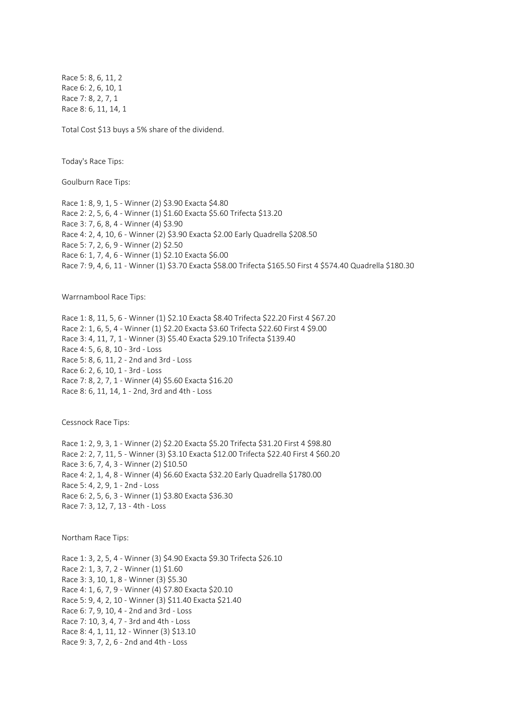Race 5: 8, 6, 11, 2 Race 6: 2, 6, 10, 1 Race 7: 8, 2, 7, 1 Race 8: 6, 11, 14, 1

Total Cost \$13 buys a 5% share of the dividend.

Today's Race Tips:

Goulburn Race Tips:

Race 1: 8, 9, 1, 5 - Winner (2) \$3.90 Exacta \$4.80 Race 2: 2, 5, 6, 4 - Winner (1) \$1.60 Exacta \$5.60 Trifecta \$13.20 Race 3: 7, 6, 8, 4 - Winner (4) \$3.90 Race 4: 2, 4, 10, 6 - Winner (2) \$3.90 Exacta \$2.00 Early Quadrella \$208.50 Race 5: 7, 2, 6, 9 - Winner (2) \$2.50 Race 6: 1, 7, 4, 6 - Winner (1) \$2.10 Exacta \$6.00 Race 7: 9, 4, 6, 11 - Winner (1) \$3.70 Exacta \$58.00 Trifecta \$165.50 First 4 \$574.40 Quadrella \$180.30

Warrnambool Race Tips:

Race 1: 8, 11, 5, 6 - Winner (1) \$2.10 Exacta \$8.40 Trifecta \$22.20 First 4 \$67.20 Race 2: 1, 6, 5, 4 - Winner (1) \$2.20 Exacta \$3.60 Trifecta \$22.60 First 4 \$9.00 Race 3: 4, 11, 7, 1 - Winner (3) \$5.40 Exacta \$29.10 Trifecta \$139.40 Race 4: 5, 6, 8, 10 - 3rd - Loss Race 5: 8, 6, 11, 2 - 2nd and 3rd - Loss Race 6: 2, 6, 10, 1 - 3rd - Loss Race 7: 8, 2, 7, 1 - Winner (4) \$5.60 Exacta \$16.20 Race 8: 6, 11, 14, 1 - 2nd, 3rd and 4th - Loss

Cessnock Race Tips:

Race 1: 2, 9, 3, 1 - Winner (2) \$2.20 Exacta \$5.20 Trifecta \$31.20 First 4 \$98.80 Race 2: 2, 7, 11, 5 - Winner (3) \$3.10 Exacta \$12.00 Trifecta \$22.40 First 4 \$60.20 Race 3: 6, 7, 4, 3 - Winner (2) \$10.50 Race 4: 2, 1, 4, 8 - Winner (4) \$6.60 Exacta \$32.20 Early Quadrella \$1780.00 Race 5: 4, 2, 9, 1 - 2nd - Loss Race 6: 2, 5, 6, 3 - Winner (1) \$3.80 Exacta \$36.30 Race 7: 3, 12, 7, 13 - 4th - Loss

Northam Race Tips:

Race 1: 3, 2, 5, 4 - Winner (3) \$4.90 Exacta \$9.30 Trifecta \$26.10 Race 2: 1, 3, 7, 2 - Winner (1) \$1.60 Race 3: 3, 10, 1, 8 - Winner (3) \$5.30 Race 4: 1, 6, 7, 9 - Winner (4) \$7.80 Exacta \$20.10 Race 5: 9, 4, 2, 10 - Winner (3) \$11.40 Exacta \$21.40 Race 6: 7, 9, 10, 4 - 2nd and 3rd - Loss Race 7: 10, 3, 4, 7 - 3rd and 4th - Loss Race 8: 4, 1, 11, 12 - Winner (3) \$13.10 Race 9: 3, 7, 2, 6 - 2nd and 4th - Loss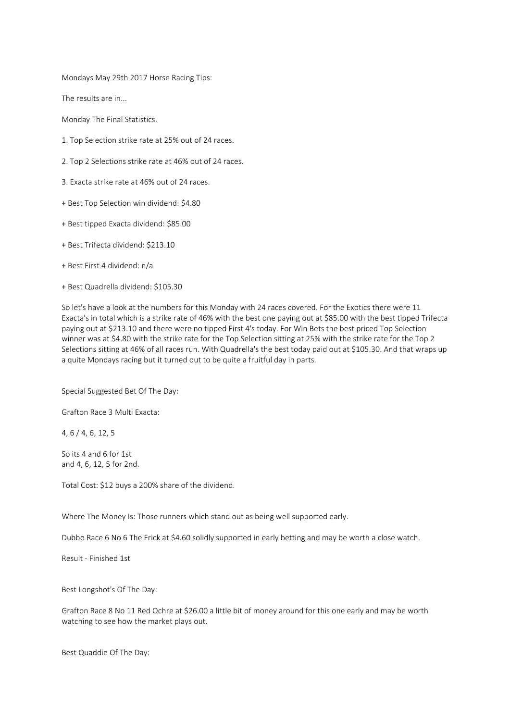Mondays May 29th 2017 Horse Racing Tips:

The results are in...

Monday The Final Statistics.

- 1. Top Selection strike rate at 25% out of 24 races.
- 2. Top 2 Selections strike rate at 46% out of 24 races.
- 3. Exacta strike rate at 46% out of 24 races.
- + Best Top Selection win dividend: \$4.80
- + Best tipped Exacta dividend: \$85.00
- + Best Trifecta dividend: \$213.10
- + Best First 4 dividend: n/a
- + Best Quadrella dividend: \$105.30

So let's have a look at the numbers for this Monday with 24 races covered. For the Exotics there were 11 Exacta's in total which is a strike rate of 46% with the best one paying out at \$85.00 with the best tipped Trifecta paying out at \$213.10 and there were no tipped First 4's today. For Win Bets the best priced Top Selection winner was at \$4.80 with the strike rate for the Top Selection sitting at 25% with the strike rate for the Top 2 Selections sitting at 46% of all races run. With Quadrella's the best today paid out at \$105.30. And that wraps up a quite Mondays racing but it turned out to be quite a fruitful day in parts.

Special Suggested Bet Of The Day:

Grafton Race 3 Multi Exacta:

4, 6 / 4, 6, 12, 5

So its 4 and 6 for 1st and 4, 6, 12, 5 for 2nd.

Total Cost: \$12 buys a 200% share of the dividend.

Where The Money Is: Those runners which stand out as being well supported early.

Dubbo Race 6 No 6 The Frick at \$4.60 solidly supported in early betting and may be worth a close watch.

Result - Finished 1st

Best Longshot's Of The Day:

Grafton Race 8 No 11 Red Ochre at \$26.00 a little bit of money around for this one early and may be worth watching to see how the market plays out.

Best Quaddie Of The Day: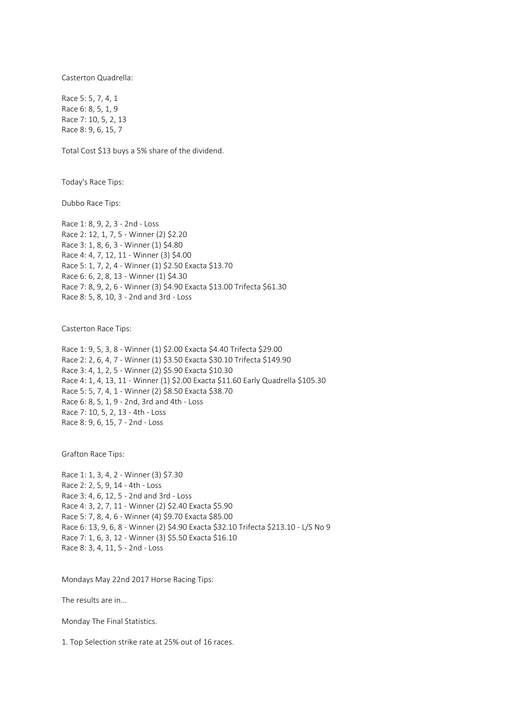Casterton Quadrella:

Race 5: 5, 7, 4, 1 Race 6: 8, 5, 1, 9 Race 7: 10, 5, 2, 13 Race 8: 9, 6, 15, 7

Total Cost \$13 buys a 5% share of the dividend.

Today's Race Tips:

Dubbo Race Tips:

Race 1: 8, 9, 2, 3 - 2nd - Loss Race 2: 12, 1, 7, 5 - Winner (2) \$2.20 Race 3: 1, 8, 6, 3 - Winner (1) \$4.80 Race 4: 4, 7, 12, 11 - Winner (3) \$4.00 Race 5: 1, 7, 2, 4 - Winner (1) \$2.50 Exacta \$13.70 Race 6: 6, 2, 8, 13 - Winner (1) \$4.30 Race 7: 8, 9, 2, 6 - Winner (3) \$4.90 Exacta \$13.00 Trifecta \$61.30 Race 8: 5, 8, 10, 3 - 2nd and 3rd - Loss

Casterton Race Tips:

Race 1: 9, 5, 3, 8 - Winner (1) \$2.00 Exacta \$4.40 Trifecta \$29.00 Race 2: 2, 6, 4, 7 - Winner (1) \$3.50 Exacta \$30.10 Trifecta \$149.90 Race 3: 4, 1, 2, 5 - Winner (2) \$5.90 Exacta \$10.30 Race 4: 1, 4, 13, 11 - Winner (1) \$2.00 Exacta \$11.60 Early Quadrella \$105.30 Race 5: 5, 7, 4, 1 - Winner (2) \$8.50 Exacta \$38.70 Race 6: 8, 5, 1, 9 - 2nd, 3rd and 4th - Loss Race 7: 10, 5, 2, 13 - 4th - Loss Race 8: 9, 6, 15, 7 - 2nd - Loss

Grafton Race Tips:

Race 1: 1, 3, 4, 2 - Winner (3) \$7.30 Race 2: 2, 5, 9, 14 - 4th - Loss Race 3: 4, 6, 12, 5 - 2nd and 3rd - Loss Race 4: 3, 2, 7, 11 - Winner (2) \$2.40 Exacta \$5.90 Race 5: 7, 8, 4, 6 - Winner (4) \$9.70 Exacta \$85.00 Race 6: 13, 9, 6, 8 - Winner (2) \$4.90 Exacta \$32.10 Trifecta \$213.10 - L/S No 9 Race 7: 1, 6, 3, 12 - Winner (3) \$5.50 Exacta \$16.10 Race 8: 3, 4, 11, 5 - 2nd - Loss

Mondays May 22nd 2017 Horse Racing Tips:

The results are in...

Monday The Final Statistics.

1. Top Selection strike rate at 25% out of 16 races.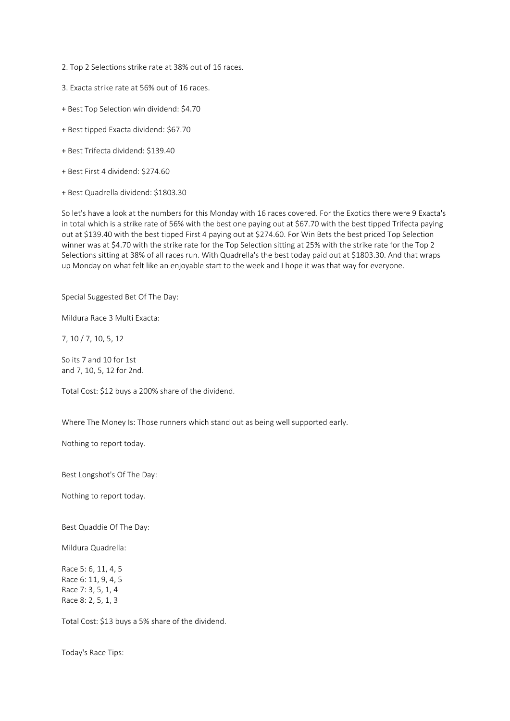2. Top 2 Selections strike rate at 38% out of 16 races.

- 3. Exacta strike rate at 56% out of 16 races.
- + Best Top Selection win dividend: \$4.70
- + Best tipped Exacta dividend: \$67.70
- + Best Trifecta dividend: \$139.40
- + Best First 4 dividend: \$274.60
- + Best Quadrella dividend: \$1803.30

So let's have a look at the numbers for this Monday with 16 races covered. For the Exotics there were 9 Exacta's in total which is a strike rate of 56% with the best one paying out at \$67.70 with the best tipped Trifecta paying out at \$139.40 with the best tipped First 4 paying out at \$274.60. For Win Bets the best priced Top Selection winner was at \$4.70 with the strike rate for the Top Selection sitting at 25% with the strike rate for the Top 2 Selections sitting at 38% of all races run. With Quadrella's the best today paid out at \$1803.30. And that wraps up Monday on what felt like an enjoyable start to the week and I hope it was that way for everyone.

Special Suggested Bet Of The Day:

Mildura Race 3 Multi Exacta:

7, 10 / 7, 10, 5, 12

So its 7 and 10 for 1st and 7, 10, 5, 12 for 2nd.

Total Cost: \$12 buys a 200% share of the dividend.

Where The Money Is: Those runners which stand out as being well supported early.

Nothing to report today.

Best Longshot's Of The Day:

Nothing to report today.

Best Quaddie Of The Day:

Mildura Quadrella:

Race 5: 6, 11, 4, 5 Race 6: 11, 9, 4, 5 Race 7: 3, 5, 1, 4 Race 8: 2, 5, 1, 3

Total Cost: \$13 buys a 5% share of the dividend.

Today's Race Tips: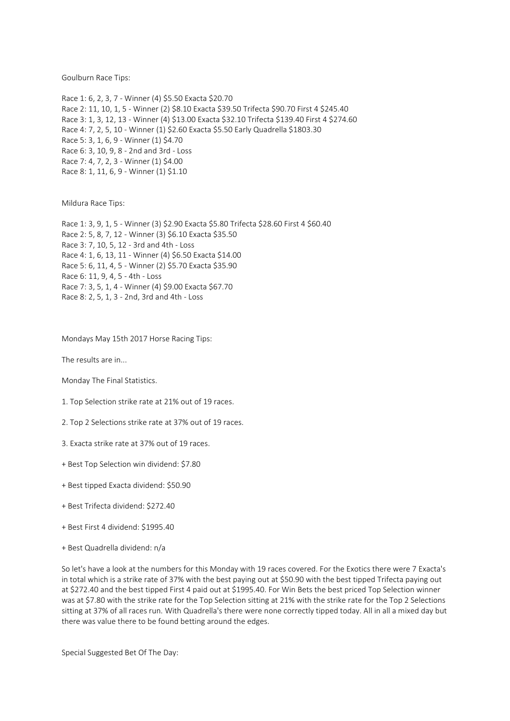Goulburn Race Tips:

Race 1: 6, 2, 3, 7 - Winner (4) \$5.50 Exacta \$20.70 Race 2: 11, 10, 1, 5 - Winner (2) \$8.10 Exacta \$39.50 Trifecta \$90.70 First 4 \$245.40 Race 3: 1, 3, 12, 13 - Winner (4) \$13.00 Exacta \$32.10 Trifecta \$139.40 First 4 \$274.60 Race 4: 7, 2, 5, 10 - Winner (1) \$2.60 Exacta \$5.50 Early Quadrella \$1803.30 Race 5: 3, 1, 6, 9 - Winner (1) \$4.70 Race 6: 3, 10, 9, 8 - 2nd and 3rd - Loss Race 7: 4, 7, 2, 3 - Winner (1) \$4.00 Race 8: 1, 11, 6, 9 - Winner (1) \$1.10

Mildura Race Tips:

Race 1: 3, 9, 1, 5 - Winner (3) \$2.90 Exacta \$5.80 Trifecta \$28.60 First 4 \$60.40 Race 2: 5, 8, 7, 12 - Winner (3) \$6.10 Exacta \$35.50 Race 3: 7, 10, 5, 12 - 3rd and 4th - Loss Race 4: 1, 6, 13, 11 - Winner (4) \$6.50 Exacta \$14.00 Race 5: 6, 11, 4, 5 - Winner (2) \$5.70 Exacta \$35.90 Race 6: 11, 9, 4, 5 - 4th - Loss Race 7: 3, 5, 1, 4 - Winner (4) \$9.00 Exacta \$67.70 Race 8: 2, 5, 1, 3 - 2nd, 3rd and 4th - Loss

Mondays May 15th 2017 Horse Racing Tips:

The results are in...

Monday The Final Statistics.

1. Top Selection strike rate at 21% out of 19 races.

2. Top 2 Selections strike rate at 37% out of 19 races.

3. Exacta strike rate at 37% out of 19 races.

+ Best Top Selection win dividend: \$7.80

+ Best tipped Exacta dividend: \$50.90

+ Best Trifecta dividend: \$272.40

+ Best First 4 dividend: \$1995.40

+ Best Quadrella dividend: n/a

So let's have a look at the numbers for this Monday with 19 races covered. For the Exotics there were 7 Exacta's in total which is a strike rate of 37% with the best paying out at \$50.90 with the best tipped Trifecta paying out at \$272.40 and the best tipped First 4 paid out at \$1995.40. For Win Bets the best priced Top Selection winner was at \$7.80 with the strike rate for the Top Selection sitting at 21% with the strike rate for the Top 2 Selections sitting at 37% of all races run. With Quadrella's there were none correctly tipped today. All in all a mixed day but there was value there to be found betting around the edges.

Special Suggested Bet Of The Day: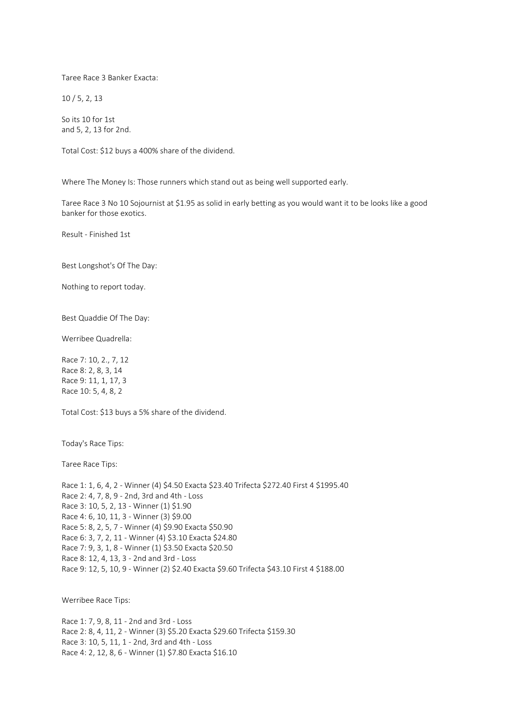Taree Race 3 Banker Exacta:

10 / 5, 2, 13

So its 10 for 1st and 5, 2, 13 for 2nd.

Total Cost: \$12 buys a 400% share of the dividend.

Where The Money Is: Those runners which stand out as being well supported early.

Taree Race 3 No 10 Sojournist at \$1.95 as solid in early betting as you would want it to be looks like a good banker for those exotics.

Result - Finished 1st

Best Longshot's Of The Day:

Nothing to report today.

Best Quaddie Of The Day:

Werribee Quadrella:

Race 7: 10, 2., 7, 12 Race 8: 2, 8, 3, 14 Race 9: 11, 1, 17, 3 Race 10: 5, 4, 8, 2

Total Cost: \$13 buys a 5% share of the dividend.

Today's Race Tips:

Taree Race Tips:

Race 1: 1, 6, 4, 2 - Winner (4) \$4.50 Exacta \$23.40 Trifecta \$272.40 First 4 \$1995.40 Race 2: 4, 7, 8, 9 - 2nd, 3rd and 4th - Loss Race 3: 10, 5, 2, 13 - Winner (1) \$1.90 Race 4: 6, 10, 11, 3 - Winner (3) \$9.00 Race 5: 8, 2, 5, 7 - Winner (4) \$9.90 Exacta \$50.90 Race 6: 3, 7, 2, 11 - Winner (4) \$3.10 Exacta \$24.80 Race 7: 9, 3, 1, 8 - Winner (1) \$3.50 Exacta \$20.50 Race 8: 12, 4, 13, 3 - 2nd and 3rd - Loss Race 9: 12, 5, 10, 9 - Winner (2) \$2.40 Exacta \$9.60 Trifecta \$43.10 First 4 \$188.00

Werribee Race Tips:

Race 1: 7, 9, 8, 11 - 2nd and 3rd - Loss Race 2: 8, 4, 11, 2 - Winner (3) \$5.20 Exacta \$29.60 Trifecta \$159.30 Race 3: 10, 5, 11, 1 - 2nd, 3rd and 4th - Loss Race 4: 2, 12, 8, 6 - Winner (1) \$7.80 Exacta \$16.10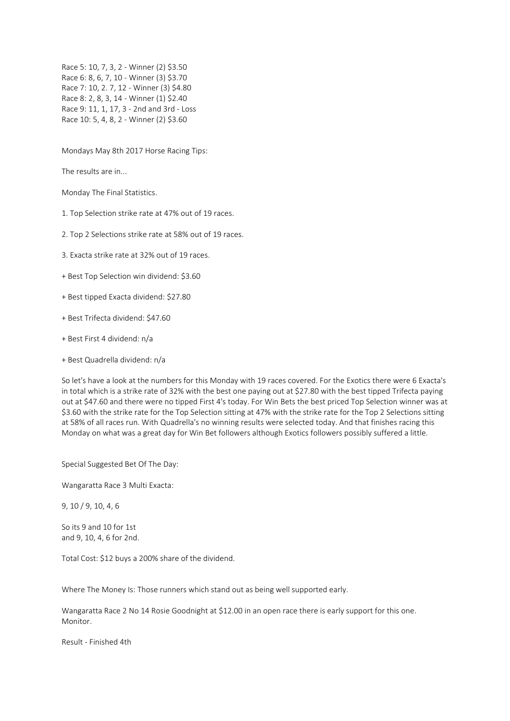Race 5: 10, 7, 3, 2 - Winner (2) \$3.50 Race 6: 8, 6, 7, 10 - Winner (3) \$3.70 Race 7: 10, 2. 7, 12 - Winner (3) \$4.80 Race 8: 2, 8, 3, 14 - Winner (1) \$2.40 Race 9: 11, 1, 17, 3 - 2nd and 3rd - Loss Race 10: 5, 4, 8, 2 - Winner (2) \$3.60

Mondays May 8th 2017 Horse Racing Tips:

The results are in...

Monday The Final Statistics.

1. Top Selection strike rate at 47% out of 19 races.

2. Top 2 Selections strike rate at 58% out of 19 races.

3. Exacta strike rate at 32% out of 19 races.

+ Best Top Selection win dividend: \$3.60

+ Best tipped Exacta dividend: \$27.80

+ Best Trifecta dividend: \$47.60

+ Best First 4 dividend: n/a

+ Best Quadrella dividend: n/a

So let's have a look at the numbers for this Monday with 19 races covered. For the Exotics there were 6 Exacta's in total which is a strike rate of 32% with the best one paying out at \$27.80 with the best tipped Trifecta paying out at \$47.60 and there were no tipped First 4's today. For Win Bets the best priced Top Selection winner was at \$3.60 with the strike rate for the Top Selection sitting at 47% with the strike rate for the Top 2 Selections sitting at 58% of all races run. With Quadrella's no winning results were selected today. And that finishes racing this Monday on what was a great day for Win Bet followers although Exotics followers possibly suffered a little.

Special Suggested Bet Of The Day:

Wangaratta Race 3 Multi Exacta:

9, 10 / 9, 10, 4, 6

So its 9 and 10 for 1st and 9, 10, 4, 6 for 2nd.

Total Cost: \$12 buys a 200% share of the dividend.

Where The Money Is: Those runners which stand out as being well supported early.

Wangaratta Race 2 No 14 Rosie Goodnight at \$12.00 in an open race there is early support for this one. Monitor.

Result - Finished 4th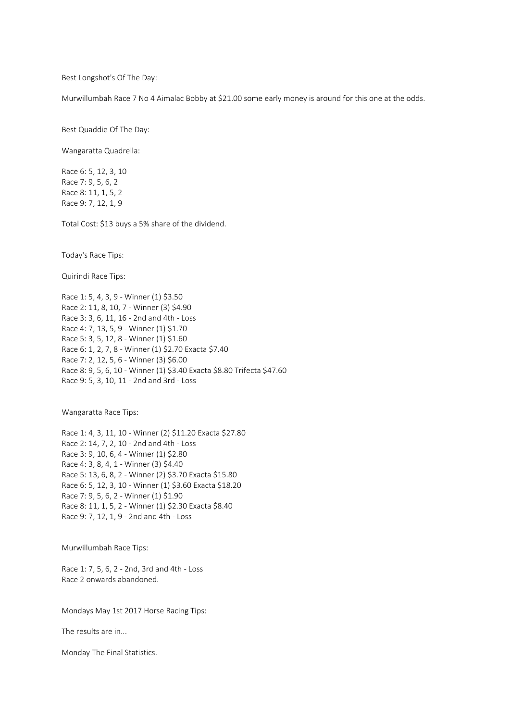Best Longshot's Of The Day:

Murwillumbah Race 7 No 4 Aimalac Bobby at \$21.00 some early money is around for this one at the odds.

Best Quaddie Of The Day:

Wangaratta Quadrella:

Race 6: 5, 12, 3, 10 Race 7: 9, 5, 6, 2 Race 8: 11, 1, 5, 2 Race 9: 7, 12, 1, 9

Total Cost: \$13 buys a 5% share of the dividend.

Today's Race Tips:

Quirindi Race Tips:

Race 1: 5, 4, 3, 9 - Winner (1) \$3.50 Race 2: 11, 8, 10, 7 - Winner (3) \$4.90 Race 3: 3, 6, 11, 16 - 2nd and 4th - Loss Race 4: 7, 13, 5, 9 - Winner (1) \$1.70 Race 5: 3, 5, 12, 8 - Winner (1) \$1.60 Race 6: 1, 2, 7, 8 - Winner (1) \$2.70 Exacta \$7.40 Race 7: 2, 12, 5, 6 - Winner (3) \$6.00 Race 8: 9, 5, 6, 10 - Winner (1) \$3.40 Exacta \$8.80 Trifecta \$47.60 Race 9: 5, 3, 10, 11 - 2nd and 3rd - Loss

Wangaratta Race Tips:

Race 1: 4, 3, 11, 10 - Winner (2) \$11.20 Exacta \$27.80 Race 2: 14, 7, 2, 10 - 2nd and 4th - Loss Race 3: 9, 10, 6, 4 - Winner (1) \$2.80 Race 4: 3, 8, 4, 1 - Winner (3) \$4.40 Race 5: 13, 6, 8, 2 - Winner (2) \$3.70 Exacta \$15.80 Race 6: 5, 12, 3, 10 - Winner (1) \$3.60 Exacta \$18.20 Race 7: 9, 5, 6, 2 - Winner (1) \$1.90 Race 8: 11, 1, 5, 2 - Winner (1) \$2.30 Exacta \$8.40 Race 9: 7, 12, 1, 9 - 2nd and 4th - Loss

Murwillumbah Race Tips:

Race 1: 7, 5, 6, 2 - 2nd, 3rd and 4th - Loss Race 2 onwards abandoned.

Mondays May 1st 2017 Horse Racing Tips:

The results are in...

Monday The Final Statistics.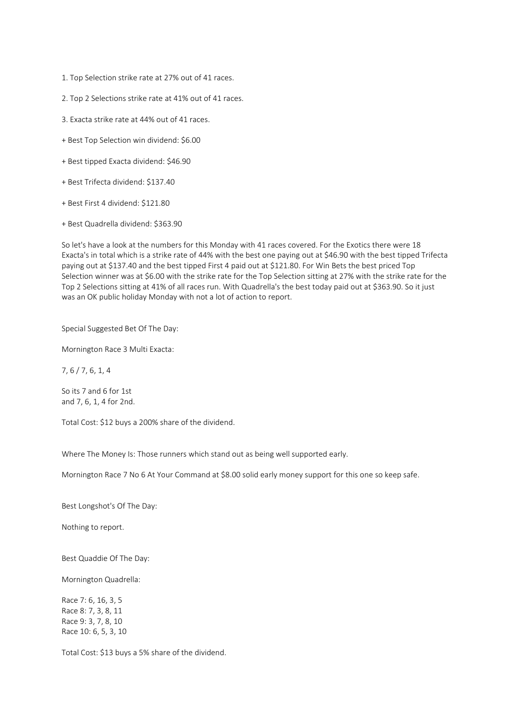- 1. Top Selection strike rate at 27% out of 41 races.
- 2. Top 2 Selections strike rate at 41% out of 41 races.
- 3. Exacta strike rate at 44% out of 41 races.
- + Best Top Selection win dividend: \$6.00
- + Best tipped Exacta dividend: \$46.90
- + Best Trifecta dividend: \$137.40
- + Best First 4 dividend: \$121.80
- + Best Quadrella dividend: \$363.90

So let's have a look at the numbers for this Monday with 41 races covered. For the Exotics there were 18 Exacta's in total which is a strike rate of 44% with the best one paying out at \$46.90 with the best tipped Trifecta paying out at \$137.40 and the best tipped First 4 paid out at \$121.80. For Win Bets the best priced Top Selection winner was at \$6.00 with the strike rate for the Top Selection sitting at 27% with the strike rate for the Top 2 Selections sitting at 41% of all races run. With Quadrella's the best today paid out at \$363.90. So it just was an OK public holiday Monday with not a lot of action to report.

Special Suggested Bet Of The Day:

Mornington Race 3 Multi Exacta:

7, 6 / 7, 6, 1, 4

So its 7 and 6 for 1st and 7, 6, 1, 4 for 2nd.

Total Cost: \$12 buys a 200% share of the dividend.

Where The Money Is: Those runners which stand out as being well supported early.

Mornington Race 7 No 6 At Your Command at \$8.00 solid early money support for this one so keep safe.

Best Longshot's Of The Day:

Nothing to report.

Best Quaddie Of The Day:

Mornington Quadrella:

Race 7: 6, 16, 3, 5 Race 8: 7, 3, 8, 11 Race 9: 3, 7, 8, 10 Race 10: 6, 5, 3, 10

Total Cost: \$13 buys a 5% share of the dividend.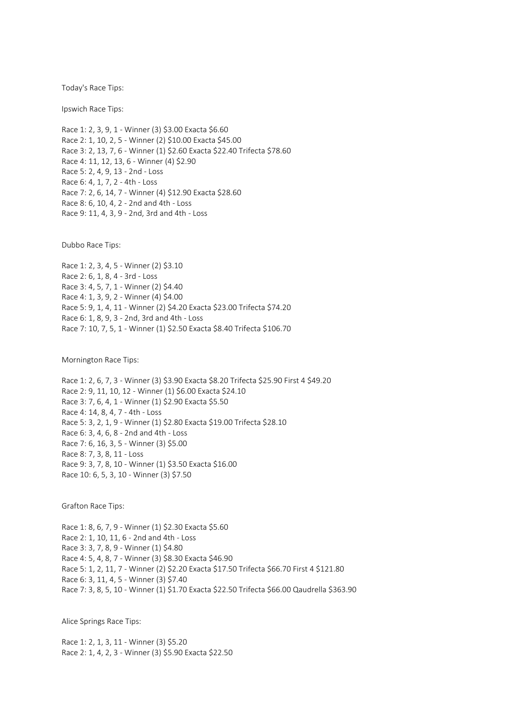Today's Race Tips:

Ipswich Race Tips:

Race 1: 2, 3, 9, 1 - Winner (3) \$3.00 Exacta \$6.60 Race 2: 1, 10, 2, 5 - Winner (2) \$10.00 Exacta \$45.00 Race 3: 2, 13, 7, 6 - Winner (1) \$2.60 Exacta \$22.40 Trifecta \$78.60 Race 4: 11, 12, 13, 6 - Winner (4) \$2.90 Race 5: 2, 4, 9, 13 - 2nd - Loss Race 6: 4, 1, 7, 2 - 4th - Loss Race 7: 2, 6, 14, 7 - Winner (4) \$12.90 Exacta \$28.60 Race 8: 6, 10, 4, 2 - 2nd and 4th - Loss Race 9: 11, 4, 3, 9 - 2nd, 3rd and 4th - Loss

Dubbo Race Tips:

Race 1: 2, 3, 4, 5 - Winner (2) \$3.10 Race 2: 6, 1, 8, 4 - 3rd - Loss Race 3: 4, 5, 7, 1 - Winner (2) \$4.40 Race 4: 1, 3, 9, 2 - Winner (4) \$4.00 Race 5: 9, 1, 4, 11 - Winner (2) \$4.20 Exacta \$23.00 Trifecta \$74.20 Race 6: 1, 8, 9, 3 - 2nd, 3rd and 4th - Loss Race 7: 10, 7, 5, 1 - Winner (1) \$2.50 Exacta \$8.40 Trifecta \$106.70

Mornington Race Tips:

Race 1: 2, 6, 7, 3 - Winner (3) \$3.90 Exacta \$8.20 Trifecta \$25.90 First 4 \$49.20 Race 2: 9, 11, 10, 12 - Winner (1) \$6.00 Exacta \$24.10 Race 3: 7, 6, 4, 1 - Winner (1) \$2.90 Exacta \$5.50 Race 4: 14, 8, 4, 7 - 4th - Loss Race 5: 3, 2, 1, 9 - Winner (1) \$2.80 Exacta \$19.00 Trifecta \$28.10 Race 6: 3, 4, 6, 8 - 2nd and 4th - Loss Race 7: 6, 16, 3, 5 - Winner (3) \$5.00 Race 8: 7, 3, 8, 11 - Loss Race 9: 3, 7, 8, 10 - Winner (1) \$3.50 Exacta \$16.00 Race 10: 6, 5, 3, 10 - Winner (3) \$7.50

Grafton Race Tips:

Race 1: 8, 6, 7, 9 - Winner (1) \$2.30 Exacta \$5.60 Race 2: 1, 10, 11, 6 - 2nd and 4th - Loss Race 3: 3, 7, 8, 9 - Winner (1) \$4.80 Race 4: 5, 4, 8, 7 - Winner (3) \$8.30 Exacta \$46.90 Race 5: 1, 2, 11, 7 - Winner (2) \$2.20 Exacta \$17.50 Trifecta \$66.70 First 4 \$121.80 Race 6: 3, 11, 4, 5 - Winner (3) \$7.40 Race 7: 3, 8, 5, 10 - Winner (1) \$1.70 Exacta \$22.50 Trifecta \$66.00 Qaudrella \$363.90

Alice Springs Race Tips:

Race 1: 2, 1, 3, 11 - Winner (3) \$5.20 Race 2: 1, 4, 2, 3 - Winner (3) \$5.90 Exacta \$22.50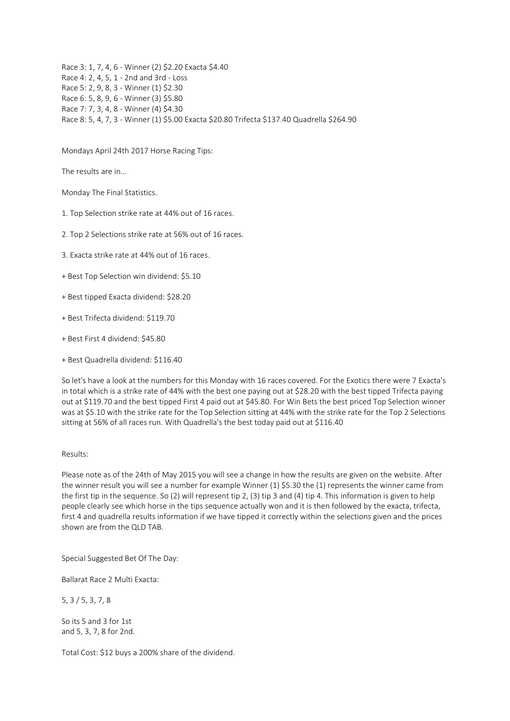Race 3: 1, 7, 4, 6 - Winner (2) \$2.20 Exacta \$4.40 Race 4: 2, 4, 5, 1 - 2nd and 3rd - Loss Race 5: 2, 9, 8, 3 - Winner (1) \$2.30 Race 6: 5, 8, 9, 6 - Winner (3) \$5.80 Race 7: 7, 3, 4, 8 - Winner (4) \$4.30 Race 8: 5, 4, 7, 3 - Winner (1) \$5.00 Exacta \$20.80 Trifecta \$137.40 Quadrella \$264.90

Mondays April 24th 2017 Horse Racing Tips:

The results are in...

Monday The Final Statistics.

1. Top Selection strike rate at 44% out of 16 races.

2. Top 2 Selections strike rate at 56% out of 16 races.

3. Exacta strike rate at 44% out of 16 races.

+ Best Top Selection win dividend: \$5.10

+ Best tipped Exacta dividend: \$28.20

+ Best Trifecta dividend: \$119.70

+ Best First 4 dividend: \$45.80

+ Best Quadrella dividend: \$116.40

So let's have a look at the numbers for this Monday with 16 races covered. For the Exotics there were 7 Exacta's in total which is a strike rate of 44% with the best one paying out at \$28.20 with the best tipped Trifecta paying out at \$119.70 and the best tipped First 4 paid out at \$45.80. For Win Bets the best priced Top Selection winner was at \$5.10 with the strike rate for the Top Selection sitting at 44% with the strike rate for the Top 2 Selections sitting at 56% of all races run. With Quadrella's the best today paid out at \$116.40

## Results:

Please note as of the 24th of May 2015 you will see a change in how the results are given on the website. After the winner result you will see a number for example Winner (1) \$5.30 the (1) represents the winner came from the first tip in the sequence. So (2) will represent tip 2, (3) tip 3 and (4) tip 4. This information is given to help people clearly see which horse in the tips sequence actually won and it is then followed by the exacta, trifecta, first 4 and quadrella results information if we have tipped it correctly within the selections given and the prices shown are from the QLD TAB.

Special Suggested Bet Of The Day:

Ballarat Race 2 Multi Exacta:

5, 3 / 5, 3, 7, 8

So its 5 and 3 for 1st and 5, 3, 7, 8 for 2nd.

Total Cost: \$12 buys a 200% share of the dividend.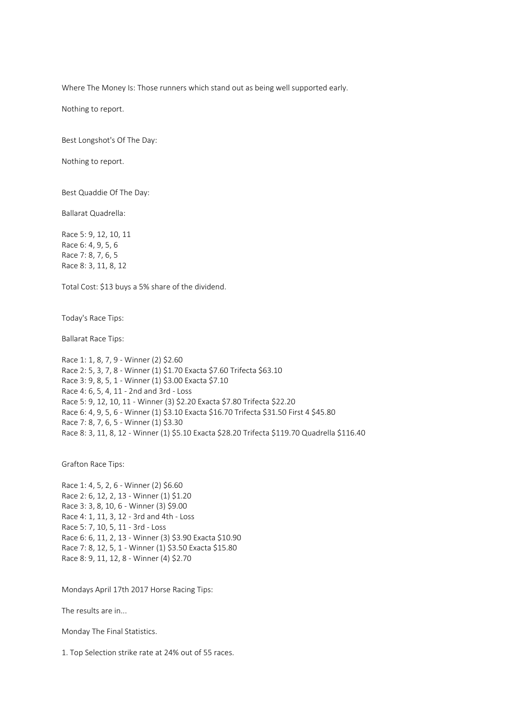Where The Money Is: Those runners which stand out as being well supported early.

Nothing to report.

Best Longshot's Of The Day:

Nothing to report.

Best Quaddie Of The Day:

Ballarat Quadrella:

Race 5: 9, 12, 10, 11 Race 6: 4, 9, 5, 6 Race 7: 8, 7, 6, 5 Race 8: 3, 11, 8, 12

Total Cost: \$13 buys a 5% share of the dividend.

Today's Race Tips:

Ballarat Race Tips:

Race 1: 1, 8, 7, 9 - Winner (2) \$2.60 Race 2: 5, 3, 7, 8 - Winner (1) \$1.70 Exacta \$7.60 Trifecta \$63.10 Race 3: 9, 8, 5, 1 - Winner (1) \$3.00 Exacta \$7.10 Race 4: 6, 5, 4, 11 - 2nd and 3rd - Loss Race 5: 9, 12, 10, 11 - Winner (3) \$2.20 Exacta \$7.80 Trifecta \$22.20 Race 6: 4, 9, 5, 6 - Winner (1) \$3.10 Exacta \$16.70 Trifecta \$31.50 First 4 \$45.80 Race 7: 8, 7, 6, 5 - Winner (1) \$3.30 Race 8: 3, 11, 8, 12 - Winner (1) \$5.10 Exacta \$28.20 Trifecta \$119.70 Quadrella \$116.40

Grafton Race Tips:

Race 1: 4, 5, 2, 6 - Winner (2) \$6.60 Race 2: 6, 12, 2, 13 - Winner (1) \$1.20 Race 3: 3, 8, 10, 6 - Winner (3) \$9.00 Race 4: 1, 11, 3, 12 - 3rd and 4th - Loss Race 5: 7, 10, 5, 11 - 3rd - Loss Race 6: 6, 11, 2, 13 - Winner (3) \$3.90 Exacta \$10.90 Race 7: 8, 12, 5, 1 - Winner (1) \$3.50 Exacta \$15.80 Race 8: 9, 11, 12, 8 - Winner (4) \$2.70

Mondays April 17th 2017 Horse Racing Tips:

The results are in...

Monday The Final Statistics.

1. Top Selection strike rate at 24% out of 55 races.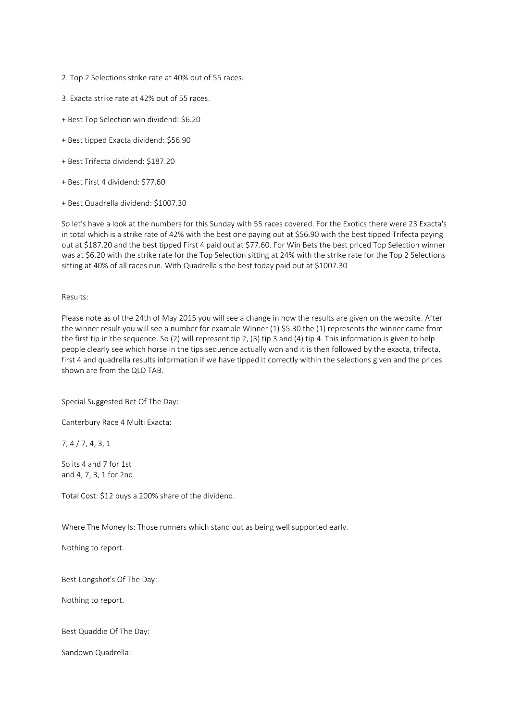- 2. Top 2 Selections strike rate at 40% out of 55 races.
- 3. Exacta strike rate at 42% out of 55 races.
- + Best Top Selection win dividend: \$6.20
- + Best tipped Exacta dividend: \$56.90
- + Best Trifecta dividend: \$187.20
- + Best First 4 dividend: \$77.60
- + Best Quadrella dividend: \$1007.30

So let's have a look at the numbers for this Sunday with 55 races covered. For the Exotics there were 23 Exacta's in total which is a strike rate of 42% with the best one paying out at \$56.90 with the best tipped Trifecta paying out at \$187.20 and the best tipped First 4 paid out at \$77.60. For Win Bets the best priced Top Selection winner was at \$6.20 with the strike rate for the Top Selection sitting at 24% with the strike rate for the Top 2 Selections sitting at 40% of all races run. With Quadrella's the best today paid out at \$1007.30

## Results:

Please note as of the 24th of May 2015 you will see a change in how the results are given on the website. After the winner result you will see a number for example Winner (1) \$5.30 the (1) represents the winner came from the first tip in the sequence. So (2) will represent tip 2, (3) tip 3 and (4) tip 4. This information is given to help people clearly see which horse in the tips sequence actually won and it is then followed by the exacta, trifecta, first 4 and quadrella results information if we have tipped it correctly within the selections given and the prices shown are from the QLD TAB.

Special Suggested Bet Of The Day:

Canterbury Race 4 Multi Exacta:

7, 4 / 7, 4, 3, 1

So its 4 and 7 for 1st and 4, 7, 3, 1 for 2nd.

Total Cost: \$12 buys a 200% share of the dividend.

Where The Money Is: Those runners which stand out as being well supported early.

Nothing to report.

Best Longshot's Of The Day:

Nothing to report.

Best Quaddie Of The Day:

Sandown Quadrella: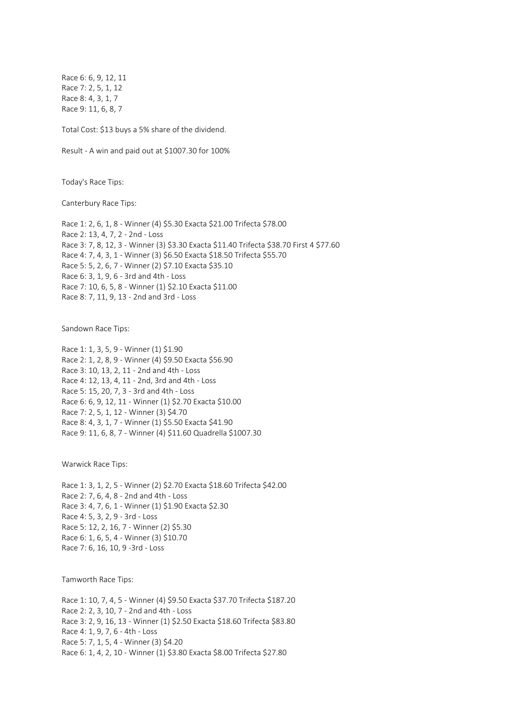Race 6: 6, 9, 12, 11 Race 7: 2, 5, 1, 12 Race 8: 4, 3, 1, 7 Race 9: 11, 6, 8, 7

Total Cost: \$13 buys a 5% share of the dividend.

Result - A win and paid out at \$1007.30 for 100%

Today's Race Tips:

Canterbury Race Tips:

Race 1: 2, 6, 1, 8 - Winner (4) \$5.30 Exacta \$21.00 Trifecta \$78.00 Race 2: 13, 4, 7, 2 - 2nd - Loss Race 3: 7, 8, 12, 3 - Winner (3) \$3.30 Exacta \$11.40 Trifecta \$38.70 First 4 \$77.60 Race 4: 7, 4, 3, 1 - Winner (3) \$6.50 Exacta \$18.50 Trifecta \$55.70 Race 5: 5, 2, 6, 7 - Winner (2) \$7.10 Exacta \$35.10 Race 6: 3, 1, 9, 6 - 3rd and 4th - Loss Race 7: 10, 6, 5, 8 - Winner (1) \$2.10 Exacta \$11.00 Race 8: 7, 11, 9, 13 - 2nd and 3rd - Loss

Sandown Race Tips:

Race 1: 1, 3, 5, 9 - Winner (1) \$1.90 Race 2: 1, 2, 8, 9 - Winner (4) \$9.50 Exacta \$56.90 Race 3: 10, 13, 2, 11 - 2nd and 4th - Loss Race 4: 12, 13, 4, 11 - 2nd, 3rd and 4th - Loss Race 5: 15, 20, 7, 3 - 3rd and 4th - Loss Race 6: 6, 9, 12, 11 - Winner (1) \$2.70 Exacta \$10.00 Race 7: 2, 5, 1, 12 - Winner (3) \$4.70 Race 8: 4, 3, 1, 7 - Winner (1) \$5.50 Exacta \$41.90 Race 9: 11, 6, 8, 7 - Winner (4) \$11.60 Quadrella \$1007.30

Warwick Race Tips:

Race 1: 3, 1, 2, 5 - Winner (2) \$2.70 Exacta \$18.60 Trifecta \$42.00 Race 2: 7, 6, 4, 8 - 2nd and 4th - Loss Race 3: 4, 7, 6, 1 - Winner (1) \$1.90 Exacta \$2.30 Race 4: 5, 3, 2, 9 - 3rd - Loss Race 5: 12, 2, 16, 7 - Winner (2) \$5.30 Race 6: 1, 6, 5, 4 - Winner (3) \$10.70 Race 7: 6, 16, 10, 9 -3rd - Loss

Tamworth Race Tips:

Race 1: 10, 7, 4, 5 - Winner (4) \$9.50 Exacta \$37.70 Trifecta \$187.20 Race 2: 2, 3, 10, 7 - 2nd and 4th - Loss Race 3: 2, 9, 16, 13 - Winner (1) \$2.50 Exacta \$18.60 Trifecta \$83.80 Race 4: 1, 9, 7, 6 - 4th - Loss Race 5: 7, 1, 5, 4 - Winner (3) \$4.20 Race 6: 1, 4, 2, 10 - Winner (1) \$3.80 Exacta \$8.00 Trifecta \$27.80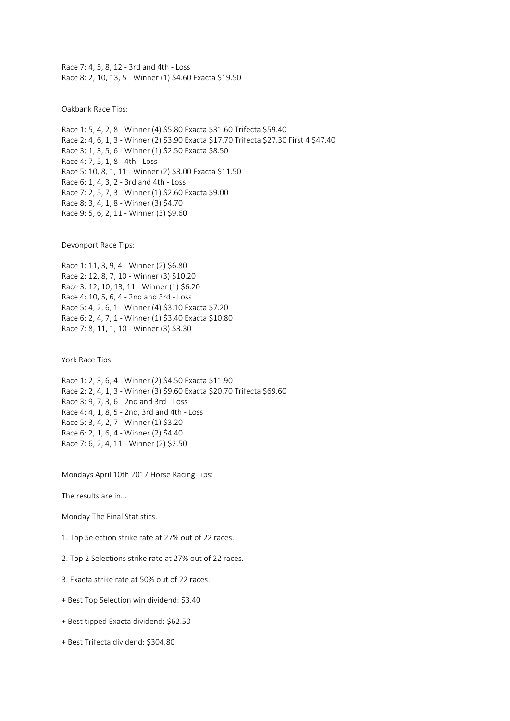Race 7: 4, 5, 8, 12 - 3rd and 4th - Loss Race 8: 2, 10, 13, 5 - Winner (1) \$4.60 Exacta \$19.50

Oakbank Race Tips:

Race 1: 5, 4, 2, 8 - Winner (4) \$5.80 Exacta \$31.60 Trifecta \$59.40 Race 2: 4, 6, 1, 3 - Winner (2) \$3.90 Exacta \$17.70 Trifecta \$27.30 First 4 \$47.40 Race 3: 1, 3, 5, 6 - Winner (1) \$2.50 Exacta \$8.50 Race 4: 7, 5, 1, 8 - 4th - Loss Race 5: 10, 8, 1, 11 - Winner (2) \$3.00 Exacta \$11.50 Race 6: 1, 4, 3, 2 - 3rd and 4th - Loss Race 7: 2, 5, 7, 3 - Winner (1) \$2.60 Exacta \$9.00 Race 8: 3, 4, 1, 8 - Winner (3) \$4.70 Race 9: 5, 6, 2, 11 - Winner (3) \$9.60

Devonport Race Tips:

Race 1: 11, 3, 9, 4 - Winner (2) \$6.80 Race 2: 12, 8, 7, 10 - Winner (3) \$10.20 Race 3: 12, 10, 13, 11 - Winner (1) \$6.20 Race 4: 10, 5, 6, 4 - 2nd and 3rd - Loss Race 5: 4, 2, 6, 1 - Winner (4) \$3.10 Exacta \$7.20 Race 6: 2, 4, 7, 1 - Winner (1) \$3.40 Exacta \$10.80 Race 7: 8, 11, 1, 10 - Winner (3) \$3.30

York Race Tips:

Race 1: 2, 3, 6, 4 - Winner (2) \$4.50 Exacta \$11.90 Race 2: 2, 4, 1, 3 - Winner (3) \$9.60 Exacta \$20.70 Trifecta \$69.60 Race 3: 9, 7, 3, 6 - 2nd and 3rd - Loss Race 4: 4, 1, 8, 5 - 2nd, 3rd and 4th - Loss Race 5: 3, 4, 2, 7 - Winner (1) \$3.20 Race 6: 2, 1, 6, 4 - Winner (2) \$4.40 Race 7: 6, 2, 4, 11 - Winner (2) \$2.50

Mondays April 10th 2017 Horse Racing Tips:

The results are in...

Monday The Final Statistics.

1. Top Selection strike rate at 27% out of 22 races.

2. Top 2 Selections strike rate at 27% out of 22 races.

3. Exacta strike rate at 50% out of 22 races.

- + Best Top Selection win dividend: \$3.40
- + Best tipped Exacta dividend: \$62.50
- + Best Trifecta dividend: \$304.80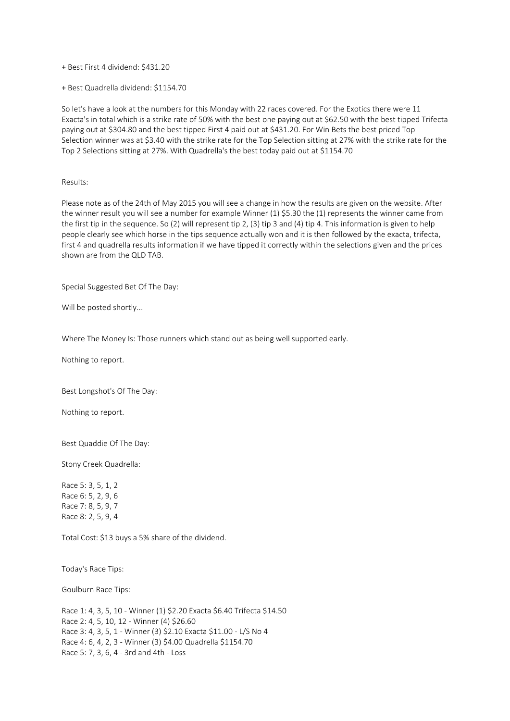+ Best First 4 dividend: \$431.20

+ Best Quadrella dividend: \$1154.70

So let's have a look at the numbers for this Monday with 22 races covered. For the Exotics there were 11 Exacta's in total which is a strike rate of 50% with the best one paying out at \$62.50 with the best tipped Trifecta paying out at \$304.80 and the best tipped First 4 paid out at \$431.20. For Win Bets the best priced Top Selection winner was at \$3.40 with the strike rate for the Top Selection sitting at 27% with the strike rate for the Top 2 Selections sitting at 27%. With Quadrella's the best today paid out at \$1154.70

## Results:

Please note as of the 24th of May 2015 you will see a change in how the results are given on the website. After the winner result you will see a number for example Winner (1) \$5.30 the (1) represents the winner came from the first tip in the sequence. So (2) will represent tip 2, (3) tip 3 and (4) tip 4. This information is given to help people clearly see which horse in the tips sequence actually won and it is then followed by the exacta, trifecta, first 4 and quadrella results information if we have tipped it correctly within the selections given and the prices shown are from the QLD TAB.

Special Suggested Bet Of The Day:

Will be posted shortly...

Where The Money Is: Those runners which stand out as being well supported early.

Nothing to report.

Best Longshot's Of The Day:

Nothing to report.

Best Quaddie Of The Day:

Stony Creek Quadrella:

Race 5: 3, 5, 1, 2 Race 6: 5, 2, 9, 6 Race 7: 8, 5, 9, 7 Race 8: 2, 5, 9, 4

Total Cost: \$13 buys a 5% share of the dividend.

Today's Race Tips:

Goulburn Race Tips:

Race 1: 4, 3, 5, 10 - Winner (1) \$2.20 Exacta \$6.40 Trifecta \$14.50 Race 2: 4, 5, 10, 12 - Winner (4) \$26.60 Race 3: 4, 3, 5, 1 - Winner (3) \$2.10 Exacta \$11.00 - L/S No 4 Race 4: 6, 4, 2, 3 - Winner (3) \$4.00 Quadrella \$1154.70 Race 5: 7, 3, 6, 4 - 3rd and 4th - Loss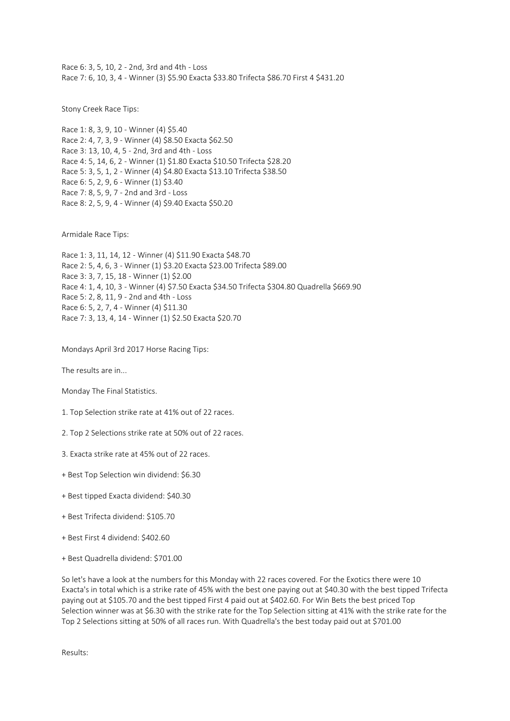Race 6: 3, 5, 10, 2 - 2nd, 3rd and 4th - Loss Race 7: 6, 10, 3, 4 - Winner (3) \$5.90 Exacta \$33.80 Trifecta \$86.70 First 4 \$431.20

Stony Creek Race Tips:

Race 1: 8, 3, 9, 10 - Winner (4) \$5.40 Race 2: 4, 7, 3, 9 - Winner (4) \$8.50 Exacta \$62.50 Race 3: 13, 10, 4, 5 - 2nd, 3rd and 4th - Loss Race 4: 5, 14, 6, 2 - Winner (1) \$1.80 Exacta \$10.50 Trifecta \$28.20 Race 5: 3, 5, 1, 2 - Winner (4) \$4.80 Exacta \$13.10 Trifecta \$38.50 Race 6: 5, 2, 9, 6 - Winner (1) \$3.40 Race 7: 8, 5, 9, 7 - 2nd and 3rd - Loss Race 8: 2, 5, 9, 4 - Winner (4) \$9.40 Exacta \$50.20

Armidale Race Tips:

Race 1: 3, 11, 14, 12 - Winner (4) \$11.90 Exacta \$48.70 Race 2: 5, 4, 6, 3 - Winner (1) \$3.20 Exacta \$23.00 Trifecta \$89.00 Race 3: 3, 7, 15, 18 - Winner (1) \$2.00 Race 4: 1, 4, 10, 3 - Winner (4) \$7.50 Exacta \$34.50 Trifecta \$304.80 Quadrella \$669.90 Race 5: 2, 8, 11, 9 - 2nd and 4th - Loss Race 6: 5, 2, 7, 4 - Winner (4) \$11.30 Race 7: 3, 13, 4, 14 - Winner (1) \$2.50 Exacta \$20.70

Mondays April 3rd 2017 Horse Racing Tips:

The results are in...

Monday The Final Statistics.

- 1. Top Selection strike rate at 41% out of 22 races.
- 2. Top 2 Selections strike rate at 50% out of 22 races.
- 3. Exacta strike rate at 45% out of 22 races.
- + Best Top Selection win dividend: \$6.30
- + Best tipped Exacta dividend: \$40.30
- + Best Trifecta dividend: \$105.70
- + Best First 4 dividend: \$402.60
- + Best Quadrella dividend: \$701.00

So let's have a look at the numbers for this Monday with 22 races covered. For the Exotics there were 10 Exacta's in total which is a strike rate of 45% with the best one paying out at \$40.30 with the best tipped Trifecta paying out at \$105.70 and the best tipped First 4 paid out at \$402.60. For Win Bets the best priced Top Selection winner was at \$6.30 with the strike rate for the Top Selection sitting at 41% with the strike rate for the Top 2 Selections sitting at 50% of all races run. With Quadrella's the best today paid out at \$701.00

Results: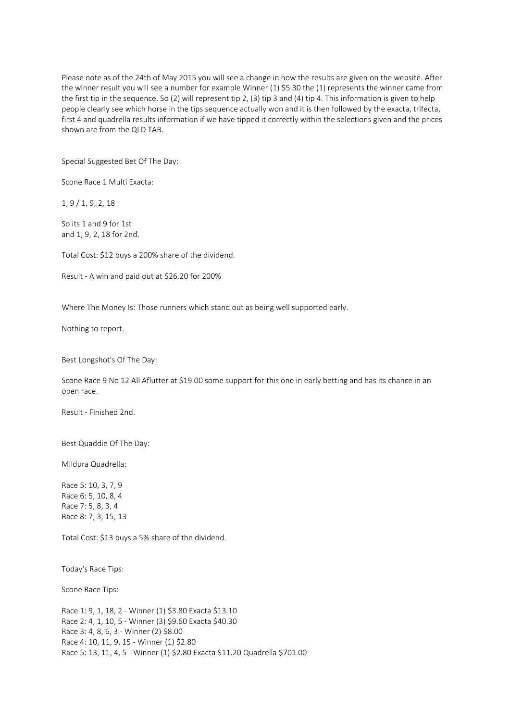Please note as of the 24th of May 2015 you will see a change in how the results are given on the website. After the winner result you will see a number for example Winner (1) \$5.30 the (1) represents the winner came from the first tip in the sequence. So (2) will represent tip 2, (3) tip 3 and (4) tip 4. This information is given to help people clearly see which horse in the tips sequence actually won and it is then followed by the exacta, trifecta, first 4 and quadrella results information if we have tipped it correctly within the selections given and the prices shown are from the QLD TAB.

Special Suggested Bet Of The Day:

Scone Race 1 Multi Exacta:

1, 9 / 1, 9, 2, 18

So its 1 and 9 for 1st and 1, 9, 2, 18 for 2nd.

Total Cost: \$12 buys a 200% share of the dividend.

Result - A win and paid out at \$26.20 for 200%

Where The Money Is: Those runners which stand out as being well supported early.

Nothing to report.

Best Longshot's Of The Day:

Scone Race 9 No 12 All Aflutter at \$19.00 some support for this one in early betting and has its chance in an open race.

Result - Finished 2nd.

Best Quaddie Of The Day:

MIldura Quadrella:

Race 5: 10, 3, 7, 9 Race 6: 5, 10, 8, 4 Race 7: 5, 8, 3, 4 Race 8: 7, 3, 15, 13

Total Cost: \$13 buys a 5% share of the dividend.

Today's Race Tips:

Scone Race Tips:

Race 1: 9, 1, 18, 2 - Winner (1) \$3.80 Exacta \$13.10 Race 2: 4, 1, 10, 5 - Winner (3) \$9.60 Exacta \$40.30 Race 3: 4, 8, 6, 3 - Winner (2) \$8.00 Race 4: 10, 11, 9, 15 - Winner (1) \$2.80 Race 5: 13, 11, 4, 5 - Winner (1) \$2.80 Exacta \$11.20 Quadrella \$701.00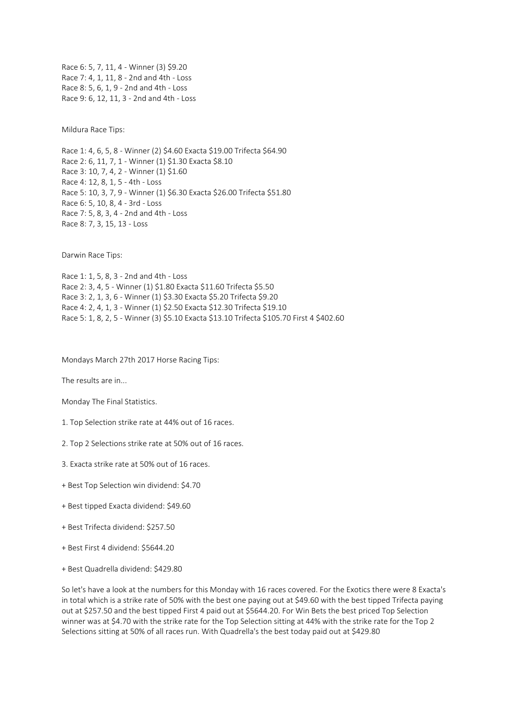Race 6: 5, 7, 11, 4 - Winner (3) \$9.20 Race 7: 4, 1, 11, 8 - 2nd and 4th - Loss Race 8: 5, 6, 1, 9 - 2nd and 4th - Loss Race 9: 6, 12, 11, 3 - 2nd and 4th - Loss

Mildura Race Tips:

Race 1: 4, 6, 5, 8 - Winner (2) \$4.60 Exacta \$19.00 Trifecta \$64.90 Race 2: 6, 11, 7, 1 - Winner (1) \$1.30 Exacta \$8.10 Race 3: 10, 7, 4, 2 - Winner (1) \$1.60 Race 4: 12, 8, 1, 5 - 4th - Loss Race 5: 10, 3, 7, 9 - Winner (1) \$6.30 Exacta \$26.00 Trifecta \$51.80 Race 6: 5, 10, 8, 4 - 3rd - Loss Race 7: 5, 8, 3, 4 - 2nd and 4th - Loss Race 8: 7, 3, 15, 13 - Loss

Darwin Race Tips:

Race 1: 1, 5, 8, 3 - 2nd and 4th - Loss Race 2: 3, 4, 5 - Winner (1) \$1.80 Exacta \$11.60 Trifecta \$5.50 Race 3: 2, 1, 3, 6 - Winner (1) \$3.30 Exacta \$5.20 Trifecta \$9.20 Race 4: 2, 4, 1, 3 - Winner (1) \$2.50 Exacta \$12.30 Trifecta \$19.10 Race 5: 1, 8, 2, 5 - Winner (3) \$5.10 Exacta \$13.10 Trifecta \$105.70 First 4 \$402.60

Mondays March 27th 2017 Horse Racing Tips:

The results are in...

Monday The Final Statistics.

- 1. Top Selection strike rate at 44% out of 16 races.
- 2. Top 2 Selections strike rate at 50% out of 16 races.
- 3. Exacta strike rate at 50% out of 16 races.
- + Best Top Selection win dividend: \$4.70
- + Best tipped Exacta dividend: \$49.60
- + Best Trifecta dividend: \$257.50
- + Best First 4 dividend: \$5644.20
- + Best Quadrella dividend: \$429.80

So let's have a look at the numbers for this Monday with 16 races covered. For the Exotics there were 8 Exacta's in total which is a strike rate of 50% with the best one paying out at \$49.60 with the best tipped Trifecta paying out at \$257.50 and the best tipped First 4 paid out at \$5644.20. For Win Bets the best priced Top Selection winner was at \$4.70 with the strike rate for the Top Selection sitting at 44% with the strike rate for the Top 2 Selections sitting at 50% of all races run. With Quadrella's the best today paid out at \$429.80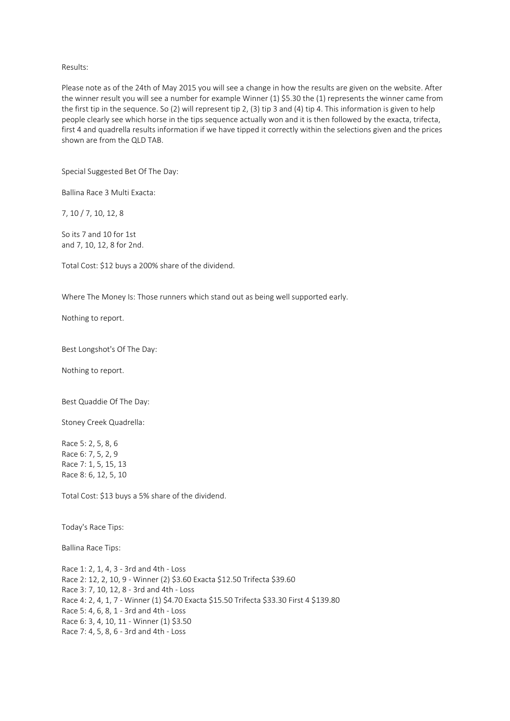### Results:

Please note as of the 24th of May 2015 you will see a change in how the results are given on the website. After the winner result you will see a number for example Winner (1) \$5.30 the (1) represents the winner came from the first tip in the sequence. So (2) will represent tip 2, (3) tip 3 and (4) tip 4. This information is given to help people clearly see which horse in the tips sequence actually won and it is then followed by the exacta, trifecta, first 4 and quadrella results information if we have tipped it correctly within the selections given and the prices shown are from the QLD TAB.

Special Suggested Bet Of The Day:

Ballina Race 3 Multi Exacta:

7, 10 / 7, 10, 12, 8

So its 7 and 10 for 1st and 7, 10, 12, 8 for 2nd.

Total Cost: \$12 buys a 200% share of the dividend.

Where The Money Is: Those runners which stand out as being well supported early.

Nothing to report.

Best Longshot's Of The Day:

Nothing to report.

Best Quaddie Of The Day:

Stoney Creek Quadrella:

Race 5: 2, 5, 8, 6 Race 6: 7, 5, 2, 9 Race 7: 1, 5, 15, 13 Race 8: 6, 12, 5, 10

Total Cost: \$13 buys a 5% share of the dividend.

Today's Race Tips:

Ballina Race Tips:

Race 1: 2, 1, 4, 3 - 3rd and 4th - Loss Race 2: 12, 2, 10, 9 - Winner (2) \$3.60 Exacta \$12.50 Trifecta \$39.60 Race 3: 7, 10, 12, 8 - 3rd and 4th - Loss Race 4: 2, 4, 1, 7 - Winner (1) \$4.70 Exacta \$15.50 Trifecta \$33.30 First 4 \$139.80 Race 5: 4, 6, 8, 1 - 3rd and 4th - Loss Race 6: 3, 4, 10, 11 - Winner (1) \$3.50 Race 7: 4, 5, 8, 6 - 3rd and 4th - Loss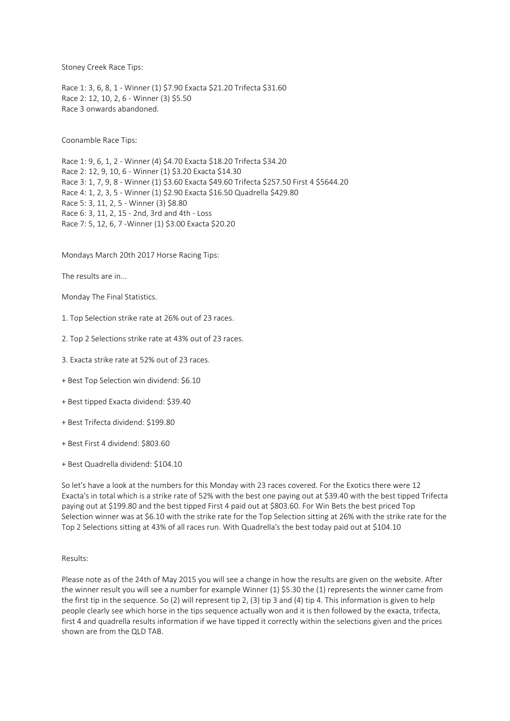Stoney Creek Race Tips:

Race 1: 3, 6, 8, 1 - Winner (1) \$7.90 Exacta \$21.20 Trifecta \$31.60 Race 2: 12, 10, 2, 6 - Winner (3) \$5.50 Race 3 onwards abandoned.

Coonamble Race Tips:

Race 1: 9, 6, 1, 2 - Winner (4) \$4.70 Exacta \$18.20 Trifecta \$34.20 Race 2: 12, 9, 10, 6 - Winner (1) \$3.20 Exacta \$14.30 Race 3: 1, 7, 9, 8 - Winner (1) \$3.60 Exacta \$49.60 Trifecta \$257.50 First 4 \$5644.20 Race 4: 1, 2, 3, 5 - Winner (1) \$2.90 Exacta \$16.50 Quadrella \$429.80 Race 5: 3, 11, 2, 5 - Winner (3) \$8.80 Race 6: 3, 11, 2, 15 - 2nd, 3rd and 4th - Loss Race 7: 5, 12, 6, 7 -Winner (1) \$3.00 Exacta \$20.20

Mondays March 20th 2017 Horse Racing Tips:

The results are in...

Monday The Final Statistics.

- 1. Top Selection strike rate at 26% out of 23 races.
- 2. Top 2 Selections strike rate at 43% out of 23 races.
- 3. Exacta strike rate at 52% out of 23 races.
- + Best Top Selection win dividend: \$6.10
- + Best tipped Exacta dividend: \$39.40
- + Best Trifecta dividend: \$199.80
- + Best First 4 dividend: \$803.60
- + Best Quadrella dividend: \$104.10

So let's have a look at the numbers for this Monday with 23 races covered. For the Exotics there were 12 Exacta's in total which is a strike rate of 52% with the best one paying out at \$39.40 with the best tipped Trifecta paying out at \$199.80 and the best tipped First 4 paid out at \$803.60. For Win Bets the best priced Top Selection winner was at \$6.10 with the strike rate for the Top Selection sitting at 26% with the strike rate for the Top 2 Selections sitting at 43% of all races run. With Quadrella's the best today paid out at \$104.10

## Results:

Please note as of the 24th of May 2015 you will see a change in how the results are given on the website. After the winner result you will see a number for example Winner (1) \$5.30 the (1) represents the winner came from the first tip in the sequence. So (2) will represent tip 2, (3) tip 3 and (4) tip 4. This information is given to help people clearly see which horse in the tips sequence actually won and it is then followed by the exacta, trifecta, first 4 and quadrella results information if we have tipped it correctly within the selections given and the prices shown are from the QLD TAB.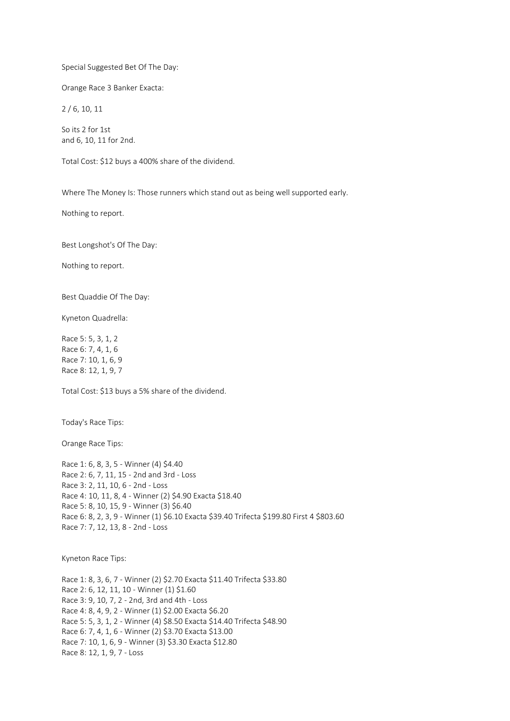Special Suggested Bet Of The Day:

Orange Race 3 Banker Exacta:

2 / 6, 10, 11

So its 2 for 1st and 6, 10, 11 for 2nd.

Total Cost: \$12 buys a 400% share of the dividend.

Where The Money Is: Those runners which stand out as being well supported early.

Nothing to report.

Best Longshot's Of The Day:

Nothing to report.

Best Quaddie Of The Day:

Kyneton Quadrella:

Race 5: 5, 3, 1, 2 Race 6: 7, 4, 1, 6 Race 7: 10, 1, 6, 9 Race 8: 12, 1, 9, 7

Total Cost: \$13 buys a 5% share of the dividend.

Today's Race Tips:

Orange Race Tips:

Race 1: 6, 8, 3, 5 - Winner (4) \$4.40 Race 2: 6, 7, 11, 15 - 2nd and 3rd - Loss Race 3: 2, 11, 10, 6 - 2nd - Loss Race 4: 10, 11, 8, 4 - Winner (2) \$4.90 Exacta \$18.40 Race 5: 8, 10, 15, 9 - Winner (3) \$6.40 Race 6: 8, 2, 3, 9 - Winner (1) \$6.10 Exacta \$39.40 Trifecta \$199.80 First 4 \$803.60 Race 7: 7, 12, 13, 8 - 2nd - Loss

Kyneton Race Tips:

Race 1: 8, 3, 6, 7 - Winner (2) \$2.70 Exacta \$11.40 Trifecta \$33.80 Race 2: 6, 12, 11, 10 - Winner (1) \$1.60 Race 3: 9, 10, 7, 2 - 2nd, 3rd and 4th - Loss Race 4: 8, 4, 9, 2 - Winner (1) \$2.00 Exacta \$6.20 Race 5: 5, 3, 1, 2 - Winner (4) \$8.50 Exacta \$14.40 Trifecta \$48.90 Race 6: 7, 4, 1, 6 - Winner (2) \$3.70 Exacta \$13.00 Race 7: 10, 1, 6, 9 - Winner (3) \$3.30 Exacta \$12.80 Race 8: 12, 1, 9, 7 - Loss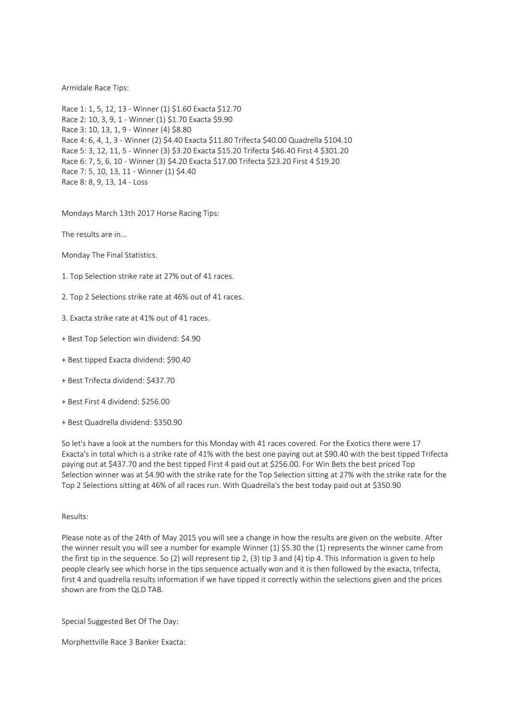### Armidale Race Tips:

Race 1: 1, 5, 12, 13 - Winner (1) \$1.60 Exacta \$12.70 Race 2: 10, 3, 9, 1 - Winner (1) \$1.70 Exacta \$9.90 Race 3: 10, 13, 1, 9 - Winner (4) \$8.80 Race 4: 6, 4, 1, 3 - Winner (2) \$4.40 Exacta \$11.80 Trifecta \$40.00 Quadrella \$104.10 Race 5: 3, 12, 11, 5 - Winner (3) \$3.20 Exacta \$15.20 Trifecta \$46.40 First 4 \$301.20 Race 6: 7, 5, 6, 10 - Winner (3) \$4.20 Exacta \$17.00 Trifecta \$23.20 First 4 \$19.20 Race 7: 5, 10, 13, 11 - Winner (1) \$4.40 Race 8: 8, 9, 13, 14 - Loss

Mondays March 13th 2017 Horse Racing Tips:

The results are in...

Monday The Final Statistics.

- 1. Top Selection strike rate at 27% out of 41 races.
- 2. Top 2 Selections strike rate at 46% out of 41 races.
- 3. Exacta strike rate at 41% out of 41 races.
- + Best Top Selection win dividend: \$4.90
- + Best tipped Exacta dividend: \$90.40
- + Best Trifecta dividend: \$437.70
- + Best First 4 dividend: \$256.00
- + Best Quadrella dividend: \$350.90

So let's have a look at the numbers for this Monday with 41 races covered. For the Exotics there were 17 Exacta's in total which is a strike rate of 41% with the best one paying out at \$90.40 with the best tipped Trifecta paying out at \$437.70 and the best tipped First 4 paid out at \$256.00. For Win Bets the best priced Top Selection winner was at \$4.90 with the strike rate for the Top Selection sitting at 27% with the strike rate for the Top 2 Selections sitting at 46% of all races run. With Quadrella's the best today paid out at \$350.90

### Results:

Please note as of the 24th of May 2015 you will see a change in how the results are given on the website. After the winner result you will see a number for example Winner (1) \$5.30 the (1) represents the winner came from the first tip in the sequence. So (2) will represent tip 2, (3) tip 3 and (4) tip 4. This information is given to help people clearly see which horse in the tips sequence actually won and it is then followed by the exacta, trifecta, first 4 and quadrella results information if we have tipped it correctly within the selections given and the prices shown are from the QLD TAB.

Special Suggested Bet Of The Day:

Morphettville Race 3 Banker Exacta: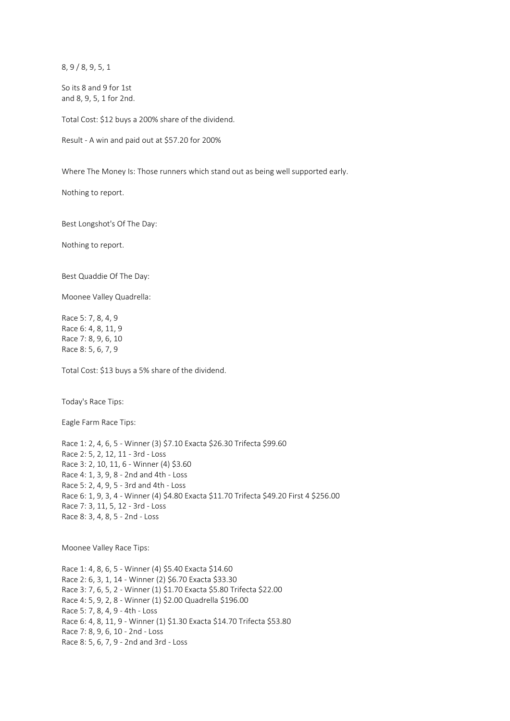8, 9 / 8, 9, 5, 1

So its 8 and 9 for 1st and 8, 9, 5, 1 for 2nd.

Total Cost: \$12 buys a 200% share of the dividend.

Result - A win and paid out at \$57.20 for 200%

Where The Money Is: Those runners which stand out as being well supported early.

Nothing to report.

Best Longshot's Of The Day:

Nothing to report.

Best Quaddie Of The Day:

Moonee Valley Quadrella:

Race 5: 7, 8, 4, 9 Race 6: 4, 8, 11, 9 Race 7: 8, 9, 6, 10 Race 8: 5, 6, 7, 9

Total Cost: \$13 buys a 5% share of the dividend.

Today's Race Tips:

Eagle Farm Race Tips:

Race 1: 2, 4, 6, 5 - Winner (3) \$7.10 Exacta \$26.30 Trifecta \$99.60 Race 2: 5, 2, 12, 11 - 3rd - Loss Race 3: 2, 10, 11, 6 - Winner (4) \$3.60 Race 4: 1, 3, 9, 8 - 2nd and 4th - Loss Race 5: 2, 4, 9, 5 - 3rd and 4th - Loss Race 6: 1, 9, 3, 4 - Winner (4) \$4.80 Exacta \$11.70 Trifecta \$49.20 First 4 \$256.00 Race 7: 3, 11, 5, 12 - 3rd - Loss Race 8: 3, 4, 8, 5 - 2nd - Loss

Moonee Valley Race Tips:

Race 1: 4, 8, 6, 5 - Winner (4) \$5.40 Exacta \$14.60 Race 2: 6, 3, 1, 14 - Winner (2) \$6.70 Exacta \$33.30 Race 3: 7, 6, 5, 2 - Winner (1) \$1.70 Exacta \$5.80 Trifecta \$22.00 Race 4: 5, 9, 2, 8 - Winner (1) \$2.00 Quadrella \$196.00 Race 5: 7, 8, 4, 9 - 4th - Loss Race 6: 4, 8, 11, 9 - Winner (1) \$1.30 Exacta \$14.70 Trifecta \$53.80 Race 7: 8, 9, 6, 10 - 2nd - Loss Race 8: 5, 6, 7, 9 - 2nd and 3rd - Loss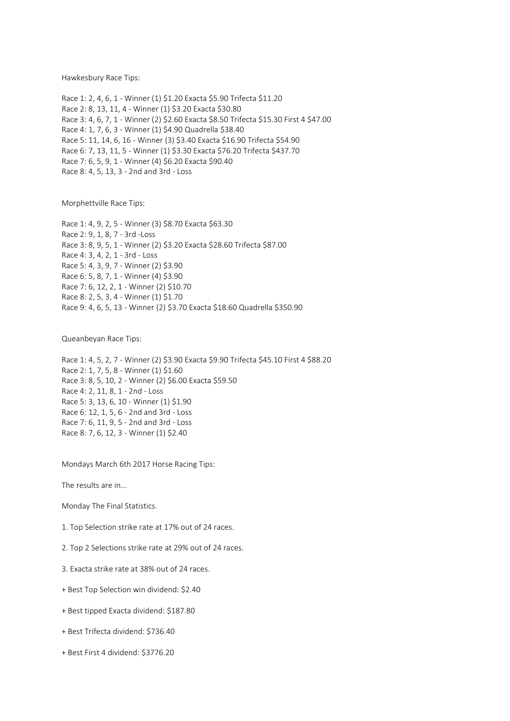Hawkesbury Race Tips:

Race 1: 2, 4, 6, 1 - Winner (1) \$1.20 Exacta \$5.90 Trifecta \$11.20 Race 2: 8, 13, 11, 4 - Winner (1) \$3.20 Exacta \$30.80 Race 3: 4, 6, 7, 1 - Winner (2) \$2.60 Exacta \$8.50 Trifecta \$15.30 First 4 \$47.00 Race 4: 1, 7, 6, 3 - Winner (1) \$4.90 Quadrella \$38.40 Race 5: 11, 14, 6, 16 - Winner (3) \$3.40 Exacta \$16.90 Trifecta \$54.90 Race 6: 7, 13, 11, 5 - Winner (1) \$3.30 Exacta \$76.20 Trifecta \$437.70 Race 7: 6, 5, 9, 1 - Winner (4) \$6.20 Exacta \$90.40 Race 8: 4, 5, 13, 3 - 2nd and 3rd - Loss

Morphettville Race Tips:

Race 1: 4, 9, 2, 5 - Winner (3) \$8.70 Exacta \$63.30 Race 2: 9, 1, 8, 7 - 3rd -Loss Race 3: 8, 9, 5, 1 - Winner (2) \$3.20 Exacta \$28.60 Trifecta \$87.00 Race 4: 3, 4, 2, 1 - 3rd - Loss Race 5: 4, 3, 9, 7 - Winner (2) \$3.90 Race 6: 5, 8, 7, 1 - Winner (4) \$3.90 Race 7: 6, 12, 2, 1 - Winner (2) \$10.70 Race 8: 2, 5, 3, 4 - Winner (1) \$1.70 Race 9: 4, 6, 5, 13 - Winner (2) \$3.70 Exacta \$18.60 Quadrella \$350.90

Queanbeyan Race Tips:

Race 1: 4, 5, 2, 7 - Winner (2) \$3.90 Exacta \$9.90 Trifecta \$45.10 First 4 \$88.20 Race 2: 1, 7, 5, 8 - Winner (1) \$1.60 Race 3: 8, 5, 10, 2 - Winner (2) \$6.00 Exacta \$59.50 Race 4: 2, 11, 8, 1 - 2nd - Loss Race 5: 3, 13, 6, 10 - Winner (1) \$1.90 Race 6: 12, 1, 5, 6 - 2nd and 3rd - Loss Race 7: 6, 11, 9, 5 - 2nd and 3rd - Loss Race 8: 7, 6, 12, 3 - Winner (1) \$2.40

Mondays March 6th 2017 Horse Racing Tips:

The results are in...

Monday The Final Statistics.

1. Top Selection strike rate at 17% out of 24 races.

2. Top 2 Selections strike rate at 29% out of 24 races.

3. Exacta strike rate at 38% out of 24 races.

+ Best Top Selection win dividend: \$2.40

+ Best tipped Exacta dividend: \$187.80

+ Best Trifecta dividend: \$736.40

+ Best First 4 dividend: \$3776.20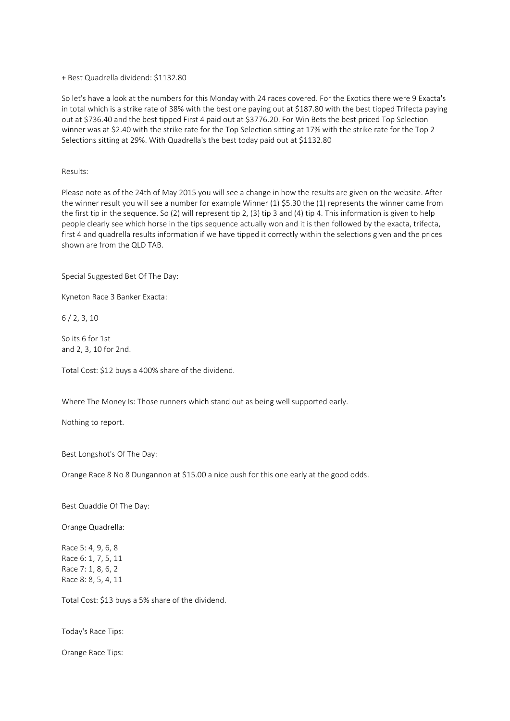+ Best Quadrella dividend: \$1132.80

So let's have a look at the numbers for this Monday with 24 races covered. For the Exotics there were 9 Exacta's in total which is a strike rate of 38% with the best one paying out at \$187.80 with the best tipped Trifecta paying out at \$736.40 and the best tipped First 4 paid out at \$3776.20. For Win Bets the best priced Top Selection winner was at \$2.40 with the strike rate for the Top Selection sitting at 17% with the strike rate for the Top 2 Selections sitting at 29%. With Quadrella's the best today paid out at \$1132.80

Results:

Please note as of the 24th of May 2015 you will see a change in how the results are given on the website. After the winner result you will see a number for example Winner (1) \$5.30 the (1) represents the winner came from the first tip in the sequence. So (2) will represent tip 2, (3) tip 3 and (4) tip 4. This information is given to help people clearly see which horse in the tips sequence actually won and it is then followed by the exacta, trifecta, first 4 and quadrella results information if we have tipped it correctly within the selections given and the prices shown are from the QLD TAB.

Special Suggested Bet Of The Day:

Kyneton Race 3 Banker Exacta:

6 / 2, 3, 10

So its 6 for 1st and 2, 3, 10 for 2nd.

Total Cost: \$12 buys a 400% share of the dividend.

Where The Money Is: Those runners which stand out as being well supported early.

Nothing to report.

Best Longshot's Of The Day:

Orange Race 8 No 8 Dungannon at \$15.00 a nice push for this one early at the good odds.

Best Quaddie Of The Day:

Orange Quadrella:

Race 5: 4, 9, 6, 8 Race 6: 1, 7, 5, 11 Race 7: 1, 8, 6, 2 Race 8: 8, 5, 4, 11

Total Cost: \$13 buys a 5% share of the dividend.

Today's Race Tips:

Orange Race Tips: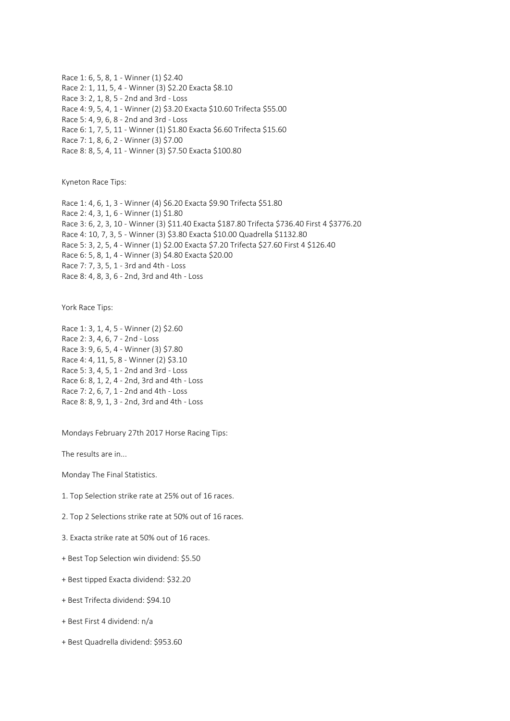Race 1: 6, 5, 8, 1 - Winner (1) \$2.40 Race 2: 1, 11, 5, 4 - Winner (3) \$2.20 Exacta \$8.10 Race 3: 2, 1, 8, 5 - 2nd and 3rd - Loss Race 4: 9, 5, 4, 1 - Winner (2) \$3.20 Exacta \$10.60 Trifecta \$55.00 Race 5: 4, 9, 6, 8 - 2nd and 3rd - Loss Race 6: 1, 7, 5, 11 - Winner (1) \$1.80 Exacta \$6.60 Trifecta \$15.60 Race 7: 1, 8, 6, 2 - Winner (3) \$7.00 Race 8: 8, 5, 4, 11 - Winner (3) \$7.50 Exacta \$100.80

Kyneton Race Tips:

Race 1: 4, 6, 1, 3 - Winner (4) \$6.20 Exacta \$9.90 Trifecta \$51.80 Race 2: 4, 3, 1, 6 - Winner (1) \$1.80 Race 3: 6, 2, 3, 10 - Winner (3) \$11.40 Exacta \$187.80 Trifecta \$736.40 First 4 \$3776.20 Race 4: 10, 7, 3, 5 - Winner (3) \$3.80 Exacta \$10.00 Quadrella \$1132.80 Race 5: 3, 2, 5, 4 - Winner (1) \$2.00 Exacta \$7.20 Trifecta \$27.60 First 4 \$126.40 Race 6: 5, 8, 1, 4 - Winner (3) \$4.80 Exacta \$20.00 Race 7: 7, 3, 5, 1 - 3rd and 4th - Loss Race 8: 4, 8, 3, 6 - 2nd, 3rd and 4th - Loss

York Race Tips:

Race 1: 3, 1, 4, 5 - Winner (2) \$2.60 Race 2: 3, 4, 6, 7 - 2nd - Loss Race 3: 9, 6, 5, 4 - Winner (3) \$7.80 Race 4: 4, 11, 5, 8 - Winner (2) \$3.10 Race 5: 3, 4, 5, 1 - 2nd and 3rd - Loss Race 6: 8, 1, 2, 4 - 2nd, 3rd and 4th - Loss Race 7: 2, 6, 7, 1 - 2nd and 4th - Loss Race 8: 8, 9, 1, 3 - 2nd, 3rd and 4th - Loss

Mondays February 27th 2017 Horse Racing Tips:

The results are in...

Monday The Final Statistics.

- 1. Top Selection strike rate at 25% out of 16 races.
- 2. Top 2 Selections strike rate at 50% out of 16 races.
- 3. Exacta strike rate at 50% out of 16 races.
- + Best Top Selection win dividend: \$5.50
- + Best tipped Exacta dividend: \$32.20
- + Best Trifecta dividend: \$94.10
- + Best First 4 dividend: n/a
- + Best Quadrella dividend: \$953.60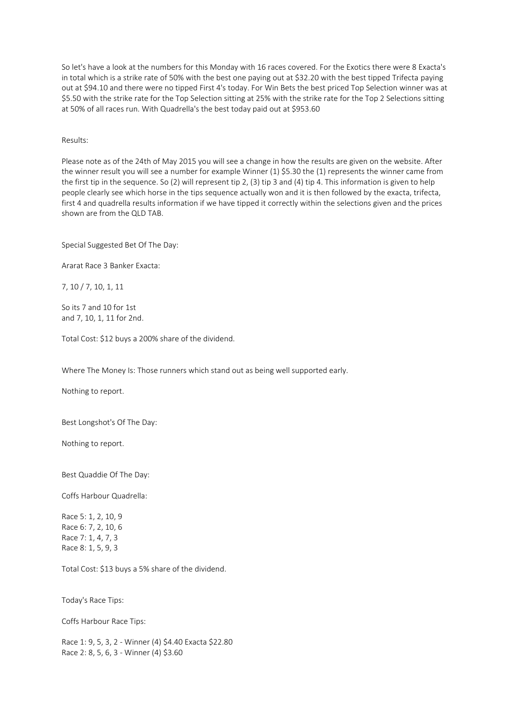So let's have a look at the numbers for this Monday with 16 races covered. For the Exotics there were 8 Exacta's in total which is a strike rate of 50% with the best one paying out at \$32.20 with the best tipped Trifecta paying out at \$94.10 and there were no tipped First 4's today. For Win Bets the best priced Top Selection winner was at \$5.50 with the strike rate for the Top Selection sitting at 25% with the strike rate for the Top 2 Selections sitting at 50% of all races run. With Quadrella's the best today paid out at \$953.60

Results:

Please note as of the 24th of May 2015 you will see a change in how the results are given on the website. After the winner result you will see a number for example Winner (1) \$5.30 the (1) represents the winner came from the first tip in the sequence. So (2) will represent tip 2, (3) tip 3 and (4) tip 4. This information is given to help people clearly see which horse in the tips sequence actually won and it is then followed by the exacta, trifecta, first 4 and quadrella results information if we have tipped it correctly within the selections given and the prices shown are from the QLD TAB.

Special Suggested Bet Of The Day:

Ararat Race 3 Banker Exacta:

7, 10 / 7, 10, 1, 11

So its 7 and 10 for 1st and 7, 10, 1, 11 for 2nd.

Total Cost: \$12 buys a 200% share of the dividend.

Where The Money Is: Those runners which stand out as being well supported early.

Nothing to report.

Best Longshot's Of The Day:

Nothing to report.

Best Quaddie Of The Day:

Coffs Harbour Quadrella:

Race 5: 1, 2, 10, 9 Race 6: 7, 2, 10, 6 Race 7: 1, 4, 7, 3 Race 8: 1, 5, 9, 3

Total Cost: \$13 buys a 5% share of the dividend.

Today's Race Tips:

Coffs Harbour Race Tips:

Race 1: 9, 5, 3, 2 - Winner (4) \$4.40 Exacta \$22.80 Race 2: 8, 5, 6, 3 - Winner (4) \$3.60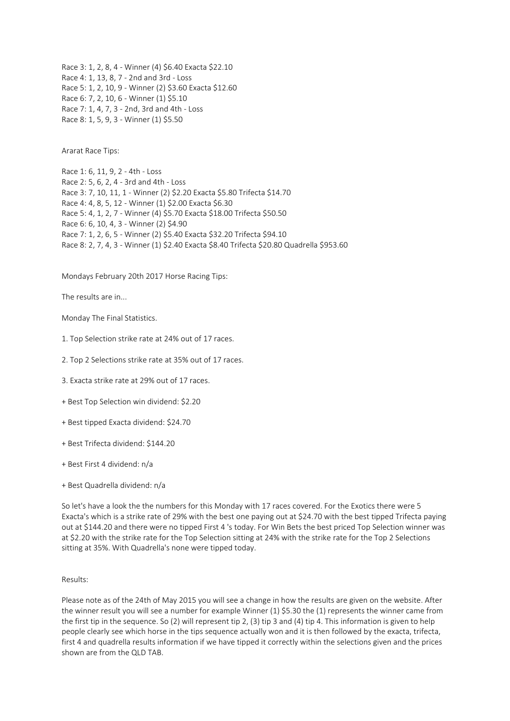Race 3: 1, 2, 8, 4 - Winner (4) \$6.40 Exacta \$22.10 Race 4: 1, 13, 8, 7 - 2nd and 3rd - Loss Race 5: 1, 2, 10, 9 - Winner (2) \$3.60 Exacta \$12.60 Race 6: 7, 2, 10, 6 - Winner (1) \$5.10 Race 7: 1, 4, 7, 3 - 2nd, 3rd and 4th - Loss Race 8: 1, 5, 9, 3 - Winner (1) \$5.50

Ararat Race Tips:

Race 1: 6, 11, 9, 2 - 4th - Loss Race 2: 5, 6, 2, 4 - 3rd and 4th - Loss Race 3: 7, 10, 11, 1 - Winner (2) \$2.20 Exacta \$5.80 Trifecta \$14.70 Race 4: 4, 8, 5, 12 - Winner (1) \$2.00 Exacta \$6.30 Race 5: 4, 1, 2, 7 - Winner (4) \$5.70 Exacta \$18.00 Trifecta \$50.50 Race 6: 6, 10, 4, 3 - Winner (2) \$4.90 Race 7: 1, 2, 6, 5 - Winner (2) \$5.40 Exacta \$32.20 Trifecta \$94.10 Race 8: 2, 7, 4, 3 - Winner (1) \$2.40 Exacta \$8.40 Trifecta \$20.80 Quadrella \$953.60

Mondays February 20th 2017 Horse Racing Tips:

The results are in...

Monday The Final Statistics.

- 1. Top Selection strike rate at 24% out of 17 races.
- 2. Top 2 Selections strike rate at 35% out of 17 races.
- 3. Exacta strike rate at 29% out of 17 races.
- + Best Top Selection win dividend: \$2.20
- + Best tipped Exacta dividend: \$24.70
- + Best Trifecta dividend: \$144.20
- + Best First 4 dividend: n/a
- + Best Quadrella dividend: n/a

So let's have a look the the numbers for this Monday with 17 races covered. For the Exotics there were 5 Exacta's which is a strike rate of 29% with the best one paying out at \$24.70 with the best tipped Trifecta paying out at \$144.20 and there were no tipped First 4 's today. For Win Bets the best priced Top Selection winner was at \$2.20 with the strike rate for the Top Selection sitting at 24% with the strike rate for the Top 2 Selections sitting at 35%. With Quadrella's none were tipped today.

# Results:

Please note as of the 24th of May 2015 you will see a change in how the results are given on the website. After the winner result you will see a number for example Winner (1) \$5.30 the (1) represents the winner came from the first tip in the sequence. So (2) will represent tip 2, (3) tip 3 and (4) tip 4. This information is given to help people clearly see which horse in the tips sequence actually won and it is then followed by the exacta, trifecta, first 4 and quadrella results information if we have tipped it correctly within the selections given and the prices shown are from the QLD TAB.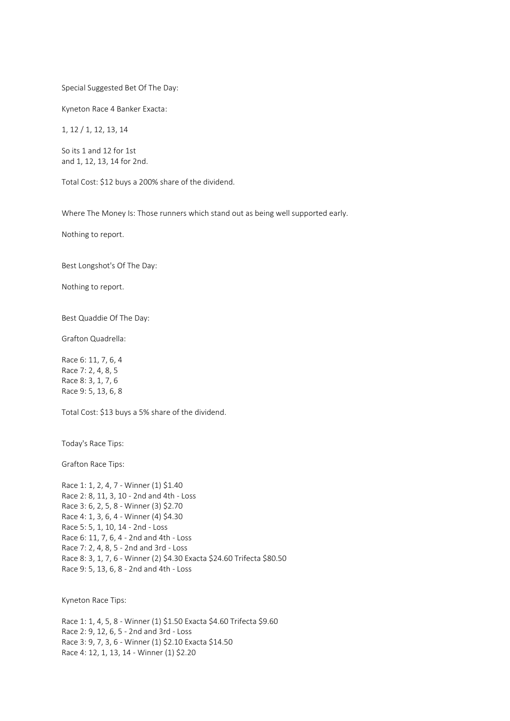Special Suggested Bet Of The Day:

Kyneton Race 4 Banker Exacta:

1, 12 / 1, 12, 13, 14

So its 1 and 12 for 1st and 1, 12, 13, 14 for 2nd.

Total Cost: \$12 buys a 200% share of the dividend.

Where The Money Is: Those runners which stand out as being well supported early.

Nothing to report.

Best Longshot's Of The Day:

Nothing to report.

Best Quaddie Of The Day:

Grafton Quadrella:

Race 6: 11, 7, 6, 4 Race 7: 2, 4, 8, 5 Race 8: 3, 1, 7, 6 Race 9: 5, 13, 6, 8

Total Cost: \$13 buys a 5% share of the dividend.

Today's Race Tips:

Grafton Race Tips:

Race 1: 1, 2, 4, 7 - Winner (1) \$1.40 Race 2: 8, 11, 3, 10 - 2nd and 4th - Loss Race 3: 6, 2, 5, 8 - Winner (3) \$2.70 Race 4: 1, 3, 6, 4 - Winner (4) \$4.30 Race 5: 5, 1, 10, 14 - 2nd - Loss Race 6: 11, 7, 6, 4 - 2nd and 4th - Loss Race 7: 2, 4, 8, 5 - 2nd and 3rd - Loss Race 8: 3, 1, 7, 6 - Winner (2) \$4.30 Exacta \$24.60 Trifecta \$80.50 Race 9: 5, 13, 6, 8 - 2nd and 4th - Loss

Kyneton Race Tips:

Race 1: 1, 4, 5, 8 - Winner (1) \$1.50 Exacta \$4.60 Trifecta \$9.60 Race 2: 9, 12, 6, 5 - 2nd and 3rd - Loss Race 3: 9, 7, 3, 6 - Winner (1) \$2.10 Exacta \$14.50 Race 4: 12, 1, 13, 14 - Winner (1) \$2.20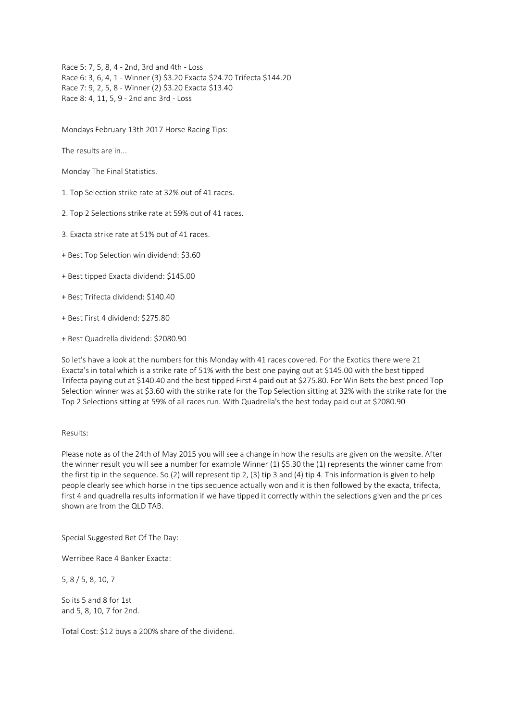Race 5: 7, 5, 8, 4 - 2nd, 3rd and 4th - Loss Race 6: 3, 6, 4, 1 - Winner (3) \$3.20 Exacta \$24.70 Trifecta \$144.20 Race 7: 9, 2, 5, 8 - Winner (2) \$3.20 Exacta \$13.40 Race 8: 4, 11, 5, 9 - 2nd and 3rd - Loss

Mondays February 13th 2017 Horse Racing Tips:

The results are in...

Monday The Final Statistics.

1. Top Selection strike rate at 32% out of 41 races.

2. Top 2 Selections strike rate at 59% out of 41 races.

3. Exacta strike rate at 51% out of 41 races.

+ Best Top Selection win dividend: \$3.60

+ Best tipped Exacta dividend: \$145.00

+ Best Trifecta dividend: \$140.40

+ Best First 4 dividend: \$275.80

+ Best Quadrella dividend: \$2080.90

So let's have a look at the numbers for this Monday with 41 races covered. For the Exotics there were 21 Exacta's in total which is a strike rate of 51% with the best one paying out at \$145.00 with the best tipped Trifecta paying out at \$140.40 and the best tipped First 4 paid out at \$275.80. For Win Bets the best priced Top Selection winner was at \$3.60 with the strike rate for the Top Selection sitting at 32% with the strike rate for the Top 2 Selections sitting at 59% of all races run. With Quadrella's the best today paid out at \$2080.90

### Results:

Please note as of the 24th of May 2015 you will see a change in how the results are given on the website. After the winner result you will see a number for example Winner (1) \$5.30 the (1) represents the winner came from the first tip in the sequence. So (2) will represent tip 2, (3) tip 3 and (4) tip 4. This information is given to help people clearly see which horse in the tips sequence actually won and it is then followed by the exacta, trifecta, first 4 and quadrella results information if we have tipped it correctly within the selections given and the prices shown are from the QLD TAB.

Special Suggested Bet Of The Day:

Werribee Race 4 Banker Exacta:

5, 8 / 5, 8, 10, 7

So its 5 and 8 for 1st and 5, 8, 10, 7 for 2nd.

Total Cost: \$12 buys a 200% share of the dividend.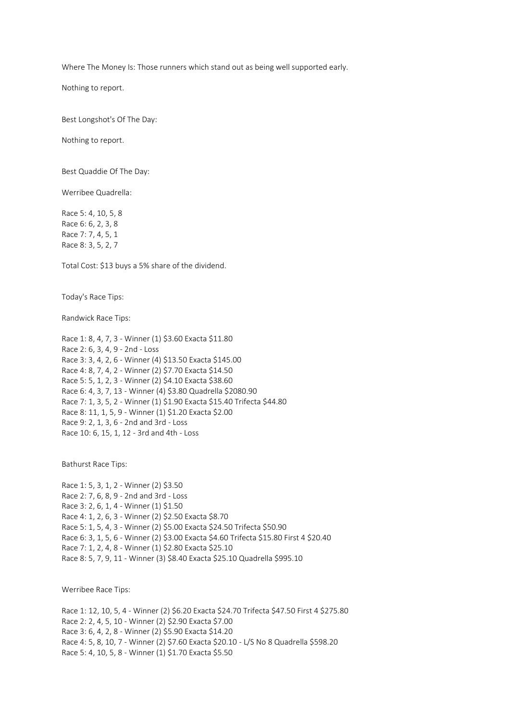Where The Money Is: Those runners which stand out as being well supported early.

Nothing to report.

Best Longshot's Of The Day:

Nothing to report.

Best Quaddie Of The Day:

Werribee Quadrella:

Race 5: 4, 10, 5, 8 Race 6: 6, 2, 3, 8 Race 7: 7, 4, 5, 1 Race 8: 3, 5, 2, 7

Total Cost: \$13 buys a 5% share of the dividend.

Today's Race Tips:

Randwick Race Tips:

Race 1: 8, 4, 7, 3 - Winner (1) \$3.60 Exacta \$11.80 Race 2: 6, 3, 4, 9 - 2nd - Loss Race 3: 3, 4, 2, 6 - Winner (4) \$13.50 Exacta \$145.00 Race 4: 8, 7, 4, 2 - Winner (2) \$7.70 Exacta \$14.50 Race 5: 5, 1, 2, 3 - Winner (2) \$4.10 Exacta \$38.60 Race 6: 4, 3, 7, 13 - Winner (4) \$3.80 Quadrella \$2080.90 Race 7: 1, 3, 5, 2 - Winner (1) \$1.90 Exacta \$15.40 Trifecta \$44.80 Race 8: 11, 1, 5, 9 - Winner (1) \$1.20 Exacta \$2.00 Race 9: 2, 1, 3, 6 - 2nd and 3rd - Loss Race 10: 6, 15, 1, 12 - 3rd and 4th - Loss

Bathurst Race Tips:

Race 1: 5, 3, 1, 2 - Winner (2) \$3.50 Race 2: 7, 6, 8, 9 - 2nd and 3rd - Loss Race 3: 2, 6, 1, 4 - Winner (1) \$1.50 Race 4: 1, 2, 6, 3 - Winner (2) \$2.50 Exacta \$8.70 Race 5: 1, 5, 4, 3 - Winner (2) \$5.00 Exacta \$24.50 Trifecta \$50.90 Race 6: 3, 1, 5, 6 - Winner (2) \$3.00 Exacta \$4.60 Trifecta \$15.80 First 4 \$20.40 Race 7: 1, 2, 4, 8 - Winner (1) \$2.80 Exacta \$25.10 Race 8: 5, 7, 9, 11 - Winner (3) \$8.40 Exacta \$25.10 Quadrella \$995.10

Werribee Race Tips:

Race 1: 12, 10, 5, 4 - Winner (2) \$6.20 Exacta \$24.70 Trifecta \$47.50 First 4 \$275.80 Race 2: 2, 4, 5, 10 - Winner (2) \$2.90 Exacta \$7.00 Race 3: 6, 4, 2, 8 - Winner (2) \$5.90 Exacta \$14.20 Race 4: 5, 8, 10, 7 - Winner (2) \$7.60 Exacta \$20.10 - L/S No 8 Quadrella \$598.20 Race 5: 4, 10, 5, 8 - Winner (1) \$1.70 Exacta \$5.50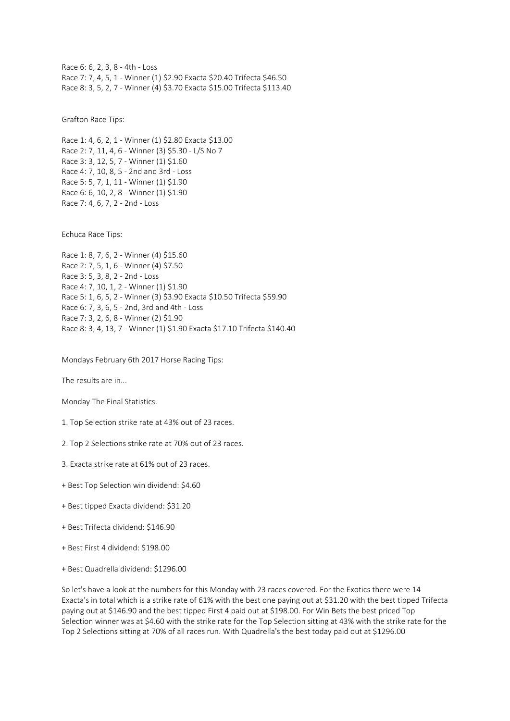Race 6: 6, 2, 3, 8 - 4th - Loss Race 7: 7, 4, 5, 1 - Winner (1) \$2.90 Exacta \$20.40 Trifecta \$46.50 Race 8: 3, 5, 2, 7 - Winner (4) \$3.70 Exacta \$15.00 Trifecta \$113.40

Grafton Race Tips:

Race 1: 4, 6, 2, 1 - Winner (1) \$2.80 Exacta \$13.00 Race 2: 7, 11, 4, 6 - Winner (3) \$5.30 - L/S No 7 Race 3: 3, 12, 5, 7 - Winner (1) \$1.60 Race 4: 7, 10, 8, 5 - 2nd and 3rd - Loss Race 5: 5, 7, 1, 11 - Winner (1) \$1.90 Race 6: 6, 10, 2, 8 - Winner (1) \$1.90 Race 7: 4, 6, 7, 2 - 2nd - Loss

Echuca Race Tips:

Race 1: 8, 7, 6, 2 - Winner (4) \$15.60 Race 2: 7, 5, 1, 6 - Winner (4) \$7.50 Race 3: 5, 3, 8, 2 - 2nd - Loss Race 4: 7, 10, 1, 2 - Winner (1) \$1.90 Race 5: 1, 6, 5, 2 - Winner (3) \$3.90 Exacta \$10.50 Trifecta \$59.90 Race 6: 7, 3, 6, 5 - 2nd, 3rd and 4th - Loss Race 7: 3, 2, 6, 8 - Winner (2) \$1.90 Race 8: 3, 4, 13, 7 - Winner (1) \$1.90 Exacta \$17.10 Trifecta \$140.40

Mondays February 6th 2017 Horse Racing Tips:

The results are in...

Monday The Final Statistics.

- 1. Top Selection strike rate at 43% out of 23 races.
- 2. Top 2 Selections strike rate at 70% out of 23 races.
- 3. Exacta strike rate at 61% out of 23 races.
- + Best Top Selection win dividend: \$4.60
- + Best tipped Exacta dividend: \$31.20
- + Best Trifecta dividend: \$146.90
- + Best First 4 dividend: \$198.00
- + Best Quadrella dividend: \$1296.00

So let's have a look at the numbers for this Monday with 23 races covered. For the Exotics there were 14 Exacta's in total which is a strike rate of 61% with the best one paying out at \$31.20 with the best tipped Trifecta paying out at \$146.90 and the best tipped First 4 paid out at \$198.00. For Win Bets the best priced Top Selection winner was at \$4.60 with the strike rate for the Top Selection sitting at 43% with the strike rate for the Top 2 Selections sitting at 70% of all races run. With Quadrella's the best today paid out at \$1296.00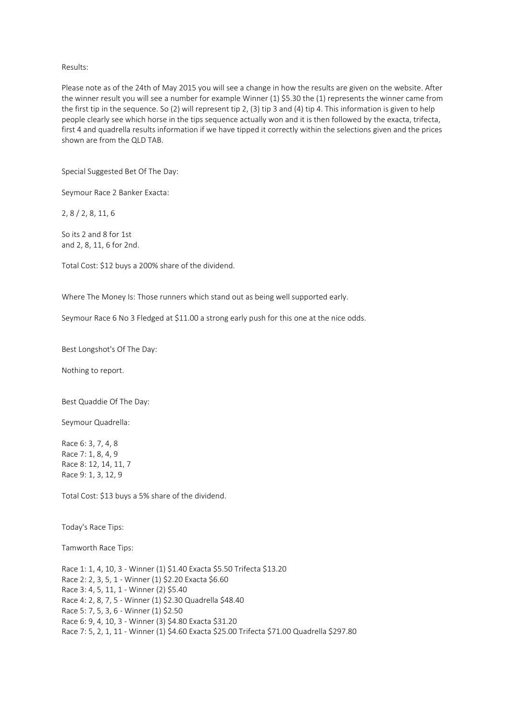### Results:

Please note as of the 24th of May 2015 you will see a change in how the results are given on the website. After the winner result you will see a number for example Winner (1) \$5.30 the (1) represents the winner came from the first tip in the sequence. So (2) will represent tip 2, (3) tip 3 and (4) tip 4. This information is given to help people clearly see which horse in the tips sequence actually won and it is then followed by the exacta, trifecta, first 4 and quadrella results information if we have tipped it correctly within the selections given and the prices shown are from the QLD TAB.

Special Suggested Bet Of The Day:

Seymour Race 2 Banker Exacta:

2, 8 / 2, 8, 11, 6

So its 2 and 8 for 1st and 2, 8, 11, 6 for 2nd.

Total Cost: \$12 buys a 200% share of the dividend.

Where The Money Is: Those runners which stand out as being well supported early.

Seymour Race 6 No 3 Fledged at \$11.00 a strong early push for this one at the nice odds.

Best Longshot's Of The Day:

Nothing to report.

Best Quaddie Of The Day:

Seymour Quadrella:

Race 6: 3, 7, 4, 8 Race 7: 1, 8, 4, 9 Race 8: 12, 14, 11, 7 Race 9: 1, 3, 12, 9

Total Cost: \$13 buys a 5% share of the dividend.

Today's Race Tips:

Tamworth Race Tips:

Race 1: 1, 4, 10, 3 - Winner (1) \$1.40 Exacta \$5.50 Trifecta \$13.20 Race 2: 2, 3, 5, 1 - Winner (1) \$2.20 Exacta \$6.60 Race 3: 4, 5, 11, 1 - Winner (2) \$5.40 Race 4: 2, 8, 7, 5 - Winner (1) \$2.30 Quadrella \$48.40 Race 5: 7, 5, 3, 6 - Winner (1) \$2.50 Race 6: 9, 4, 10, 3 - Winner (3) \$4.80 Exacta \$31.20 Race 7: 5, 2, 1, 11 - Winner (1) \$4.60 Exacta \$25.00 Trifecta \$71.00 Quadrella \$297.80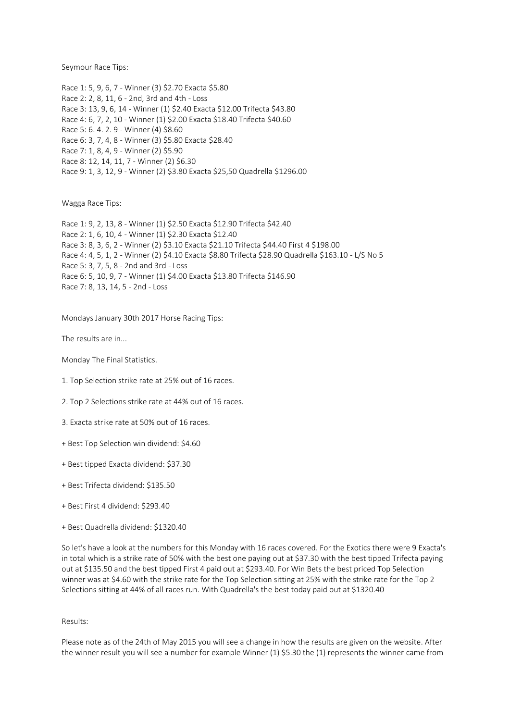Seymour Race Tips:

Race 1: 5, 9, 6, 7 - Winner (3) \$2.70 Exacta \$5.80 Race 2: 2, 8, 11, 6 - 2nd, 3rd and 4th - Loss Race 3: 13, 9, 6, 14 - Winner (1) \$2.40 Exacta \$12.00 Trifecta \$43.80 Race 4: 6, 7, 2, 10 - Winner (1) \$2.00 Exacta \$18.40 Trifecta \$40.60 Race 5: 6. 4. 2. 9 - Winner (4) \$8.60 Race 6: 3, 7, 4, 8 - Winner (3) \$5.80 Exacta \$28.40 Race 7: 1, 8, 4, 9 - Winner (2) \$5.90 Race 8: 12, 14, 11, 7 - Winner (2) \$6.30 Race 9: 1, 3, 12, 9 - Winner (2) \$3.80 Exacta \$25,50 Quadrella \$1296.00

Wagga Race Tips:

Race 1: 9, 2, 13, 8 - Winner (1) \$2.50 Exacta \$12.90 Trifecta \$42.40 Race 2: 1, 6, 10, 4 - Winner (1) \$2.30 Exacta \$12.40 Race 3: 8, 3, 6, 2 - Winner (2) \$3.10 Exacta \$21.10 Trifecta \$44.40 First 4 \$198.00 Race 4: 4, 5, 1, 2 - Winner (2) \$4.10 Exacta \$8.80 Trifecta \$28.90 Quadrella \$163.10 - L/S No 5 Race 5: 3, 7, 5, 8 - 2nd and 3rd - Loss Race 6: 5, 10, 9, 7 - Winner (1) \$4.00 Exacta \$13.80 Trifecta \$146.90 Race 7: 8, 13, 14, 5 - 2nd - Loss

Mondays January 30th 2017 Horse Racing Tips:

The results are in...

Monday The Final Statistics.

- 1. Top Selection strike rate at 25% out of 16 races.
- 2. Top 2 Selections strike rate at 44% out of 16 races.
- 3. Exacta strike rate at 50% out of 16 races.
- + Best Top Selection win dividend: \$4.60
- + Best tipped Exacta dividend: \$37.30
- + Best Trifecta dividend: \$135.50
- + Best First 4 dividend: \$293.40
- + Best Quadrella dividend: \$1320.40

So let's have a look at the numbers for this Monday with 16 races covered. For the Exotics there were 9 Exacta's in total which is a strike rate of 50% with the best one paying out at \$37.30 with the best tipped Trifecta paying out at \$135.50 and the best tipped First 4 paid out at \$293.40. For Win Bets the best priced Top Selection winner was at \$4.60 with the strike rate for the Top Selection sitting at 25% with the strike rate for the Top 2 Selections sitting at 44% of all races run. With Quadrella's the best today paid out at \$1320.40

Results:

Please note as of the 24th of May 2015 you will see a change in how the results are given on the website. After the winner result you will see a number for example Winner (1) \$5.30 the (1) represents the winner came from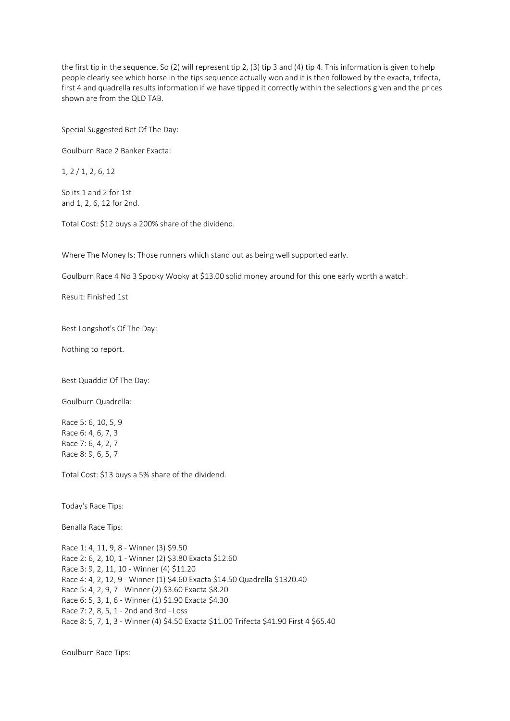the first tip in the sequence. So (2) will represent tip 2, (3) tip 3 and (4) tip 4. This information is given to help people clearly see which horse in the tips sequence actually won and it is then followed by the exacta, trifecta, first 4 and quadrella results information if we have tipped it correctly within the selections given and the prices shown are from the QLD TAB.

Special Suggested Bet Of The Day:

Goulburn Race 2 Banker Exacta:

1, 2 / 1, 2, 6, 12

So its 1 and 2 for 1st and 1, 2, 6, 12 for 2nd.

Total Cost: \$12 buys a 200% share of the dividend.

Where The Money Is: Those runners which stand out as being well supported early.

Goulburn Race 4 No 3 Spooky Wooky at \$13.00 solid money around for this one early worth a watch.

Result: Finished 1st

Best Longshot's Of The Day:

Nothing to report.

Best Quaddie Of The Day:

Goulburn Quadrella:

Race 5: 6, 10, 5, 9 Race 6: 4, 6, 7, 3 Race 7: 6, 4, 2, 7 Race 8: 9, 6, 5, 7

Total Cost: \$13 buys a 5% share of the dividend.

Today's Race Tips:

Benalla Race Tips:

Race 1: 4, 11, 9, 8 - Winner (3) \$9.50 Race 2: 6, 2, 10, 1 - Winner (2) \$3.80 Exacta \$12.60 Race 3: 9, 2, 11, 10 - Winner (4) \$11.20 Race 4: 4, 2, 12, 9 - Winner (1) \$4.60 Exacta \$14.50 Quadrella \$1320.40 Race 5: 4, 2, 9, 7 - Winner (2) \$3.60 Exacta \$8.20 Race 6: 5, 3, 1, 6 - Winner (1) \$1.90 Exacta \$4.30 Race 7: 2, 8, 5, 1 - 2nd and 3rd - Loss Race 8: 5, 7, 1, 3 - Winner (4) \$4.50 Exacta \$11.00 Trifecta \$41.90 First 4 \$65.40

Goulburn Race Tips: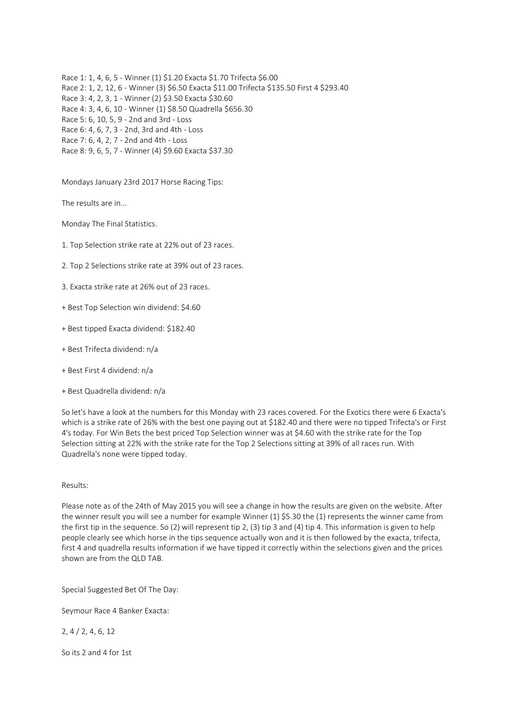Race 1: 1, 4, 6, 5 - Winner (1) \$1.20 Exacta \$1.70 Trifecta \$6.00 Race 2: 1, 2, 12, 6 - Winner (3) \$6.50 Exacta \$11.00 Trifecta \$135.50 First 4 \$293.40 Race 3: 4, 2, 3, 1 - Winner (2) \$3.50 Exacta \$30.60 Race 4: 3, 4, 6, 10 - Winner (1) \$8.50 Quadrella \$656.30 Race 5: 6, 10, 5, 9 - 2nd and 3rd - Loss Race 6: 4, 6, 7, 3 - 2nd, 3rd and 4th - Loss Race 7: 6, 4, 2, 7 - 2nd and 4th - Loss Race 8: 9, 6, 5, 7 - Winner (4) \$9.60 Exacta \$37.30

Mondays January 23rd 2017 Horse Racing Tips:

The results are in...

Monday The Final Statistics.

- 1. Top Selection strike rate at 22% out of 23 races.
- 2. Top 2 Selections strike rate at 39% out of 23 races.
- 3. Exacta strike rate at 26% out of 23 races.
- + Best Top Selection win dividend: \$4.60
- + Best tipped Exacta dividend: \$182.40
- + Best Trifecta dividend: n/a
- + Best First 4 dividend: n/a
- + Best Quadrella dividend: n/a

So let's have a look at the numbers for this Monday with 23 races covered. For the Exotics there were 6 Exacta's which is a strike rate of 26% with the best one paying out at \$182.40 and there were no tipped Trifecta's or First 4's today. For Win Bets the best priced Top Selection winner was at \$4.60 with the strike rate for the Top Selection sitting at 22% with the strike rate for the Top 2 Selections sitting at 39% of all races run. With Quadrella's none were tipped today.

### Results:

Please note as of the 24th of May 2015 you will see a change in how the results are given on the website. After the winner result you will see a number for example Winner (1) \$5.30 the (1) represents the winner came from the first tip in the sequence. So (2) will represent tip 2, (3) tip 3 and (4) tip 4. This information is given to help people clearly see which horse in the tips sequence actually won and it is then followed by the exacta, trifecta, first 4 and quadrella results information if we have tipped it correctly within the selections given and the prices shown are from the QLD TAB.

Special Suggested Bet Of The Day:

Seymour Race 4 Banker Exacta:

2, 4 / 2, 4, 6, 12

So its 2 and 4 for 1st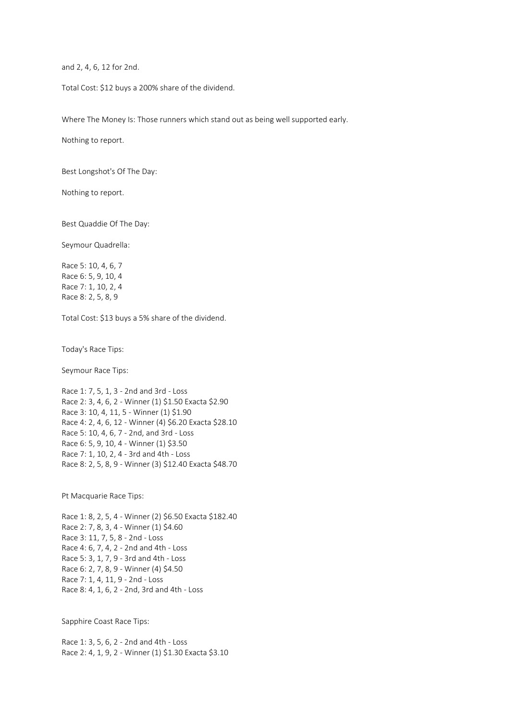and 2, 4, 6, 12 for 2nd.

Total Cost: \$12 buys a 200% share of the dividend.

Where The Money Is: Those runners which stand out as being well supported early.

Nothing to report.

Best Longshot's Of The Day:

Nothing to report.

Best Quaddie Of The Day:

Seymour Quadrella:

Race 5: 10, 4, 6, 7 Race 6: 5, 9, 10, 4 Race 7: 1, 10, 2, 4 Race 8: 2, 5, 8, 9

Total Cost: \$13 buys a 5% share of the dividend.

Today's Race Tips:

Seymour Race Tips:

Race 1: 7, 5, 1, 3 - 2nd and 3rd - Loss Race 2: 3, 4, 6, 2 - Winner (1) \$1.50 Exacta \$2.90 Race 3: 10, 4, 11, 5 - Winner (1) \$1.90 Race 4: 2, 4, 6, 12 - Winner (4) \$6.20 Exacta \$28.10 Race 5: 10, 4, 6, 7 - 2nd, and 3rd - Loss Race 6: 5, 9, 10, 4 - Winner (1) \$3.50 Race 7: 1, 10, 2, 4 - 3rd and 4th - Loss Race 8: 2, 5, 8, 9 - Winner (3) \$12.40 Exacta \$48.70

Pt Macquarie Race Tips:

Race 1: 8, 2, 5, 4 - Winner (2) \$6.50 Exacta \$182.40 Race 2: 7, 8, 3, 4 - Winner (1) \$4.60 Race 3: 11, 7, 5, 8 - 2nd - Loss Race 4: 6, 7, 4, 2 - 2nd and 4th - Loss Race 5: 3, 1, 7, 9 - 3rd and 4th - Loss Race 6: 2, 7, 8, 9 - Winner (4) \$4.50 Race 7: 1, 4, 11, 9 - 2nd - Loss Race 8: 4, 1, 6, 2 - 2nd, 3rd and 4th - Loss

Sapphire Coast Race Tips:

Race 1: 3, 5, 6, 2 - 2nd and 4th - Loss Race 2: 4, 1, 9, 2 - Winner (1) \$1.30 Exacta \$3.10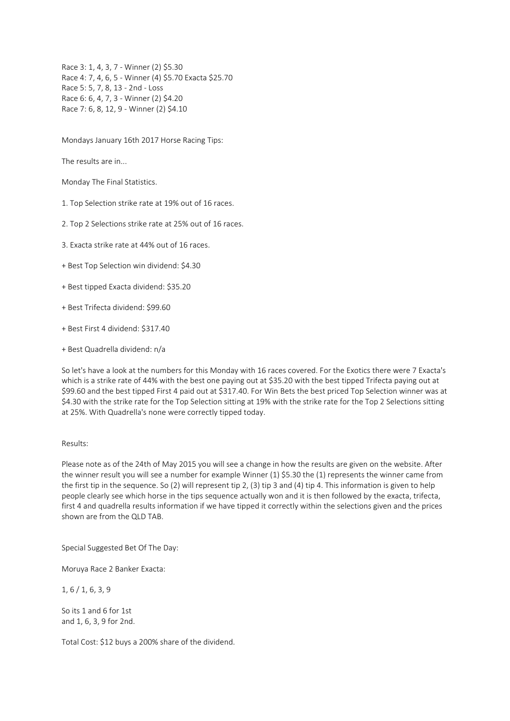Race 3: 1, 4, 3, 7 - Winner (2) \$5.30 Race 4: 7, 4, 6, 5 - Winner (4) \$5.70 Exacta \$25.70 Race 5: 5, 7, 8, 13 - 2nd - Loss Race 6: 6, 4, 7, 3 - Winner (2) \$4.20 Race 7: 6, 8, 12, 9 - Winner (2) \$4.10

Mondays January 16th 2017 Horse Racing Tips:

The results are in...

Monday The Final Statistics.

1. Top Selection strike rate at 19% out of 16 races.

2. Top 2 Selections strike rate at 25% out of 16 races.

3. Exacta strike rate at 44% out of 16 races.

+ Best Top Selection win dividend: \$4.30

+ Best tipped Exacta dividend: \$35.20

+ Best Trifecta dividend: \$99.60

+ Best First 4 dividend: \$317.40

+ Best Quadrella dividend: n/a

So let's have a look at the numbers for this Monday with 16 races covered. For the Exotics there were 7 Exacta's which is a strike rate of 44% with the best one paying out at \$35.20 with the best tipped Trifecta paying out at \$99.60 and the best tipped First 4 paid out at \$317.40. For Win Bets the best priced Top Selection winner was at \$4.30 with the strike rate for the Top Selection sitting at 19% with the strike rate for the Top 2 Selections sitting at 25%. With Quadrella's none were correctly tipped today.

### Results:

Please note as of the 24th of May 2015 you will see a change in how the results are given on the website. After the winner result you will see a number for example Winner (1) \$5.30 the (1) represents the winner came from the first tip in the sequence. So (2) will represent tip 2, (3) tip 3 and (4) tip 4. This information is given to help people clearly see which horse in the tips sequence actually won and it is then followed by the exacta, trifecta, first 4 and quadrella results information if we have tipped it correctly within the selections given and the prices shown are from the QLD TAB.

Special Suggested Bet Of The Day:

Moruya Race 2 Banker Exacta:

1, 6 / 1, 6, 3, 9

So its 1 and 6 for 1st and 1, 6, 3, 9 for 2nd.

Total Cost: \$12 buys a 200% share of the dividend.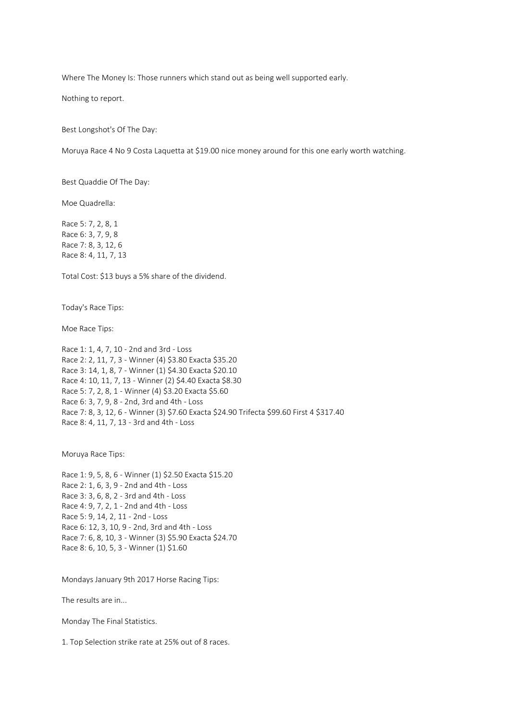Where The Money Is: Those runners which stand out as being well supported early.

Nothing to report.

Best Longshot's Of The Day:

Moruya Race 4 No 9 Costa Laquetta at \$19.00 nice money around for this one early worth watching.

Best Quaddie Of The Day:

Moe Quadrella:

Race 5: 7, 2, 8, 1 Race 6: 3, 7, 9, 8 Race 7: 8, 3, 12, 6 Race 8: 4, 11, 7, 13

Total Cost: \$13 buys a 5% share of the dividend.

Today's Race Tips:

Moe Race Tips:

Race 1: 1, 4, 7, 10 - 2nd and 3rd - Loss Race 2: 2, 11, 7, 3 - Winner (4) \$3.80 Exacta \$35.20 Race 3: 14, 1, 8, 7 - Winner (1) \$4.30 Exacta \$20.10 Race 4: 10, 11, 7, 13 - Winner (2) \$4.40 Exacta \$8.30 Race 5: 7, 2, 8, 1 - Winner (4) \$3.20 Exacta \$5.60 Race 6: 3, 7, 9, 8 - 2nd, 3rd and 4th - Loss Race 7: 8, 3, 12, 6 - Winner (3) \$7.60 Exacta \$24.90 Trifecta \$99.60 First 4 \$317.40 Race 8: 4, 11, 7, 13 - 3rd and 4th - Loss

Moruya Race Tips:

Race 1: 9, 5, 8, 6 - Winner (1) \$2.50 Exacta \$15.20 Race 2: 1, 6, 3, 9 - 2nd and 4th - Loss Race 3: 3, 6, 8, 2 - 3rd and 4th - Loss Race 4: 9, 7, 2, 1 - 2nd and 4th - Loss Race 5: 9, 14, 2, 11 - 2nd - Loss Race 6: 12, 3, 10, 9 - 2nd, 3rd and 4th - Loss Race 7: 6, 8, 10, 3 - Winner (3) \$5.90 Exacta \$24.70 Race 8: 6, 10, 5, 3 - Winner (1) \$1.60

Mondays January 9th 2017 Horse Racing Tips:

The results are in...

Monday The Final Statistics.

1. Top Selection strike rate at 25% out of 8 races.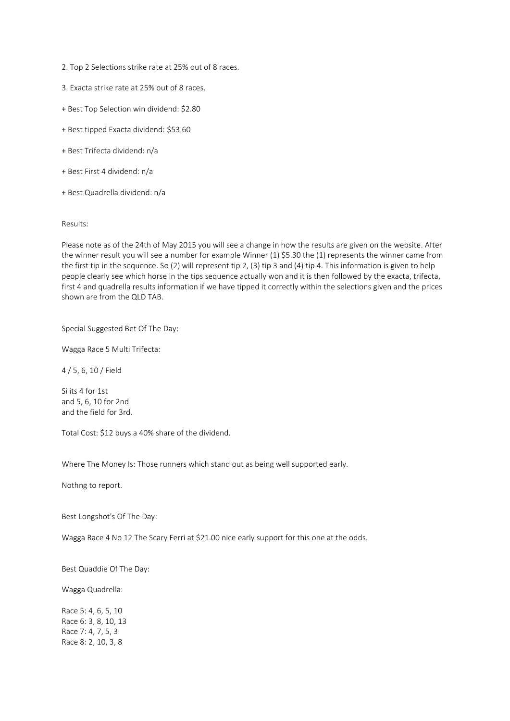- 2. Top 2 Selections strike rate at 25% out of 8 races.
- 3. Exacta strike rate at 25% out of 8 races.
- + Best Top Selection win dividend: \$2.80
- + Best tipped Exacta dividend: \$53.60
- + Best Trifecta dividend: n/a
- + Best First 4 dividend: n/a
- + Best Quadrella dividend: n/a

# Results:

Please note as of the 24th of May 2015 you will see a change in how the results are given on the website. After the winner result you will see a number for example Winner (1) \$5.30 the (1) represents the winner came from the first tip in the sequence. So (2) will represent tip 2, (3) tip 3 and (4) tip 4. This information is given to help people clearly see which horse in the tips sequence actually won and it is then followed by the exacta, trifecta, first 4 and quadrella results information if we have tipped it correctly within the selections given and the prices shown are from the QLD TAB.

### Special Suggested Bet Of The Day:

Wagga Race 5 Multi Trifecta:

4 / 5, 6, 10 / Field

Si its 4 for 1st and 5, 6, 10 for 2nd and the field for 3rd.

Total Cost: \$12 buys a 40% share of the dividend.

Where The Money Is: Those runners which stand out as being well supported early.

Nothng to report.

Best Longshot's Of The Day:

Wagga Race 4 No 12 The Scary Ferri at \$21.00 nice early support for this one at the odds.

Best Quaddie Of The Day:

Wagga Quadrella:

Race 5: 4, 6, 5, 10 Race 6: 3, 8, 10, 13 Race 7: 4, 7, 5, 3 Race 8: 2, 10, 3, 8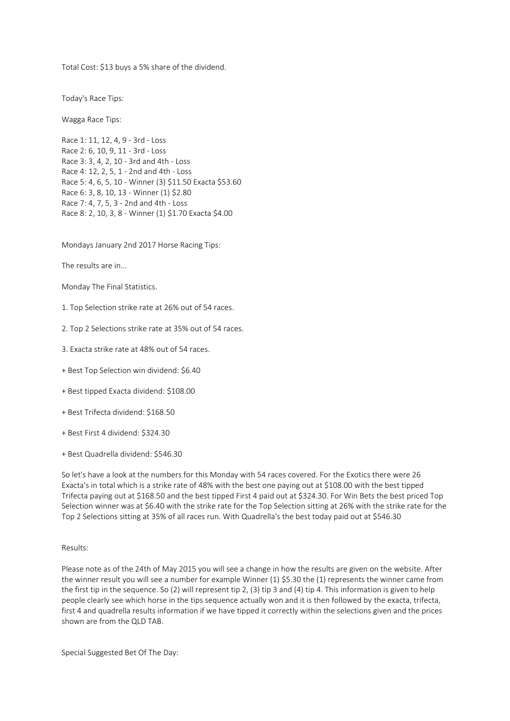Total Cost: \$13 buys a 5% share of the dividend.

Today's Race Tips:

Wagga Race Tips:

Race 1: 11, 12, 4, 9 - 3rd - Loss Race 2: 6, 10, 9, 11 - 3rd - Loss Race 3: 3, 4, 2, 10 - 3rd and 4th - Loss Race 4: 12, 2, 5, 1 - 2nd and 4th - Loss Race 5: 4, 6, 5, 10 - Winner (3) \$11.50 Exacta \$53.60 Race 6: 3, 8, 10, 13 - Winner (1) \$2.80 Race 7: 4, 7, 5, 3 - 2nd and 4th - Loss Race 8: 2, 10, 3, 8 - Winner (1) \$1.70 Exacta \$4.00

Mondays January 2nd 2017 Horse Racing Tips:

The results are in...

Monday The Final Statistics.

- 1. Top Selection strike rate at 26% out of 54 races.
- 2. Top 2 Selections strike rate at 35% out of 54 races.
- 3. Exacta strike rate at 48% out of 54 races.
- + Best Top Selection win dividend: \$6.40
- + Best tipped Exacta dividend: \$108.00
- + Best Trifecta dividend: \$168.50
- + Best First 4 dividend: \$324.30
- + Best Quadrella dividend: \$546.30

So let's have a look at the numbers for this Monday with 54 races covered. For the Exotics there were 26 Exacta's in total which is a strike rate of 48% with the best one paying out at \$108.00 with the best tipped Trifecta paying out at \$168.50 and the best tipped First 4 paid out at \$324.30. For Win Bets the best priced Top Selection winner was at \$6.40 with the strike rate for the Top Selection sitting at 26% with the strike rate for the Top 2 Selections sitting at 35% of all races run. With Quadrella's the best today paid out at \$546.30

## Results:

Please note as of the 24th of May 2015 you will see a change in how the results are given on the website. After the winner result you will see a number for example Winner (1) \$5.30 the (1) represents the winner came from the first tip in the sequence. So (2) will represent tip 2, (3) tip 3 and (4) tip 4. This information is given to help people clearly see which horse in the tips sequence actually won and it is then followed by the exacta, trifecta, first 4 and quadrella results information if we have tipped it correctly within the selections given and the prices shown are from the QLD TAB.

Special Suggested Bet Of The Day: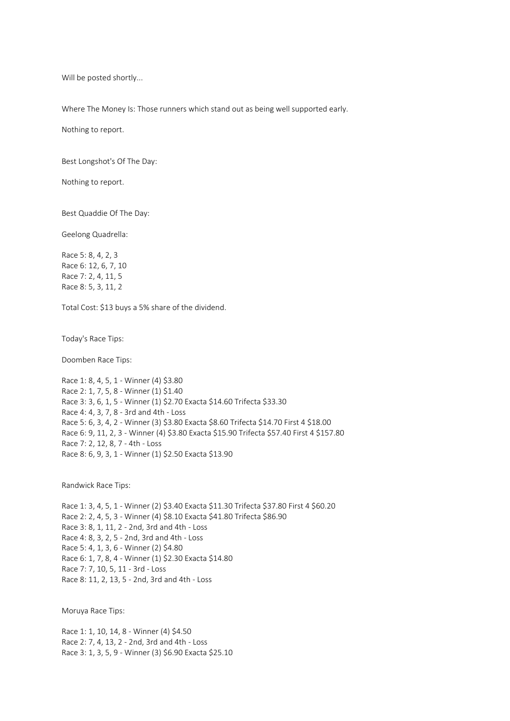Will be posted shortly...

Where The Money Is: Those runners which stand out as being well supported early.

Nothing to report.

Best Longshot's Of The Day:

Nothing to report.

Best Quaddie Of The Day:

Geelong Quadrella:

Race 5: 8, 4, 2, 3 Race 6: 12, 6, 7, 10 Race 7: 2, 4, 11, 5 Race 8: 5, 3, 11, 2

Total Cost: \$13 buys a 5% share of the dividend.

Today's Race Tips:

Doomben Race Tips:

Race 1: 8, 4, 5, 1 - Winner (4) \$3.80 Race 2: 1, 7, 5, 8 - Winner (1) \$1.40 Race 3: 3, 6, 1, 5 - Winner (1) \$2.70 Exacta \$14.60 Trifecta \$33.30 Race 4: 4, 3, 7, 8 - 3rd and 4th - Loss Race 5: 6, 3, 4, 2 - Winner (3) \$3.80 Exacta \$8.60 Trifecta \$14.70 First 4 \$18.00 Race 6: 9, 11, 2, 3 - Winner (4) \$3.80 Exacta \$15.90 Trifecta \$57.40 First 4 \$157.80 Race 7: 2, 12, 8, 7 - 4th - Loss Race 8: 6, 9, 3, 1 - Winner (1) \$2.50 Exacta \$13.90

Randwick Race Tips:

Race 1: 3, 4, 5, 1 - Winner (2) \$3.40 Exacta \$11.30 Trifecta \$37.80 First 4 \$60.20 Race 2: 2, 4, 5, 3 - Winner (4) \$8.10 Exacta \$41.80 Trifecta \$86.90 Race 3: 8, 1, 11, 2 - 2nd, 3rd and 4th - Loss Race 4: 8, 3, 2, 5 - 2nd, 3rd and 4th - Loss Race 5: 4, 1, 3, 6 - Winner (2) \$4.80 Race 6: 1, 7, 8, 4 - Winner (1) \$2.30 Exacta \$14.80 Race 7: 7, 10, 5, 11 - 3rd - Loss Race 8: 11, 2, 13, 5 - 2nd, 3rd and 4th - Loss

Moruya Race Tips:

Race 1: 1, 10, 14, 8 - Winner (4) \$4.50 Race 2: 7, 4, 13, 2 - 2nd, 3rd and 4th - Loss Race 3: 1, 3, 5, 9 - Winner (3) \$6.90 Exacta \$25.10